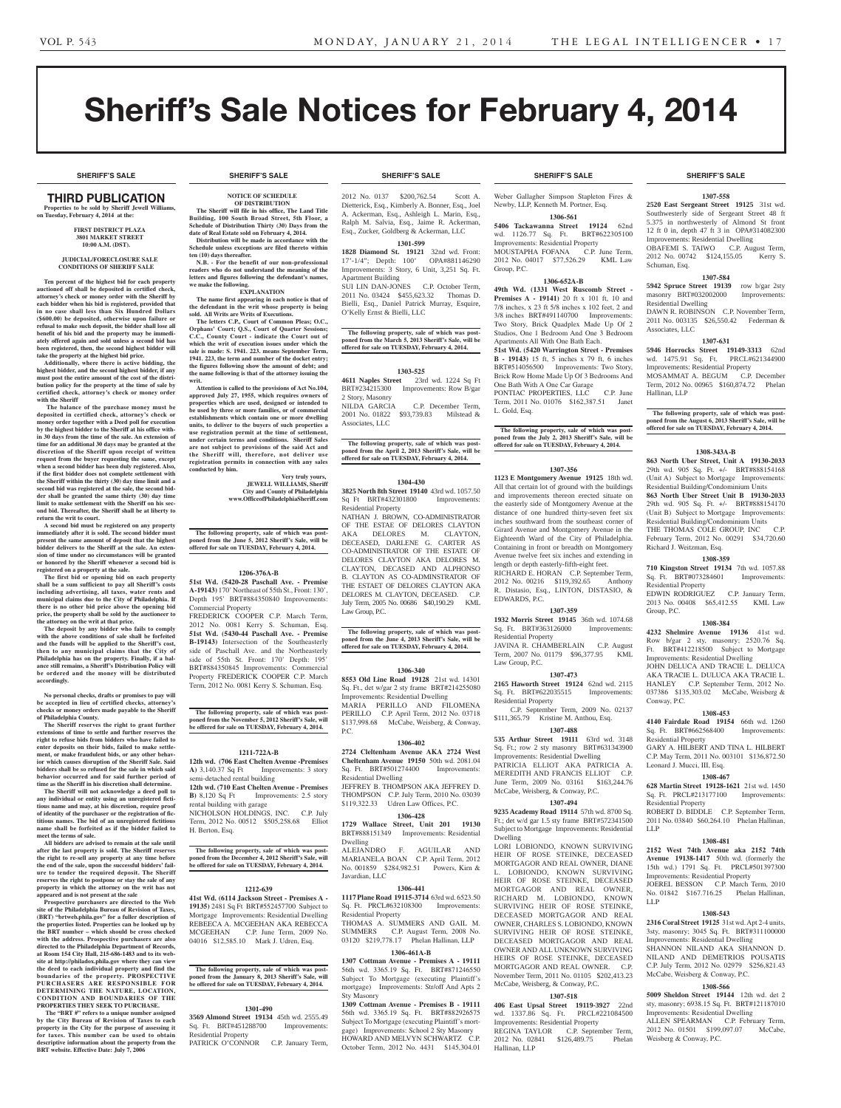# Sheriff's Sale Notices for February 4, 2014

**SHERIFF'S SALE SHERIFF'S SALE SHERIFF'S SALE SHERIFF'S SALE SHERIFF'S SALE**

#### **SHERIFF'S SALE SHERIFF'S SALE SHERIFF'S SALE SHERIFF'S SALE SHERIFF'S SALE**

# Third PUBLICATION

**Properties to be sold by Sheriff Jewell Williams, on Tuesday, February 4, 2014 at the:** 

#### **First District Plaza 3801 Market Street 10:00 A.M. (DST).**

#### **JUDICIAL/FORECLOSURE SALE CONDITIONS OF SHERIFF SALE**

**Ten percent of the highest bid for each property auctioned off shall be deposited in certified check, attorney's check or money order with the Sheriff by each bidder when his bid is registered, provided that in no case shall less than Six Hundred Dollars (\$600.00) be deposited, otherwise upon failure or refusal to make such deposit, the bidder shall lose all benefit of his bid and the property may be immediately offered again and sold unless a second bid has been registered, then, the second highest bidder will take the property at the highest bid price.**

**Additionally, where there is active bidding, the highest bidder, and the second highest bidder, if any must post the entire amount of the cost of the distri-bution policy for the property at the time of sale by certified check, attorney's check or money order with the Sheriff**

 **The balance of the purchase money must be deposited in certified check, attorney's check or money order together with a Deed poll for execution by the highest bidder to the Sheriff at his office within 30 days from the time of the sale. An extension of time for an additional 30 days may be granted at the discretion of the Sheriff upon receipt of written request from the buyer requesting the same, except when a second bidder has been duly registered. Also, if the first bidder does not complete settlement with the Sheriff within the thirty (30) day time limit and a second bid was registered at the sale, the second bid-der shall be granted the same thirty (30) day time limit to make settlement with the Sheriff on his second bid. Thereafter, the Sheriff shall be at liberty to return the writ to court.**

**A second bid must be registered on any property immediately after it is sold. The second bidder must present the same amount of deposit that the highest bidder delivers to the Sheriff at the sale. An extension of time under no circumstances will be granted or honored by the Sheriff whenever a second bid is registered on a property at the sale.** 

**The first bid or opening bid on each property shall be a sum sufficient to pay all Sheriff's costs including advertising, all taxes, water rents and municipal claims due to the City of Philadelphia. If there is no other bid price above the opening bid price, the property shall be sold by the auctioneer to the attorney on the writ at that price.**

**The deposit by any bidder who fails to comply with the above conditions of sale shall be forfeited and the funds will be applied to the Sheriff's cost, then to any municipal claims that the City of Philadelphia has on the property. Finally, if a bal-ance still remains, a Sheriff's Distribution Policy will be ordered and the money will be distributed accordingly.**

**No personal checks, drafts or promises to pay will be accepted in lieu of certified checks, attorney's checks or money orders made payable to the Sheriff of Philadelphia County.**

**The Sheriff reserves the right to grant further extensions of time to settle and further reserves the right to refuse bids from bidders who have failed to enter deposits on their bids, failed to make settle-ment, or make fraudulent bids, or any other behavior which causes disruption of the Sheriff Sale. Said**  bidders shall be so refused for the sale in which sa **behavior occurred and for said further period of** 

**time as the Sheriff in his discretion shall determine. The Sheriff will not acknowledge a deed poll to any individual or entity using an unregistered fictitious name and may, at his discretion, require proof of identity of the purchaser or the registration of fictitious names. The bid of an unregistered fictitious name shall be forfeited as if the bidder failed to meet the terms of sale.**

**All bidders are advised to remain at the sale until after the last property is sold. The Sheriff reserves the right to re-sell any property at any time before the end of the sale, upon the successful bidders' failure to tender the required deposit. The Sheriff reserves the right to postpone or stay the sale of any property in which the attorney on the writ has not** 

**appeared and is not present at the sale Prospective purchasers are directed to the Web site of the Philadelphia Bureau of Revision of Taxes, (BRT) "brtweb.phila.gov" for a fuller description of the properties listed. Properties can be looked up by the BRT number – which should be cross checked with the address. Prospective purchasers are also directed to the Philadelphia Department of Records, at Room 154 City Hall, 215-686-1483 and to its website at http://philadox.phila.gov where they can view the deed to each individual property and find the boundaries of the property. PROSPECTIVE PURCHASERS ARE RESPONSIBLE FOR DETERMINING THE NATURE, LOCATION, CONDITION AND BOUNDARIE S OF THE PROPERTIES THEY SEEK TO PURCHASE.**

**The "BRT #" refers to a unique number assigned by the City Bureau of Revision of Taxes to each property in the City for the purpose of assessing it for taxes. This number can be used to obtain descriptive information about the property from the BRT website. Effective Date: July 7, 2006**

#### **NOTICE OF SCHEDULE OF DISTRIBUTION**

#### **The Sheriff will file in his office, The Land Title Building, 100 South Broad Street, 5th Floor, a**

**Schedule of Distribution Thirty (30) Days from the date of Real Estate sold on February 4, 2014. Distribution will be made in accordance with the Schedule unless exceptions are filed thereto within ten (10) days thereafter.**

**N.B. - For the benefit of our non-professional readers who do not understand the meaning of the letters and figures following the defendant's names, we make the following.**

**EXPLANATION The name first appearing in each notice is that of the defendant in the writ whose property is being** 

**sold. All Writs are Writs of Executions. The letters C.P., Court of Common Pleas; O.C.,**  Orphans' Court; Q.S., Court of Quarter Session **C.C., County Court - indicate the Court out of which the writ of execution issues under which the sale is made: S. 1941. 223. means September Term, 1941. 223, the term and number of the docket entry; the figures following show the amount of debt; and the name following is that of the attorney issuing the writ.**

**Attention is called to the provisions of Act No.104, approved July 27, 1955, which requires owners of properties which are used, designed or intended to be used by three or more families, or of commercial ents which contain one or more dwelling units, to deliver to the buyers of such properties a use registration permit at the time of settlement, under certain terms and conditions. Sheriff Sales are not subject to provisions of the said Act and the Sheriff will, therefore, not deliver use registration permits in connection with any sales conducted by him.**

> **Very truly yours JEWELL WILLIAMS, Sheriff City and County of Philadelphia www.OfficeofPhiladelphiaSheriff.com**

**The following property, sale of which was post-poned from the June 5, 2012 Sheriff's Sale, will be offered for sale on TUESDAY, February 4, 2014.**

#### **1206-376A-B**

**51st Wd. (5420-28 Paschall Ave. - Premise A-19143)** 170' Northeast of 55th St., Front: 130', Depth 195' BRT#884350840 Improvements: Commercial Property

FREDERICK COOPER C.P. March Term, 2012 No. 0081 Kerry S. Schuman, Esq. **51st Wd. (5430-44 Paschall Ave. - Premise B-19143)** Intersection of the Southeasterly side of Paschall Ave. and the Northeasterly side of 55th St. Front: 170' Depth: 195' BRT#884350845 Improvements: Commercial Property FREDERICK COOPER C.P. March Term, 2012 No. 0081 Kerry S. Schuman, Esq.

**The following property, sale of which was post-poned from the November 5, 2012 Sheriff's Sale, will be offered for sale on TUESDAY, February 4, 2014.**

#### **1211-722A-B**

**12th wd. (706 East Chelten Avenue -Premises A)** 3,140.37 Sq Ft Improvements: 3 story semi-detached rental building

**12th wd. (710 East Chelten Avenue - Premises B**) 8,120 Sq Ft Improvements: 2.5 story rental building with garage

NICHOLSON HOLDINGS, INC. C.P. July Term, 2012 No. 00512 \$505,258.68 Elliot H. Berton, Esq.

**The following property, sale of which was postponed from the December 4, 2012 Sheriff's Sale, will be offered for sale on TUESDAY, February 4, 2014.**

#### **1212-639**

**41st Wd. (6114 Jackson Street - Premises A - 19135)** 2481 Sq Ft BRT#552457700 Subject to Mortgage Improvements: Residential Dwelling REBEECA A. MCGEEHAN AKA REBECCA MCGEEHAN C.P. June Term, 2009 No. 04016 \$12,585.10 Mark J. Udren, Esq.

**The following property, sale of which was postponed from the January 8, 2013 Sheriff's Sale, will be offered for sale on TUESDAY, February 4, 2014.**

#### **1301-490**

**3569 Almond Street 19134** 45th wd. 2555.49 Sq. Ft. BRT#451288700 Improvements: Residential Property PATRICK O'CONNOR C.P. January Term,

2012 No. 0137 \$200,762.54 Scott A. Dietterick, Esq., Kimberly A. Bonner, Esq., Joel A. Ackerman, Esq., Ashleigh L. Marin, Esq., Ralph M. Salvia, Esq., Jaime R. Ackerman, Esq., Zucker, Goldberg & Ackerman, LLC

**1301-599 1828 Diamond St. 19121** 32nd wd. Front: 17'-1/4"; Depth: 100' OPA#881146290 Improvements: 3 Story, 6 Unit, 3,251 Sq. Ft.

Apartment Building SUI LIN DAN-JONES C.P. October Term, 2011 No. 03424 \$455,623.32 Thomas D. Bielli, Esq., Daniel Patrick Murray, Esquire, O'Kelly Ernst & Bielli, LLC

**The following property, sale of which was postponed from the March 5, 2013 Sheriff's Sale, will be offered for sale on TUESDAY, February 4, 2014.**

#### **1303-525**

**4611 Naples Street** 23rd wd. 1224 Sq Ft BRT#234215300 Improvements: Row B/gar 2 Story, Masonry C.P. December Term,

2001 No. 01822 \$93,739.83 Milstead & Associates, LLC

**The following property, sale of which was postponed from the April 2, 2013 Sheriff's Sale, will be offered for sale on TUESDAY, February 4, 2014.**

## **1304-430**

**3825 North 8th Street 19140** 43rd wd. 1057.50 Sq Ft BRT#432301800 Improvements: Residential Property

NATHAN J. BROWN, CO-ADMINISTRATOR OF THE ESTAE OF DELORES CLAYTON AKA DELORES M. CLAYTON, DECEASED, DARLENE G. CARTER AS CO-ADMINISTRATOR OF THE ESTATE OF DELORES CLAYTON AKA DELORES M. CLAYTON, DECASED AND ALPHONSO B. CLAYTON AS CO-ADMINSTRATOR OF THE ESTAET OF DELORES CLAYTON AKA DELORES M. CLAYTON, DECEASED. C.P. July Term, 2005 No. 00686 \$40,190.29 KML Law Group, P.C.

**The following property, sale of which was post-poned from the June 4, 2013 Sheriff's Sale, will be offered for sale on TUESDAY, February 4, 2014.**

#### **1306-340**

**8553 Old Line Road 19128** 21st wd. 14301 Sq. Ft., det w/gar 2 sty frame BRT#214255080 Improvements: Residential Dwelling MARIA PERILLO AND FILOMENA PERILLO C.P. April Term, 2012 No. 03718 \$137,998.68 McCabe, Weisberg, & Conway, P.C.

#### **1306-402**

**2724 Cleltenham Avenue AKA 2724 West Cheltenham Avenue 19150** 50th wd. 2081.04 Sq. Ft. BRT#501274400 Improvements: Residential Dwelling JEFFREY B. THOMPSON AKA JEFFREY D.

THOMPSON C.P. July Term, 2010 No. 03039 \$119,322.33 Udren Law Offices, P.C. **1306-428**

**1729 Wallace Street, Unit 201 19130**  BRT#888151349 Improvements: Residential Dwelling

ALEJANDRO F. AGUILAR AND MARIANELA BOAN C.P. April Term, 2012 No. 001859 \$284,982.51 Powers, Kirn & Javardian, LLC

#### **1306-441**

**1117 Plane Road 19115-3714** 63rd wd. 6523.50 Sq. Ft. PRCL#632108300 Improvements: Residential Property HOMAS A. SUMMERS AND GAIL

SUMMERS C.P. August Term, 2008 No. 03120 \$219,778.17 Phelan Hallinan, LLP

# **1306-461A-B**

**1307 Cottman Avenue - Premises A - 19111**  56th wd. 3365.19 Sq. Ft. BRT#871246550 Subject To Mortgage (executing Plaintiff's mortgage) Improvements: Str/off And Apts 2 Sty Masonry

**1309 Cottman Avenue - Premises B - 19111**  56th wd. 3365.19 Sq. Ft. BRT#882926575 Subject To Mortgage (executing Plaintiff's mortgage) Improvements: School 2 Sty Masonry HOWARD AND MELVYN SCHWARTZ C.P. October Term, 2012 No. 4431 \$145,304.01

Weber Gallagher Simpson Stapleton Fires & Newby, LLP, Kenneth M. Portner, Esq.

**1306-561 5406 Tackawanna Street 19124** 62nd<br>wd 1126.77 Sq Ft BRT#622305100 wd. 1126.77 Sq. Ft. Improvements: Residential Property MOUSTAPHA FOFANA C.P. June Term, 2012 No. 04017 \$77,526.29 KML Law Group, P.C.

#### **1306-652A-B**

**49th Wd. (1331 West Ruscomb Street - Premises A - 19141)** 20 ft x 101 ft, 10 and 7/8 inches, x 23 ft 5/8 inches x 102 feet, 2 and 3/8 inches BRT#491140700 Improvements: Two Story, Brick Quadplex Made Up Of 2 Studios, One 1 Bedroom And One 3 Bedroom Apartments All With One Bath Each. **51st Wd. (5420 Warrington Street - Premises B - 19143)** 15 ft, 5 inches x 79 ft, 6 inches BRT#514056500 Improvements: Two Story, Brick Row Home Made Up Of 3 Bedrooms And One Bath With A One Car Garage PONTIAC PROPERTIES, LLC C.P. June

Term, 2011 No. 01076 \$162,387.51 Janet L. Gold, Esq.

**The following property, sale of which was postponed from the July 2, 2013 Sheriff's Sale, will be offered for sale on TUESDAY, February 4, 2014.**

#### **1307-356**

**1123 E Montgomery Avenue 19125** 18th wd. All that certain lot of ground with the buildings and improvements thereon erected situate on the easterly side of Montgomery Avenue at the distance of one hundred thirty-seven feet six inches southward from the southeast corner of Girard Avenue and Montgomery Avenue in the Eighteenth Ward of the City of Philadelphia. Containing in front or breadth on Montgomery Avenue twelve feet six inches and extending in length or depth easterly-fifth-eight feet. RICHARD E. HORAN C.P. September Term,<br>2012 No. 00216 \$119,392.65 Anthony 2012 No. 00216 \$119,392.65 R. Distasio, Esq., LINTON, DISTASIO, & EDWARDS, P.C.

# **1307-359**

**1932 Morris Street 19145** 36th wd. 1074.68 Sq. Ft. BRT#363126000 Improvements: Residential Property JAVINA R. CHAMBERLAIN C.P. August

Term, 2007 No. 01179 \$96,377.95 KML Law Group, P.C.

# **1307-473**

**2165 Haworth Street 19124** 62nd wd. 2115 Sq. Ft. BRT#622035515 Improvements: Residential Property C.P. September Term, 2009 No. 02137

\$111,365.79 Kristine M. Anthou, Esq. **1307-488**

**535 Arthur Street 19111** 63rd wd. 3148 Sq. Ft.; row 2 sty masonry BRT#631343900

Improvements: Residential Dwelling PATRICIA ELLIOT AKA PATRICIA A. MEREDITH AND FRANCIS ELLIOT C.P. June Term, 2009 No. 03161 \$163,244.76 McCabe, Weisberg, & Conway, P.C.

# **1307-494**

**9235 Academy Road 19114** 57th wd. 8700 Sq. Ft.; det w/d gar 1.5 sty frame BRT#572341500 Subject to Mortgage Improvements: Residential Dwelling

LORI LOBIONDO, KNOWN SURVIVING HEIR OF ROSE STEINKE, DECEASED MORTGAGOR AND REAL OWNER, DIANE L. LOBIONDO, KNOWN SURVIVING HEIR OF ROSE STEINKE, DECEASED MORTGAGOR AND REAL OWNER, RICHARD M. LOBIONDO, KNOWN SURVIVING HEIR OF ROSE STEINKE, DECEASED MORTGAGOR AND REAL OWNER, CHARLES S. LOBIONDO, KNOWN SURVIVING HEIR OF ROSE STEINKE, DECEASED MORTGAGOR AND REAL OWNER AND ALL UNKNOWN SURVIVING HEIRS OF ROSE STEINKE, DECEASED MORTGAGOR AND REAL OWNER. C.P. November Term, 2011 No. 01105 \$202,413.23 McCabe, Weisberg, & Conway, P.C.

# **1307-518**

**406 East Upsal Street 19119-3927** 22nd wd. 1337.86 Sq. Ft. PRCL#221084500 Improvements: Residential Property REGINA TAYLOR C.P. September Term,<br>2012 No. 02841 \$126,489.75 Phelan 2012 No. 02841 \$126,489.75 Hallinan, LLP

# **1307-558**

**2520 East Sergeant Street 19125** 31st wd. Southwesterly side of Sergeant Street 48 ft 5.375 in northwesterly of Almond St front 12 ft 0 in, depth 47 ft 3 in OPA#314082300 Improvements: Residential Dwelling OBAFEMI S. TAIWO C.P. August Term, 2012 No. 00742 \$124,155.05 Kerry S.

Schuman, Esq. **1307-584**

**5942 Spruce Street 19139** row b/gar 2sty<br>masonry BRT#032002000 Improvements: masonry BRT#032002000 Residential Dwelling DAWN R. ROBINSON C.P. November Term, 2011 No. 003135 \$26,550.42 Federman & Associates, LLC

#### **1307-631 5946 Horrocks Street 19149-3313** 62nd

MOSAMMAT A. BEGUM

Richard J. Weitzman, Esq.

Residential Property

Group, P.C.

Conway, P.C.

Residential Property

Residential Property

LLP

LLP

Leonard J. Mucci, III, Esq.

Weisberg & Conway, P.C.

Hallinan, LLP

wd. 1475.91 Sq. Ft. PRCL#621344900 Improvements: Residential Property<br>MOSAMMAT A. BEGUM C.P. December

Term, 2012 No. 00965 \$160,874.72 Phelan

**The following property, sale of which was postponed from the August 6, 2013 Sheriff's Sale, will be offered for sale on TUESDAY, February 4, 2014.**

**1308-343A-B 863 North Uber Street, Unit A 19130-2033**  29th wd. 905 Sq. Ft. +/- BRT#888154168 (Unit A) Subject to Mortgage Improvements: Residential Building/Condominium Units **863 North Uber Street Unit B 19130-2033**  29th wd. 905 Sq. Ft. +/- BRT#888154170 (Unit B) Subject to Mortgage Improvements: Residential Building/Condominium Units<br>THE THOMAS COLE GROUP. INC C.P. THE THOMAS COLE GROUP, INC February Term, 2012 No. 00291 \$34,720.60

**1308-359 710 Kingston Street 19134** 7th wd. 1057.88 Sq. Ft. BRT#073284601 Improvements:

EDWIN RODRIGUEZ C.P. January Term, 2013 No. 00408 \$65,412.55 KML Law

**1308-384 4232 Shelmire Avenue 19136** 41st wd. Row b/gar 2 sty, masonry; 2520.76 Sq. Ft. BRT#412218500 Subject to Mortgage Improvements: Residential Dwelling JOHN DELUCA AND TRACIE L. DELUCA AKA TRACIE L. DULUCA AKA TRACIE L. HANLEY C.P. September Term, 2012 No. 037386 \$135,303.02 McCabe, Weisberg &

**1308-453 4140 Fairdale Road 19154** 66th wd. 1260 Sq. Ft. BRT#662568400 Improvements:

GARY A. HILBERT AND TINA L. HILBERT C.P. May Term, 2011 No. 003101 \$136,872.50

**1308-467 628 Martin Street 19128-1621** 21st wd. 1450 Sq. Ft. PRCL#213177100 Improvements:

ROBERT D. BIDDLE C.P. September Term, 2011 No. 03840 \$60,264.10 Phelan Hallinan,

**1308-481 2152 West 74th Avenue aka 2152 74th Avenue 19138-1417** 50th wd. (formerly the 15th wd.) 1791 Sq. Ft. PRCL#501397300 Improvements: Residential Property JOEREL BESSON C.P. March Term, 2010 No. 01842 \$167.716.25 Phelan Hallinan,

**1308-543 2316 Coral Street 10125** 31st wd. Apt 2.4 units 3sty, masonry; 3045 Sq. Ft. BRT#311100000 Improvements: Residential Dwelling SHANNON NILAND AKA SHANNON D. NILAND AND DEMETRIOS POUSATIS C.P. July Term, 2012 No. 02979 \$256,821.43 McCabe, Weisberg & Conway, P.C. **1308-566 5009 Sheldon Street 19144** 12th wd. det 2 sty, masonry; 6938.15 Sq. Ft. BRT#121187010 Improvements: Residential Dwelling ALLEN SPEARMAN C.P. February Term, 2012 No. 01501 \$199,097.07 McCabe,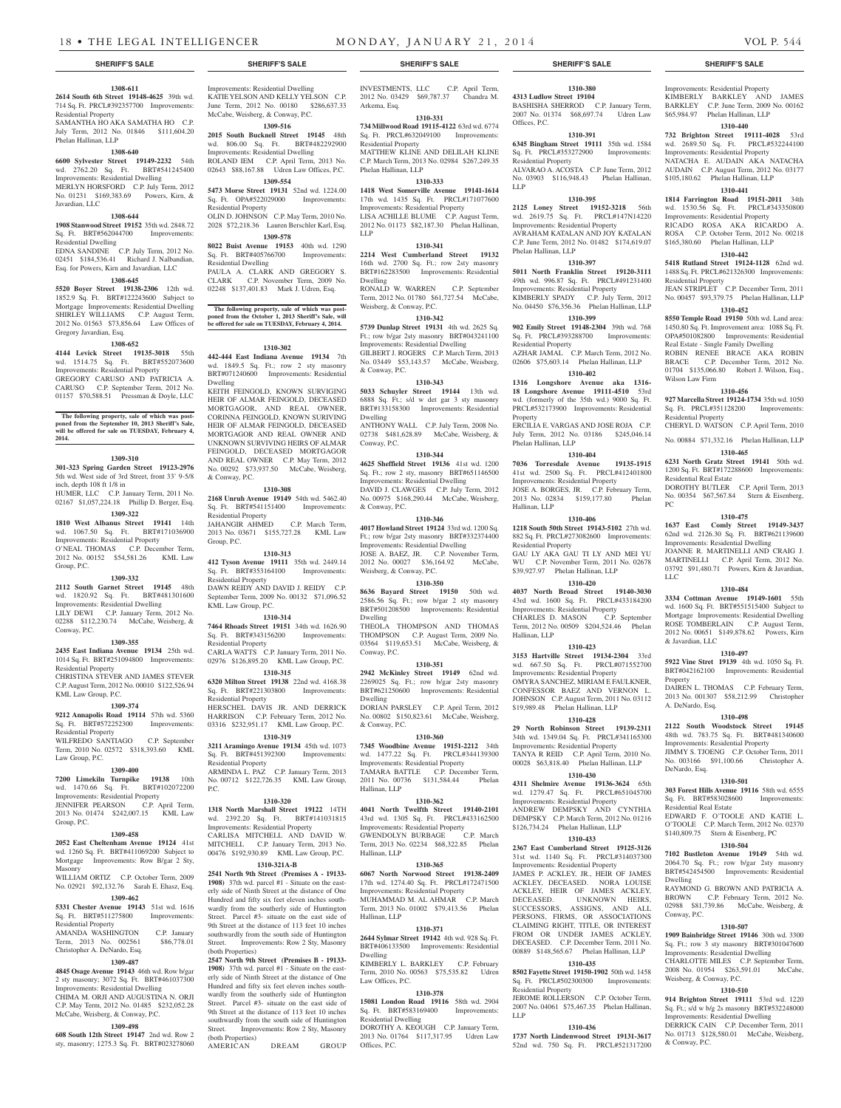# **1308-611**

**2614 South 6th Street 19148-4625** 39th wd. 714 Sq. Ft. PRCL#392357700 Improvements: Residential Property SAMANTHA HO AKA SAMATHA HO C.P. July Term, 2012 No. 01846 \$111,604.20 Phelan Hallinan, LLP

# **1308-640**

**6600 Sylvester Street 19149-2232** 54th wd. 2762.20 Sq. Ft. BRT#541245400 Improvements: Residential Dwelling MERLYN HORSFORD C.P. July Term, 2012 No. 01231 \$169,383.69 Powers, Kirn, & Javardian, LLC

#### **1308-644**

**1908 Stanwood Street 19152** 35th wd. 2848.72 Sq. Ft. BRT#562044700 Improvements: Residential Dwelling EDNA SANDINE C.P. July Term, 2012 No.

# 02451 \$184,536.41 Richard J. Nalbandian, Esq. for Powers, Kirn and Javardian, LLC **1308-645**

**5520 Boyer Street 19138-2306** 12th wd. 1852.9 Sq. Ft. BRT#122243600 Subject to

Mortgage Improvements: Residential Dwelling SHIRLEY WILLIAMS C.P. August Term, 2012 No. 01563 \$73,856.64 Law Offices of Gregory Javardian, Esq.

## **1308-652**

**4144 Levick Street 19135-3018** 55th wd. 1514.75 Sq. Ft. BRT#552073600 Improvements: Residential Property GREGORY CARUSO AND PATRICIA A. CARUSO C.P. September Term, 2012 No. 01157 \$70,588.51 Pressman & Doyle, LLC

#### **The following property, sale of which was postponed from the September 10, 2013 Sheriff's Sale, will be offered for sale on TUESDAY, February 4, 2014.**

#### **1309-310**

**301-323 Spring Garden Street 19123-2976**  5th wd. West side of 3rd Street, front 33' 9-5/8 inch, depth 108 ft 1/8 in HUMER, LLC C.P. January Term, 2011 No. 02167 \$1,057,224.18 Phillip D. Berger, Esq.

#### **1309-322**

**1810 West Albanus Street 19141** 14th wd. 1067.50 Sq. Ft. BRT#171036900 Improvements: Residential Property O'NEAL THOMAS C.P. December Term, 2012 No. 00152 \$54,581.26 KML Law Group, P.C.

#### **1309-332**

**2112 South Garnet Street 19145** 48th wd. 1820.92 Sq. Ft. BRT#481301600 Improvements: Residential Dwelling LILY DEWI C.P. January Term, 2012 No. 02288 \$112,230.74 McCabe, Weisberg, & Conway, P.C.

#### **1309-355**

**2435 East Indiana Avenue 19134** 25th wd. 1014 Sq. Ft. BRT#251094800 Improvements: Residential Property CHRISTINA STEVER AND JAMES STEVER

C.P. August Term, 2012 No. 00010 \$122,526.94 KML Law Group, P.C. **1309-374**

**9212 Annapolis Road 19114** 57th wd. 5360 Sq. Ft. BRT#572252300 Improvements: Residential Property WILFREDO SANTIAGO C.P. September

Term, 2010 No. 02572 \$318,393.60 KML Law Group, P.C.

# **1309-400**

**7200 Limekiln Turnpike 19138** 10th wd. 1470.66 Sq. Ft. BRT#102072200 Improvements: Residential Property JENNIFER PEARSON C.P. April Term, 2013 No. 01474 \$242,007.15 KML Law Group, P.C.

# **1309-458**

**2052 East Cheltenham Avenue 19124** 41st wd. 1260 Sq. Ft. BRT#411069200 Subject to Mortgage Improvements: Row B/gar 2 Sty, Masonry WILLIAM ORTIZ C.P. October Term, 2009

# No. 02921 \$92,132.76 Sarah E. Ehasz, Esq. **1309-462**

**5331 Chester Avenue 19143** 51st wd. 1616 Sq. Ft. BRT#511275800 Improvements: Residential Property AMANDA WASHINGTON C.P. January<br>Term. 2013 No. 002561 \$86.778.01

# Term, 2013 No. 002561 Christopher A. DeNardo, Esq.

# **1309-487**

**4845 Osage Avenue 19143** 46th wd. Row b/gar 2 sty masonry; 3072 Sq. Ft. BRT#461037300 Improvements: Residential Dwelling CHIMA M. ORJI AND AUGUSTINA N. ORJI C.P. May Term, 2012 No. 01485 \$232,052.28 McCabe, Weisberg, & Conway, P.C.

#### **1309-498**

**608 South 12th Street 19147** 2nd wd. Row 2 sty, masonry; 1275.3 Sq. Ft. BRT#023278060

Improvements: Residential Dwelling KATIE YELSON AND KELLY YELSON C.P. June Term, 2012 No. 00180 \$286,637.33 McCabe, Weisberg, & Conway, P.C.

# **1309-516 2015 South Bucknell Street 19145** 48th wd. 806.00 Sq. Ft. BRT#482292900

Improvements: Residential Dwelling ROLAND IEM C.P. April Term, 2013 No. 02643 \$88,167.88 Udren Law Offices, P.C.

**1309-554 5473 Morse Street 19131** 52nd wd. 1224.00 Sq. Ft. OPA#522029000 Improvements: Residential Property OLIN D. JOHNSON C.P. May Term, 2010 No.

2028 \$72,218.36 Lauren Berschler Karl, Esq. **1309-578**

**8022 Buist Avenue 19153** 40th wd. 1290 Sq. Ft. BRT#405766700 Improvements: Residential Dwelling PAULA A. CLARK AND GREGORY S.

CLARK C.P. November Term, 2009 No. 02248 \$137,401.83 Mark J. Udren, Esq.

**The following property, sale of which was post-poned from the October 1, 2013 Sheriff's Sale, will be offered for sale on TUESDAY, February 4, 2014.**

#### **1310-302**

**442-444 East Indiana Avenue 19134** 7th wd. 1849.5 Sq. Ft.; row 2 sty masonry BRT#071240600 Improvements: Residential Dwelling KEITH FEINGOLD, KNOWN SURVIGING

HEIR OF ALMAR FEINGOLD, DECEASED MORTGAGOR, AND REAL OWNER, CORINNA FEINGOLD, KNOWN SURIVING HEIR OF ALMAR FEINGOLD, DECEASED MORTGAGOR AND REAL OWNER AND UNKNOWN SURVIVING HEIRS OF ALMAR FEINGOLD, DECEASED MORTGAGOR AND REAL OWNER C.P. May Term, 2012 No. 00292 \$73,937.50 McCabe, Weisberg, & Conway, P.C.

#### **1310-308**

**2168 Unruh Avenue 19149** 54th wd. 5462.40 Sq. Ft. BRT#541151400 Improvements: Residential Property JAHANGIR AHMED C.P. March Term, 2013 No. 03671 \$155,727.28 KML Law

Group, P.C. **1310-313**

**412 Tyson Avenue 19111** 35th wd. 2449.14<br>Sq. Ft. BRT#353164100 Improvements: Sq. Ft. BRT#353164100 Residential Property DAWN REIDY AND DAVID J. REIDY C.P. September Term, 2009 No. 00132 \$71,096.52 KML Law Group, P.C.

#### **1310-314**

**7464 Rhoads Street 19151** 34th wd. 1626.90 Sq. Ft. BRT#343156200 Improvements: Residential Property CARLA WATTS C.P. January Term, 2011 No. 02976 \$126,895.20 KML Law Group, P.C.

#### **1310-315**

**6320 Milton Street 19138** 22nd wd. 4168.38 Sq. Ft. BRT#221303800 Residential Property HERSCHEL DAVIS JR. AND DERRICK HARRISON C.P. February Term, 2012 No. 03316 \$232,951.17 KML Law Group, P.C.

# **1310-319**

**3211 Aramingo Avenue 19134** 45th wd. 1073 Sq. Ft. BRT#451392300 Improvements: Residential Property ARMINDA L. PAZ C.P. January Term, 2013 No. 00712 \$122,726.35 KML Law Group, P.C.

#### **1310-320**

**1318 North Marshall Street 19122** 14TH wd. 2392.20 Sq. Ft. BRT#141031815 Improvements: Residential Property CARLISA MITCHELL AND DAVID W. MITCHELL C.P. January Term, 2013 No. 00476 \$192,930.89 KML Law Group, P.C.

# **1310-321A-B**

**2541 North 9th Street (Premises A - 19133- 1908)** 37th wd. parcel #1 - Situate on the easterly side of Ninth Street at the distance of One Hundred and fifty six feet eleven inches southwardly from the southerly side of Huntington Street. Parcel #3- situate on the east side of 9th Street at the distance of 113 feet 10 inches southwardly from the south side of Huntington Street. Improvements: Row 2 Sty, Masonry (both Properties)

**2547 North 9th Street (Premises B - 19133- 1908)** 37th wd. parcel #1 - Situate on the easterly side of Ninth Street at the distance of One Hundred and fifty six feet eleven inches southwardly from the southerly side of Huntington Street. Parcel #3- situate on the east side of 9th Street at the distance of 113 feet 10 inches southwardly from the south side of Huntington Street. Improvements: Row 2 Sty, Masonry (both Properties)

AMERICAN DREAM GROUP

INVESTMENTS, LLC C.P. April Term, 2012 No. 03429 \$69,787.37 Chandra M. Arkema, Esq.

#### **1310-331 734 Millwood Road 19115-4122** 63rd wd. 6774 Sq. Ft. PRCL#632049100 Improvements:

Residential Property MATTHEW KLINE AND DELILAH KLINE C.P. March Term, 2013 No. 02984 \$267,249.35 Phelan Hallinan, LLP

#### **1310-333 1418 West Somerville Avenue 19141-1614**  17th wd. 1435 Sq. Ft. PRCL#171077600 Improvements: Residential Property

LISA ACHILLE BLUME C.P. August Term, 2012 No. 01173 \$82,187.30 Phelan Hallinan, LLP **1310-341**

**2214 West Cumberland Street 19132**  16th wd. 2700 Sq. Ft.; row 2sty masonry BRT#162283500 Improvements: Residential Dwelling RONALD W. WARREN C.P. September Term, 2012 No. 01780 \$61,727.54 McCabe, Weisberg, & Conway, P.C.

#### **1310-342**

**5739 Dunlap Street 19131** 4th wd. 2625 Sq. Ft.; row b/gar 2sty masonry BRT#043241100 Improvements: Residential Dwelling GILBERT J. ROGERS C.P. March Term, 2013 No. 03449 \$53,143.57 McCabe, Weisberg, & Conway, P.C.

#### **1310-343**

**5033 Schuyler Street 19144** 13th wd. 6888 Sq. Ft.; s/d w det gar 3 sty masonry BRT#133158300 Improvements: Residential Dwelling ANTHONY WALL C.P. July Term, 2008 No. 02738 \$481,628.89 McCabe, Weisberg, & Conway, P.C.

## **1310-344**

**4625 Sheffield Street 19136** 41st wd. 1200 Sq. Ft.; row 2 sty, masonry BRT#651146500 Improvements: Residential Dwelling DAVID J. CLAWGES C.P. July Term, 2012 No. 00975 \$168,290.44 McCabe, Weisberg, & Conway, P.C.

# **1310-346**

**4017 Howland Street 19124** 33rd wd. 1200 Sq. Ft.; row b/gar 2sty masonry BRT#332374400 Improvements: Residential Dwelling JOSE A. BAEZ, JR. C.P. November Term, 2012 No. 00027 \$36,164.92 McCabe, Weisberg, & Conway, P.C.

#### **1310-350**

**8636 Bayard Street 19150** 50th wd. 2586.56 Sq. Ft.; row b/gar 2 sty masonry BRT#501208500 Improvements: Residential Dwelling

THEOLA THOMPSON AND THOMAS THOMPSON C.P. August Term, 2009 No. 03564 \$119,653.51 McCabe, Weisberg, & Conway, P.C.

## **1310-351**

**2942 McKinley Street 19149** 62nd wd. 2269025 Sq. Ft.; row b/gar 2sty masonry BRT#621250600 Improvements: Residential Dwelling DORIAN PARSLEY C.P. April Term, 2012 No. 00802 \$150,823.61 McCabe, Weisberg, & Conway, P.C.

#### **1310-360**

**7345 Woodbine Avenue 19151-2212** 34th wd. 1477.22 Sq. Ft. PRCL#344139300 Improvements: Residential Property TAMARA BATTLE C.P. December Term, 2011 No. 00736 \$131,584.44 Phelan Hallinan, LLP

#### **1310-362**

**4041 North Twelfth Street 19140-2101**  43rd wd. 1305 Sq. Ft. PRCL#433162500 Improvements: Residential Property<br>GWENDOLYN BURBAGE CP March GWENDOLYN BURBAGE Term, 2013 No. 02234 \$68,322.85 Phelan Hallinan, LLP

#### **1310-365**

**6067 North Norwood Street 19138-2409**  17th wd. 1274.40 Sq. Ft. PRCL#172471500 Improvements: Residential Property MUHAMMAD M. AL AHMAR C.P. March

## Term, 2013 No. 01002 \$79,413.56 Phelan Hallinan, LLP **1310-371**

**2644 Sylmar Street 19142** 4th wd. 928 Sq. Ft. BRT#406133500 Improvements: Residential Dwelling

#### KIMBERLY L. BARKLEY C.P. February Term, 2010 No. 00563 \$75,535.82 Udren Law Offices, P.C.

**1310-378 15081 London Road 19116** 58th wd. 2904 Sq. Ft. BRT#583169400

Residential Dwelling DOROTHY A. KEOUGH C.P. January Term, 2013 No. 01764 \$117,317.95 Udren Law Offices, P.C.

#### **SHERIFF'S SALE SHERIFF'S SALE SHERIFF'S SALE SHERIFF'S SALE SHERIFF'S SALE**

# **1310-380**

Residential Property

Phelan Hallinan, LLP

Residential Property

Phelan Hallinan, LLP

Hallinan, LLP

Residential Property

Hallinan, LLP

Residential Property

LLP

JEROME ROLLERSON C.P. October Term, 2007 No. 04061 \$75,467.35 Phelan Hallinan,

**1310-436 1737 North Lindenwood Street 19131-3617**  52nd wd. 750 Sq. Ft. PRCL#521317200

**Property** 

LLP

**4313 Ludlow Street 19104**  BASHISHA SHERROD C.P. January Term, 2007 No. 01374 \$68,697.74 Udren Law Offices, P.C.

Improvements: Residential Property KIMBERLY BARKLEY AND JAMES BARKLEY C.P. June Term, 2009 No. 00162 \$65,984.97 Phelan Hallinan, LLP **1310-440 732 Brighton Street 19111-4028** 53rd wd. 2689.50 Sq. Ft. PRCL#532244100 Improvements: Residential Property NATACHA E. AUDAIN AKA NATACHA AUDAIN C.P. August Term, 2012 No. 03177 \$105,180.62 Phelan Hallinan, LLP **1310-441 1814 Farrington Road 19151-2011** 34th wd. 1530.56 Sq. Ft. PRCL#343350800 Improvements: Residential Property RICADO ROSA AKA RICARDO A. ROSA C.P. October Term, 2012 No. 00218 \$165,380.60 Phelan Hallinan, LLP **1310-442 5418 Rutland Street 19124-1128** 62nd wd. 1488 Sq. Ft. PRCL#621326300 Improvements:

Residential Property

Wilson Law Firm

Residential Property

Residential Real Estate

PC

LLC

& Javardian, LLC

A. DeNardo, Esq.

DeNardo, Esq.

Dwelling

Conway, P.C.

Weisberg, & Conway, P.C.

& Conway, P.C.

Residential Real Estate

Property

JEAN STRIPLET C.P. December Term, 2011 No. 00457 \$93,379.75 Phelan Hallinan, LLP **1310-452 8550 Temple Road 19150** 50th wd. Land area: 1450.80 Sq. Ft. Improvement area: 1088 Sq. Ft. OPA#501082800 Improvements: Residential Real Estate - Single Family Dwelling ROBIN RENEE BRACE AKA ROBIN BRACE C.P. December Term, 2012 No. 01704 \$135,066.80 Robert J. Wilson, Esq.,

**1310-456 927 Marcella Street 19124-1734** 35th wd. 1050 Sq. Ft. PRCL#351128200 Improvements:

CHERYL D. WATSON C.P. April Term, 2010 No. 00884 \$71,332.16 Phelan Hallinan, LLP **1310-465 6231 North Gratz Street 19141** 50th wd. 1200 Sq. Ft. BRT#172288600 Improvements:

DOROTHY BUTLER C.P. April Term, 2013 No. 00354 \$67,567.84 Stern & Eisenberg,

**1310-475 1637 East Comly Street 19149-3437**  62nd wd. 2126.30 Sq. Ft. BRT#621139600 Improvements: Residential Dwelling JOANNE R. MARTINELLI AND CRAIG J. MARTINELLI C.P. April Term, 2012 No. 03792 \$91,480.71 Powers, Kirn & Javardian,

**1310-484 3334 Cottman Avenue 19149-1601** 55th wd. 1600 Sq. Ft. BRT#551515400 Subject to Mortgage Improvements: Residential Dwelling ROSE TOMBERLAIN C.P. August Term, 2012 No. 00651 \$149,878.62 Powers, Kirn

**1310-497 5922 Vine Stret 19139** 4th wd. 1050 Sq. Ft. BRT#042162100 Improvements: Residential

DAIREN L. THOMAS C.P. February Term, 2013 No. 001307 \$58,212.99 Christopher

**1310-498 2122 South Woodstock Street 19145**  48th wd. 783.75 Sq. Ft. BRT#481340600 Improvements: Residential Property JIMMY S. TJOENG C.P. October Term, 2011 No. 003166 \$91,100.66 Christopher A.

**1310-501 303 Forest Hills Avenue 19116** 58th wd. 6555 Sq. Ft. BRT#583028600 Improvements:

EDWARD F. O'TOOLE AND KATIE L. O'TOOLE C.P. March Term, 2012 No. 02370 \$140,809.75 Stern & Eisenberg, PC **1310-504 7102 Bustleton Avenue 19149** 54th wd. 2064.70 Sq. Ft.; row b/gar 2sty masonry BRT#542454500 Improvements: Residential

RAYMOND G. BROWN AND PATRICIA A. BROWN C.P. February Term, 2012 No. 02988 \$81,739.86 McCabe, Weisberg, &

**1310-507 1909 Bainbridge Street 19146** 30th wd. 3300 Sq. Ft.; row 3 sty masonry BRT#301047600 Improvements: Residential Dwelling CHARLOTTE MILES C.P. September Term, 2008 No. 01954 \$263,591.01 McCabe,

**1310-510 914 Brighton Street 19111** 53rd wd. 1220 Sq. Ft.; s/d w b/g 2s masonry BRT#532248000 Improvements: Residential Dwelling DERRICK CAIN C.P. December Term, 2011 No. 01713 \$128,580.01 McCabe, Weisberg,

**1310-391 6345 Bingham Street 19111** 35th wd. 1584 Sq. Ft. PRCL#353272900 Improvements:

ALVARAO A. ACOSTA C.P. June Term, 2012 No. 03903 \$116,948.43 Phelan Hallinan,

**1310-395 2125 Loney Street 19152-3218** 56th wd. 2619.75 Sq. Ft. PRCL#147N14220 Improvements: Residential Property AVRAHAM KATALAN AND JOY KATALAN C.P. June Term, 2012 No. 01482 \$174,619.07

**1310-397 5011 North Franklin Street 19120-3111**  49th wd. 996.87 Sq. Ft. PRCL#491231400 Improvements: Residential Property

KIMBERLY SPADY C.P. July Term, 2012 No. 04450 \$76,356.36 Phelan Hallinan, LLP **1310-399 902 Emily Street 19148-2304** 39th wd. 768 Sq. Ft. PRCL#393288700 Improvements:

AZHAR JAMAL C.P. March Term, 2012 No. 02606 \$75,603.14 Phelan Hallinan, LLP **1310-402 1316 Longshore Avenue aka 1316- 18 Longshore Avenue 19111-4510** 53rd wd. (formerly of the 35th wd.) 9000 Sq. Ft. PRCL#532173900 Improvements: Residential

ERCILIA E. VARGAS AND JOSE ROJA C.P. July Term, 2012 No. 03186 \$245,046.14

**1310-404 7036 Torresdale Avenue 19135-1915**  41st wd. 2500 Sq. Ft. PRCL#412401800 Improvements: Residential Property JOSE A. BORGES, JR. C.P. February Term, 2013 No. 02834 \$159,177.80 Phelan

**1310-406 1218 South 50th Street 19143-5102** 27th wd. 882 Sq. Ft. PRCL#273082600 Improvements:

GAU LY AKA GAU TI LY AND MEI YU WU C.P. November Term, 2011 No. 02678 \$39,927.97 Phelan Hallinan, LLP **1310-420 4037 North Broad Street 19140-3030**  43rd wd. 1600 Sq. Ft. PRCL#433184200 Improvements: Residential Property CHARLES D. MASON C.P. September Term, 2012 No. 00509 \$204,524.46 Phelan

**1310-423 3153 Hartville Street 19134-2304** 33rd wd. 667.50 Sq. Ft. PRCL#071552700 Improvements: Residential Property OMYRA SANCHEZ, MIRIAM E FAULKNER, CONFESSOR BAEZ AND VERNON L. JOHNSON C.P. August Term, 2011 No. 03112 \$19,989.48 Phelan Hallinan, LLP **1310-428 29 North Robinson Street 19139-2311**  34th wd. 1349.04 Sq. Ft. PRCL#341165300 Improvements: Residential Property TANYA R REID C.P. April Term, 2010 No. 00028 \$63,818.40 Phelan Hallinan, LLP **1310-430 4311 Shelmire Avenue 19136-3624** 65th wd. 1279.47 Sq. Ft. PRCL#651045700 Improvements: Residential Property ANDREW DEMPSKY AND CYNTHIA DEMPSKY C.P. March Term, 2012 No. 01216 \$126,734.24 Phelan Hallinan, LLP **1310-433 2367 East Cumberland Street 19125-3126**  31st wd. 1140 Sq. Ft. PRCL#314037300 Improvements: Residential Property JAMES P. ACKLEY, JR., HEIR OF JAMES ACKLEY, DECEASED. NORA LOUISE ACKLEY, HEIR OF JAMES ACKLEY, DECEASED. UNKNOWN HEIRS, SUCCESSORS, ASSIGNS, AND ALL PERSONS, FIRMS, OR ASSOCIATIONS CLAIMING RIGHT, TITLE, OR INTEREST FROM OR UNDER JAMES ACKLEY. DECEASED. C.P. December Term, 2011 No. 00889 \$148,565.67 Phelan Hallinan, LLP **1310-435 8502 Fayette Street 19150-1902** 50th wd. 1458 Sq. Ft. PRCL#502300300 Improvements: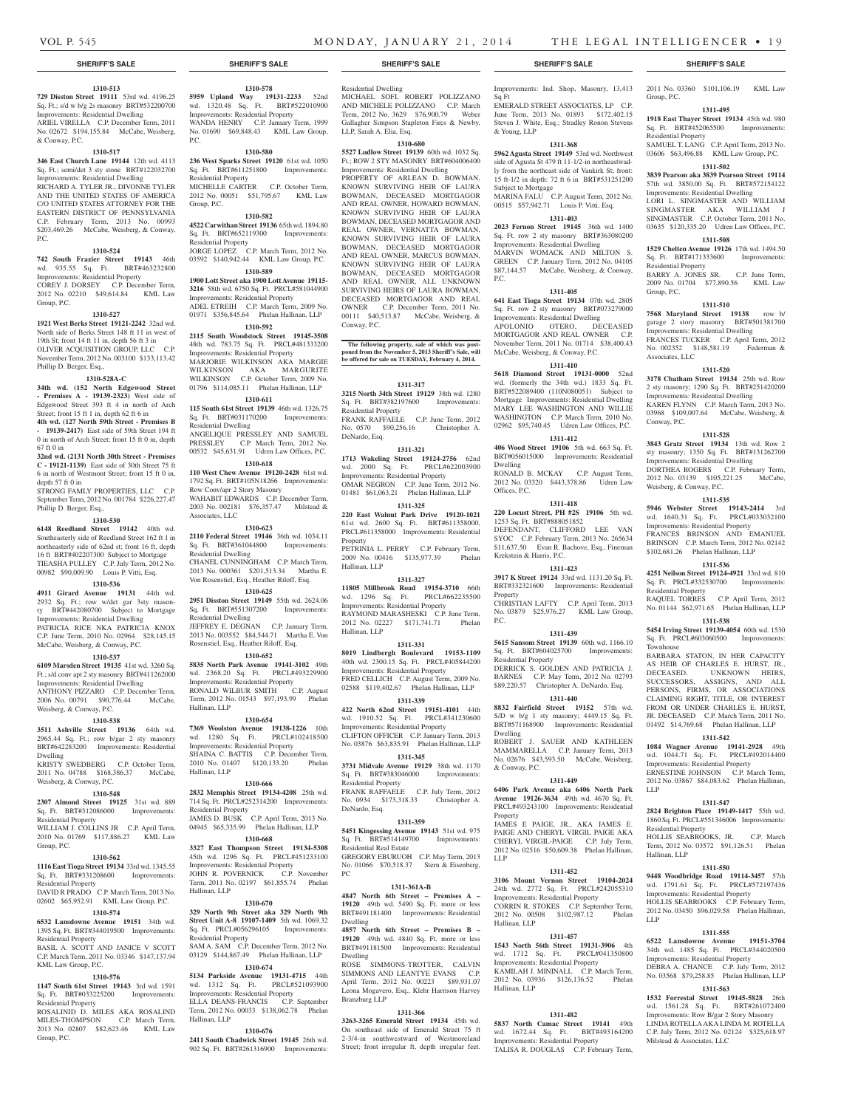#### **1310-513**

**729 Disston Street 19111** 53rd wd. 4196.25 Sq. Ft.; s/d w b/g 2s masonry BRT#532200700 Improvements: Residential Dwelling ARIEL VIRELLA C.P. December Term, 2011 No. 02672 \$194,155.84 McCabe, Weisberg, & Conway, P.C.

#### **1310-517**

**346 East Church Lane 19144** 12th wd. 4113 Sq. Ft.; semi/det 3 sty stone BRT#122032700 Improvements: Residential Dwelling RICHARD A. TYLER JR., DIVONNE TYLER AND THE UNITED STATES OF AMERICA C/O UNITED STATES ATTORNEY FOR THE EASTERN DISTRICT OF PENNSYLVANIA C.P. February Term, 2013 No. 00993 \$203,469.26 McCabe, Weisberg, & Conway, P.C.

#### **1310-524**

**742 South Frazier Street 19143** 46th wd. 935.55 Sq. Ft. BRT#463232800 Improvements: Residential Property COREY J. DORSEY C.P. December Term,

2012 No. 02210 \$49,614.84 KML Law Group, P.C.

#### **1310-527**

**1921 West Berks Street 19121-2242** 32nd wd. North side of Berks Street 148 ft 11 in west of 19th St; front 14 ft 11 in, depth 56 ft 3 in OLIVER ACQUISITION GROUP, LLC C.P. November Term, 2012 No. 003100 \$133,113.42 Phillip D. Berger, Esq.,

# **1310-528A-C**

**34th wd. (152 North Edgewood Street - Premises A - 19139-2323)** West side of Edgewood Street 393 ft 4 in north of Arch Street; front 15 ft 1 in, depth 62 ft 6 in

**4th wd. (127 North 59th Street - Premises B - 19139-2417)** East side of 59th Street 194 ft 0 in north of Arch Street; front 15 ft 0 in, depth

67 ft 0 in **32nd wd. (2131 North 30th Street - Premises C - 19121-1139)** East side of 30th Street 75 ft 6 in north of Westmont Street; front 15 ft 0 in, depth 57 ft 0 in

STRONG FAMLY PROPERTIES, LLC C.P. September Term, 2012 No. 001784 \$226,227.47 Phillip D. Berger, Esq.,

# **1310-530**

**6148 Reedland Street 19142** 40th wd. Southeasterly side of Reedland Street 162 ft 1 in northeasterly side of 62nd st; front 16 ft, depth 16 ft BRT#402207300 Subject to Mortgage TIEASHA PULLEY C.P. July Term, 2012 No. 00982 \$90,009.90 Louis P. Vitti, Esq.

#### **1310-536**

**4911 Girard Avenue 19131** 44th wd. 2932 Sq. Ft.; row w/det gar 3sty masonry BRT#442080700 Subject to Mortgage Improvements: Residential Dwelling PATRICIA RICE NKA PATRICIA KNOX C.P. June Term, 2010 No. 02964 \$28,145.15 McCabe, Weisberg, & Conway, P.C.

## **1310-537**

**6109 Marsden Street 19135** 41st wd. 3260 Sq. Ft.; s/d conv apt 2 sty masonry BRT#411262000 Improvements: Residential Dwelling ANTHONY PIZZARO C.P. December Term, 2006 No. 00791 \$90,776.44 McCabe,

## Weisberg, & Conway, P.C. **1310-538**

**3511 Ashville Street 19136** 64th wd. 2965.44 Sq. Ft.; row b/gar 2 sty masonry BRT#642283200 Improvements: Residential Dwelling

KRISTY SWEDBERG C.P. October Term, 2011 No. 04788 \$168,386.37 McCabe, Weisberg, & Conway, P.C.

#### **1310-548**

**2307 Almond Street 19125** 31st wd. 889 Sq. Ft. BRT#312086000 Improvements: Residential Property

WILLIAM J. COLLINS JR C.P. April Term, 2010 No. 01769 \$117,886.27 KML Law Group, P.C.

#### **1310-562**

Residential Property

KML Law Group, P.C.

Residential Property

Group, P.C.

**1116 East Tioga Street 19134** 33rd wd. 1345.55 Sq. Ft. BRT#331208600 Improvements: Residential Property DAVID R PRADO C.P. March Term, 2013 No.

02602 \$65,952.91 KML Law Group, P.C. **1310-574 6532 Lansdowne Avenue 19151** 34th wd. 1395 Sq. Ft. BRT#344019500 Improvements:

BASIL A. SCOTT AND JANICE V SCOTT C.P. March Term, 2011 No. 03346 \$147,137.94

**1310-576 1147 South 61st Street 19143** 3rd wd. 1591 Sq. Ft. BRT#033225200 Improvements:

ROSALINID D. MILES AKA ROSALIND MILES-THOMPSON C.P. March Term, 2013 No. 02807 \$82,623.46 KML Law

#### **1310-670**

**329 North 9th Street aka 329 North 9th Street Unit A-8 19107-1409** 5th wd. 1069.32 Sq. Ft. PRCL#056296105 Improvements:

Residential Property SAM A. SAM C.P. December Term, 2012 No. 03129 \$144,867.49 Phelan Hallinan, LLP

# **1310-674**

**5134 Parkside Avenue 19131-4715** 44th wd. 1312 Sq. Ft. PRCL#521093900 Improvements: Residential Property ELLA DEANS-FRANCIS C.P. September Term, 2012 No. 00033 \$138,062.78 Phelan Hallinan, LLP

#### **1310-676**

**2411 South Chadwick Street 19145** 26th wd. 902 Sq. Ft. BRT#261316900 Improvements:

#### **SHERIFF'S SALE SHERIFF'S SALE SHERIFF'S SALE SHERIFF'S SALE SHERIFF'S SALE**

**1310-578 5959 Upland Way 19131-2233** 52nd wd. 1320.48 Sq. Ft. BRT#522010900 Improvements: Residential Property WANDA HENRY C.P. January Term, 1999 No. 01690 \$69,848.43 KML Law Group,

**1310-580 236 West Sparks Street 19120** 61st wd. 1050 Sq. Ft. BRT#611251800 Improvements:

MICHELLE CARTER C.P. October Term, 2012 No. 00051 \$51,795.67 KML Law

**1310-582 4522 Carwithan Street 19136** 65th wd. 1894.80 Sq. Ft. BRT#652119300 Improvements:

JORGE LOPEZ C.P. March Term, 2012 No. 03592 \$140,942.44 KML Law Group, P.C. **1310-589 1900 Lott Street aka 1900 Lott Avenue 19115- 3216** 58th wd. 6750 Sq. Ft. PRCL#581044900 Improvements: Residential Property ADEL ETREIH C.P. March Term, 2009 No. 01971 \$356,845.64 Phelan Hallinan, LLP **1310-592 2115 South Woodstock Street 19145-3508**  48th wd. 783.75 Sq. Ft. PRCL#481333200 Improvements: Residential Property MARJORIE WILKINSON AKA MARGIE WILKINSON AKA MARGURITE WILKINSON C.P. October Term, 2009 No. 01796 \$114,085.11 Phelan Hallinan, LLP **1310-611 115 South 61st Street 19139** 46th wd. 1326.75 Sq. Ft. BRT#031170200 Improvements:

ANGELIQUE PRESSLEY AND SAMUEL PRESSLEY C.P. March Term, 2012 No. 00532 \$45,631.91 Udren Law Offices, P.C. **1310-618 110 West Chew Avenue 19120-2428** 61st wd. 1792 Sq. Ft. BRT#105N18266 Improvements:

WAHABIT EDWARDS C.P. December Term, 2003 No. 002181 \$76,357.47 Milstead &

**1310-623 2110 Federal Street 19146** 36th wd. 1034.11 Sq. Ft. BRT#361044800 Improvements:

CHANEL CUNNINGHAM C.P. March Term 2013 No. 000361 \$201,513.34 Martha E. Von Rosenstiel, Esq., Heather Riloff, Esq. **1310-625 2951 Disston Street 19149** 55th wd. 2624.06 Sq. Ft. BRT#551307200 Improvements:

JEFFREY E. DEGNAN C.P. January Term, 2013 No. 003552 \$84,544.71 Martha E. Von Rosenstiel, Esq., Heather Riloff, Esq. **1310-652 5835 North Park Avenue 19141-3102** 49th wd. 2368.20 Sq. Ft. PRCL#493229900 Improvements: Residential Property RONALD WILBUR SMITH C.P. August Term, 2012 No. 01543 \$97,193.99 Phelan

**1310-654 7369 Woolston Avenue 19138-1226** 10th wd. 1280 Sq. Ft. PRCL#102418500 Improvements: Residential Property SHAINA C. BATTIS C.P. December Term, 2010 No. 01407 \$120,133.20 Phelan

**1310-666 2832 Memphis Street 19134-4208** 25th wd. 714 Sq. Ft. PRCL#252314200 Improvements:

JAMES D. BUSK C.P. April Term, 2013 No. 04945 \$65,335.99 Phelan Hallinan, LLP **1310-668 3327 East Thompson Street 19134-5308**  45th wd. 1296 Sq. Ft. PRCL#451233100 Improvements: Residential Property JOHN R. POVERNICK C.P. November Term, 2011 No. 02197 \$61,855.74 Phelan

 $PC$ 

Residential Property

Residential Property

Residential Dwelling

Associates, LLC

Residential Dwelling

Residential Dwelling

Hallinan, LLP

Hallinan, LLP

Hallinan, LLP

Residential Property

Row Conv/apr 2 Story Masonry

Group, P.C.

Residential Dwelling MICHAEL SOFI, ROBERT POLIZZANO AND MICHELE POLIZZANO C.P. March Term, 2012 No. 3629 \$76,900.79 Weber Gallagher Simpson Stapleton Fires & Newby, LLP, Sarah A. Elia, Esq.

## **1310-680**

**5527 Ludlow Street 19139** 60th wd. 1032 Sq. Ft.; ROW 2 STY MASONRY BRT#604006400 Improvements: Residential Dwelling PROPERTY OF ARLEAN D. BOWMAN, KNOWN SURVIVING HEIR OF LAURA BOWMAN, DECEASED MORTGAGOR AND REAL OWNER, HOWARD BOWMAN, KNOWN SURVIVING HEIR OF LAURA BOWMAN, DECEASED MORTGAGOR AND REAL OWNER, VERNATTA BOWMAN, KNOWN SURVIVING HEIR OF LAURA BOWMAN, DECEASED MORTGAGOR AND REAL OWNER, MARCUS BOWMAN, KNOWN SURVIVING HEIR OF LAURA BOWMAN, DECEASED MORTGAGOR AND REAL OWNER, ALL UNKNOWN SURVIVING HEIRS OF LAURA BOWMAN, DECEASED MORTGAGOR AND REAL OWNER C.P. December Term, 2011 No. 00111 \$40,513.87 McCabe, Weisberg, & Conway, P.C.

#### **The following property, sale of which was postponed from the November 5, 2013 Sheriff's Sale, will be offered for sale on TUESDAY, February 4, 2014.**

# **1311-317**

**3215 North 34th Street 19129** 38th wd. 1280 Sq. Ft. BRT#382197600 Improvements: Residential Property FRANK RAFFAELE C.P. June Term, 2012 No. 0570 \$90,256.16 Christopher A. DeNardo, Esq.

# **1311-321**

**1713 Wakeling Street 19124-2756** 62nd wd. 2000 Sq. Ft. PRCL#622003900 Improvements: Residential Property OMAR NEGRON C.P. June Term, 2012 No. 01481 \$61,063.21 Phelan Hallinan, LLP

# **1311-325**

**220 East Walnut Park Drive 19120-1021**  61st wd. 2600 Sq. Ft. BRT#611358000, PRCL#611358000 Improvements: Residential Property

PETRINIA L. PERRY C.P. February Term, 2009 No. 00416 \$135,977.39 Phelan Hallinan, LLP

#### **1311-327**

**11805 Millbrook Road 19154-3710** 66th wd. 1296 Sq. Ft. PRCL#662235500 Improvements: Residential Property RAYMOND MARASHESKI C.P. June Term, 2012 No. 02227 \$171,741.71 Phelan Hallinan, LLP

# **1311-331**

**8019 Lindbergh Boulevard 19153-1109**  40th wd. 2300.15 Sq. Ft. PRCL#405844200 Improvements: Residential Property FRED CELLICH C.P. August Term, 2009 No. 02588 \$119,402.67 Phelan Hallinan, LLP

#### **1311-339**

**422 North 62nd Street 19151-4101** 44th wd. 1910.52 Sq. Ft. PRCL#341230600 Improvements: Residential Property CLIFTON OFFICER C.P. January Term, 2013 No. 03876 \$63,835.91 Phelan Hallinan, LLP

# **1311-345**

**3731 Midvale Avenue 19129** 38th wd. 1170 Sq. Ft. BRT#383046000 Improvements: Residential Property FRANK RAFFAELE C.P. July Term, 2012 No. 0934 \$173,318.33 Christopher A. DeNardo, Esq.

# **1311-359**

**5451 Kingessing Avenue 19143** 51st wd. 975 Sq. Ft. BRT#514149700 Improvements: Residential Real Estate GREGORY EBURUOH C.P. May Term, 2013

No. 01066 \$70,518.37 Stern & Eisenberg, PC

# **1311-361A-B**

**4847 North 6th Street – Premises A – 19120** 49th wd. 5490 Sq. Ft. more or less BRT#491181400 Improvements: Residential Dwelling

**4857 North 6th Street – Premises B – 19120** 49th wd. 4840 Sq. Ft. more or less BRT#491181500 Improvements: Residential Dwelling

ROSE SIMMONS-TROTTER, CALVIN SIMMONS AND LEANTYE EVANS C.P. April Term, 2012 No. 00223 \$89,931.07 Leona Mogavero, Esq., Klehr Harrison Harvey Branzburg LLP

# **1311-366**

**3263-3265 Emerald Street 19134** 45th wd. On southeast side of Emerald Street 75 ft 2-3/4-in southwestward of Westmoreland Street; front irregular ft, depth irregular feet.

Improvements: Ind. Shop, Masonry, 13,413 Sq Ft

EMERALD STREET ASSOCIATES, LP C.P. June Term, 2013 No. 01893 \$172,402.15 Steven J. White, Esq.; Stradley Ronon Stevens & Young, LLP

# **1311-368**

**5962 Agusta Street 19149** 53rd wd. Northwest side of Agusta St 479 ft 11-1/2-in northeastwadly from the northeast side of Vankirk St; front: 15 ft-1/2 in depth: 72 ft 6 in BRT#531251200 Subject to Mortgage MARINA FALU C.P. August Term, 2012 No. 00515 \$57,942.71 Louis P. Vitti, Esq.

# **1311-403**

**2023 Fernon Street 19145** 36th wd. 1400 Sq. Ft. row 2 sty masonry BRT#363080200 Improvements: Residential Dwelling MARVIN WOMACK AND MILTON S. GREEN C.P. January Term, 2012 No. 04105 \$87,144.57 McCabe, Weisberg, & Conway, P.C.

#### **1311-405**

**641 East Tioga Street 19134** 07th wd. 2805 Sq. Ft. row 2 sty masonry BRT#073279000 Improvements: Residential Dwelling APOLONIO OTERO, DECEASED MORTGAGOR AND REAL OWNER C.P. November Term, 2011 No. 01714 \$38,400.43 McCabe, Weisberg, & Conway, P.C.

# **1311-410**

**5618 Diamond Street 19131-0000** 52nd wd. (formerly the 34th wd.) 1833 Sq. Ft. BRT#522089400 (110N080051) Subject to Mortgage Improvements: Residential Dwelling MARY LEE WASHINGTON AND WILLIE WASHINGTON C.P. March Term, 2010 No. 02962 \$95,740.45 Udren Law Offices, P.C.

# **1311-412**

**406 Wood Street 19106** 5th wd. 663 Sq. Ft. BRT#056015000 Improvements: Residential Dwelling RONALD B. MCKAY C.P. August Term,

2012 No. 03320 \$443,378.86 Udren Law Offices, P.C.

#### **1311-418 220 Locust Street, PH #2S 19106** 5th wd.

1253 Sq. Ft. BRT#888051852 DEFENDANT, CLIFFORD LEE VAN SYOC C.P. February Term, 2013 No. 265634 \$11,637.50 Evan R. Bachove, Esq., Fineman Krekstein & Harris, P.C.

# **1311-423**

**3917 K Street 19124** 33rd wd. 1131.20 Sq. Ft. BRT#332321600 Improvements: Residential Property CHRISTIAN LAFTY C.P. April Term, 2013

No. 03879 \$25,976.27 KML Law Group, P.C.

# **1311-439**

**5615 Sansom Street 19139** 60th wd. 1166.10 Sq. Ft. BRT#604025700 Improvements: Residential Property DERRICK S. GOLDEN AND PATRICIA J. BARNES C.P. May Term, 2012 No. 02793

\$89,220.57 Christopher A. DeNardo, Esq. **1311-440**

**8832 Fairfield Street 19152** 57th wd. S/D w b/g 1 sty masonry; 4449.15 Sq. Ft. BRT#571168900 Improvements: Residential Dwelling ROBERT J. SAUER AND KATHLEEN

MAMMARELLA C.P. January Term, 2013 No. 02676 \$43,593.50 McCabe, Weisberg, & Conway, P.C.

#### **1311-449 6406 Park Avenue aka 6406 North Park**

**Avenue 19126-3634** 49th wd. 4670 Sq. Ft. PRCL#493243100 Improvements: Residential Property JAMES E PAIGE, JR., AKA JAMES E.

PAIGE AND CHERYL VIRGIL PAIGE AKA CHERYL VIRGIL-PAIGE C.P. July Term, 2012 No. 02516 \$50,609.38 Phelan Hallinan, LLP

#### **1311-452 3106 Mount Vernon Street 19104-2024**

24th wd. 2772 Sq. Ft. PRCL#242055310 Improvements: Residential Property CORRIN R. STOKES C.P. September Term, 2012 No. 00508 \$102,987.12 Phelan Hallinan, LLP

#### **1311-457**

**1543 North 56th Street 19131-3906** 4th wd. 1712 Sq. Ft. Improvements: Residential Property KAMILAH J. MININALL C.P. March Term 2012 No. 03936 \$126,136.52 Phelan Hallinan, LLP

#### **1311-482**

**5837 North Camac Street 19141** 49th wd. 1672.44 Sq. Ft. BRT#493164200 Improvements: Residential Property TALISA R. DOUGLAS C.P. February Term,

2011 No. 03360 \$101,106.19 KML Law Group, P.C.

Residential Property

Residential Property

Group, P.C.

Associates, LLC

Conway, P.C.

Weisberg, & Conway, P.C.

Residential Property

Townhouse

LLP

Residential Property

Hallinan, LLP

LLP

**1311-495 1918 East Thayer Street 19134** 45th wd. 980 Sq. Ft. BRT#452065500 Improvements:

SAMUEL T. LANG C.P. April Term, 2013 No. 03606 \$63,496.88 KML Law Group, P.C. **1311-502 3839 Pearson aka 3839 Pearson Street 19114**  57th wd. 3850.00 Sq. Ft. BRT#572154122 Improvements: Residential Dwelling LORI L. SINGMASTER AND WILLIAM SINGMASTER AKA WILLIAM J SINGMASTER C.P. October Term, 2011 No. 03635 \$120,335.20 Udren Law Offices, P.C. **1311-508 1529 Chelten Avenue 19126** 17th wd. 1494.50 Sq. Ft. BRT#171333600 Improvements:

BARRY A. JONES SR. C.P. June Term, 2009 No. 01704 \$77,890.56 KML Law

**1311-510 7568 Maryland Street 19138** row b/ garage 2 story masonry BRT#501381700 Improvements: Residential Dwelling FRANCES TUCKER C.P. April Term, 2012 No. 002352 \$148,581.19 Federman &

**1311-520 3178 Chatham Street 19134** 25th wd. Row 2 sty masonry; 1290 Sq. Ft. BRT#251420200 Improvements: Residential Dwelling KAREN FLYNN C.P. March Term, 2013 No. 03968 \$109,007.64 McCabe, Weisberg, &

**1311-528 3843 Gratz Street 19134** 13th wd. Row 2 sty masonry; 1350 Sq. Ft. BRT#131262700 Improvements: Residential Dwelling DORTHEA ROGERS C.P. February Term, 2012 No. 03139 \$105,221.25 McCabe,

**1311-535 5946 Webster Street 19143-2414** 3rd wd. 1640.31 Sq. Ft. PRCL#033032100 Improvements: Residential Property FRANCES BRINSON AND EMANUEL BRINSON C.P. March Term, 2012 No. 02142 \$102,681.26 Phelan Hallinan, LLP **1311-536 4251 Neilson Street 19124-4921** 33rd wd. 810 Sq. Ft. PRCL#332530700 Improvements:

RAQUEL TORRES C.P. April Term, 2012 No. 01144 \$62,971.65 Phelan Hallinan, LLP **1311-538 5454 Irving Street 19139-4054** 60th wd. 1530 Sq. Ft. PRCL#603060500 Improvements:

BARBARA STATON, IN HER CAPACITY AS HEIR OF CHARLES E. HURST, JR., DECEASED. UNKNOWN HEIRS, SUCCESSORS, ASSIGNS, AND ALL PERSONS, FIRMS, OR ASSOCIATIONS CLAIMING RIGHT, TITLE, OR INTEREST FROM OR UNDER CHARLES E. HURST, JR. DECEASED C.P. March Term, 2011 No. 01492 \$14,769.68 Phelan Hallinan, LLP **1311-542 1084 Wagner Avenue 19141-2928** 49th wd. 1044.71 Sq. Ft. PRCL#492014400 Improvements: Residential Property ERNESTINE JOHNSON C.P. March Term, 2012 No. 03867 \$84,083.62 Phelan Hallinan,

**1311-547 2824 Brighton Place 19149-1417** 55th wd. 1860 Sq. Ft. PRCL#551346006 Improvements:

HOLLIS SEABROOKS, JR. C.P. March Term, 2012 No. 03572 \$91,126.51 Phelan

**1311-550 9448 Woodbridge Road 19114-3457** 57th wd. 1791.61 Sq. Ft. PRCL#572197436 Improvements: Residential Property HOLLIS SEABROOKS C.P. February Term, 2012 No. 03450 \$96,029.58 Phelan Hallinan,

**1311-555 6522 Lansdowne Avenue 19151-3704**  34th wd. 1485 Sq. Ft. PRCL#344020500 Improvements: Residential Property DEBRA A. CHANCE C.P. July Term, 2012 No. 03568 \$79,258.85 Phelan Hallinan, LLP **1311-563 1532 Forrestal Street 19145-5828** 26th wd. 1561.28 Sq. Ft. BRT#261072400 Improvements: Row B/gar 2 Story Masonry LINDA ROTELLA AKA LINDA M. ROTELLA C.P. July Term, 2012 No. 02124 \$325,618.97

Milstead & Associates, LLC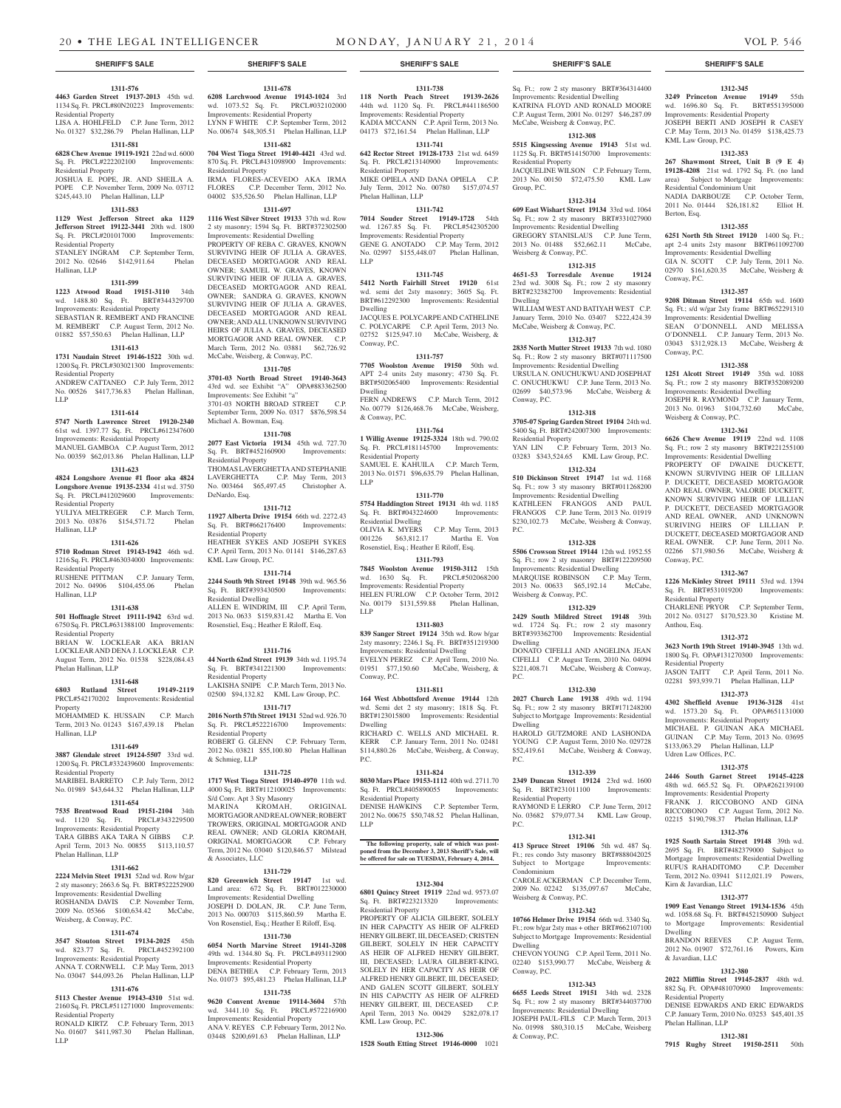**1311-678 6208 Larchwood Avenue 19143-1024** 3rd wd. 1073.52 Sq. Ft. PRCL#032102000 Improvements: Residential Property LYNN F WHITE C.P. September Term, 2012 No. 00674 \$48,305.51 Phelan Hallinan, LLP **1311-682 704 West Tioga Street 19140-4421** 43rd wd. 870 Sq. Ft. PRCL#431098900 Improvements:

IRMA FLORES-ACEVEDO AKA IRMA FLORES C.P. December Term, 2012 No. 04002 \$35,526.50 Phelan Hallinan, LLP **1311-697 1116 West Silver Street 19133** 37th wd. Row 2 sty masonry; 1594 Sq. Ft. BRT#372302500 Improvements: Residential Dwelling PROPERTY OF REBA C. GRAVES, KNOWN SURVIVING HEIR OF JULIA A. GRAVES, DECEASED MORTGAGOR AND REAL OWNER; SAMUEL W. GRAVES, KNOWN SURVIVING HEIR OF JULIA A. GRAVES, DECEASED MORTGAGOR AND REAL OWNER; SANDRA G. GRAVES, KNOWN SURVIVING HEIR OF JULIA A. GRAVES, DECEASED MORTGAGOR AND REAL OWNER; AND ALL UNKNOWN SURVIVING HEIRS OF JULIA A. GRAVES, DECEASED MORTGAGOR AND REAL OWNER. C.P. March Term, 2012 No. 03881 \$62,726.92 McCabe, Weisberg, & Conway, P.C. **1311-705 3701-03 North Broad Street 19140-3643**  43rd wd. see Exhibit "A" OPA#883362500

Residential Property

Improvements: See Exhibit "a" 3701-03 NORTH BROAD STREET September Term, 2009 No. 0317 \$876,598.54

**1311-708 2077 East Victoria 19134** 45th wd. 727.70 Sq. Ft. BRT#452160900 Improvements:

THOMAS LAVERGHETTA AND STEPHANIE LAVERGHETTA C.P. May Term, 2013 No. 003464 \$65,497.45 Christopher A.

**1311-712 11927 Alberta Drive 19154** 66th wd. 2272.43 Sq. Ft. BRT#662176400 Improvements:

HEATHER SYKES AND JOSEPH SYKES C.P. April Term, 2013 No. 01141 \$146,287.63

**1311-714 2244 South 9th Street 19148** 39th wd. 965.56 Sq. Ft. BRT#393430500 Improvements:

ALLEN E. WINDRIM, III C.P. April Term, 2013 No. 0633 \$159,831.42 Martha E. Von Rosenstiel, Esq.; Heather E Riloff, Esq.

**1311-716 44 North 62nd Street 19139** 34th wd. 1195.74 Sq. Ft. BRT#341221300 Improvements:

LAKISHA SNIPE C.P. March Term, 2013 No. 02500 \$94,132.82 KML Law Group, P.C. **1311-717 2016 North 57th Street 19131** 52nd wd. 926.70 Sq. Ft. PRCL#522216700 Improvements:

ROBERT G. GLENN C.P. February Term, 2012 No. 03821 \$55,100.80 Phelan Hallinan

**1311-725**

Michael A. Bowman, Esq.

Residential Property

Residential Property

KML Law Group, P.C.

Residential Dwelling

Residential Property

Residential Property

& Schmieg, LLP

DeNardo, Esq.

#### **1311-576**

**4463 Garden Street 19137-2013** 45th wd. 1134 Sq. Ft. PRCL#80N20223 Improvements: Residential Property

LISA A. HOHLFELD C.P. June Term, 2012 No. 01327 \$32,286.79 Phelan Hallinan, LLP

# **1311-581**

**6828 Chew Avenue 19119-1921** 22nd wd. 6000 Sq. Ft. PRCL#222202100 Improvements: Residential Property

JOSHUA E. POPE, JR. AND SHEILA A. POPE C.P. November Term, 2009 No. 03712 \$245,443.10 Phelan Hallinan, LLP

## **1311-583**

**1129 West Jefferson Street aka 1129 Jefferson Street 19122-3441** 20th wd. 1800 Sq. Ft. PRCL#201017000 Improvements: Residential Property

#### STANLEY INGRAM C.P. September Term, 2012 No. 02646 \$142,911.64 Phelan Hallinan, LLP

#### **1311-599**

**1223 Atwood Road 19151-3110** 34th wd. 1488.80 Sq. Ft. BRT#344329700 Improvements: Residential Property SEBASTIAN R. REMBERT AND FRANCINE M. REMBERT C.P. August Term, 2012 No. 01882 \$57,550.63 Phelan Hallinan, LLP

#### **1311-613**

**1731 Naudain Street 19146-1522** 30th wd. 1200 Sq. Ft. PRCL#303021300 Improvements: Residential Property

ANDREW CATTANEO C.P. July Term, 2012 No. 00526 \$417,736.83 Phelan Hallinan, LLP

#### **1311-614**

**5747 North Lawrence Street 19120-2340**  61st wd. 1397.77 Sq. Ft. PRCL#612347600 Improvements: Residential Property MANUEL GAMBOA C.P. August Term, 2012

No. 00359 \$62,013.86 Phelan Hallinan, LLP **1311-623**

**4824 Longshore Avenue #1 floor aka 4824 Longshore Avenue 19135-2334** 41st wd. 3750 Sq. Ft. PRCL#412029600 Improvements: Residential Property

YULIYA MELTREGER C.P. March Term, 2013 No. 03876 \$154,571.72 Phelan Hallinan, LLP

#### **1311-626**

**5710 Rodman Street 19143-1942** 46th wd. 1216 Sq. Ft. PRCL#463034000 Improvements: Residential Property

RUSHENE PITTMAN C.P. January Term, 2012 No. 04906 \$104,455.06 Phelan Hallinan, LLP

#### **1311-638**

**501 Hoffnagle Street 19111-1942** 63rd wd. 6750 Sq. Ft. PRCL#631388100 Improvements: Residential Property BRIAN W. LOCKLEAR AKA BRIAN LOCKLEAR AND DENA J. LOCKLEAR C.P.

August Term, 2012 No. 01538 \$228,084.43 Phelan Hallinan, LLP

# **1311-648**

**6803 Rutland Street 19149-2119**  PRCL#542170202 Improvements: Residential Property

MOHAMMED K. HUSSAIN C.P. March Term, 2013 No. 01243 \$167,439.18 Phelan Hallinan, LLP

#### **1311-649**

**3887 Glendale street 19124-5507** 33rd wd. 1200 Sq. Ft. PRCL#332439600 Improvements: Residential Property MARIBEL BARRETO C.P. July Term, 2012

**1311-654 7535 Brentwood Road 19151-2104** 34th wd. 1120 Sq. Ft. PRCL#343229500 Improvements: Residential Property TARA GIBBS AKA TARA N GIBBS C.P. April Term, 2013 No. 00855 \$113,110.57

**1311-662 2224 Melvin Steet 19131** 52nd wd. Row b/gar 2 sty masonry; 2663.6 Sq. Ft. BRT#522252900 Improvements: Residential Dwelling ROSHANDA DAVIS C.P. November Term, 2009 No. 05366 \$100,634.42 McCabe,

**1311-674 3547 Stouton Street 19134-2025** 45th wd. 823.77 Sq. Ft. PRCL#452392100 Improvements: Residential Property ANNA T. CORNWELL C.P. May Term, 2013 No. 03047 \$44,093.26 Phelan Hallinan, LLP **1311-676 5113 Chester Avenue 19143-4310** 51st wd. 2160 Sq. Ft. PRCL#511271000 Improvements:

RONALD KIRTZ C.P. February Term, 2013 No. 01607 \$411,987.30 Phelan Hallinan,

Phelan Hallinan, LLP

Residential Property

LLP

Weisberg, & Conway, P.C.

No. 01989 \$43,644.32 Phelan Hallinan, LLP **1717 West Tioga Street 19140-4970** 11th wd. 4000 Sq. Ft. BRT#112100025 Improvements: S/d Conv. Apt 3 Sty Masonry<br>MARINA KROMAH.

KROMAH, ORIGINAL MORTGAGOR AND REAL OWNER; ROBERT TROWERS, ORIGINAL MORTGAGOR AND REAL OWNER; AND GLORIA KROMAH, ORIGINAL MORTGAGOR C.P. Febrary Term, 2012 No. 03040 \$120,846.57 Milstead & Associates, LLC

#### **1311-729**

**820 Greenwich Street 19147** 1st wd. Land area: 672 Sq. Ft. BRT#012230000 Improvements: Residential Dwelling JOSEPH D. DOLAN, JR. C.P. June Term, 2013 No. 000703 \$115,860.59 Martha E. Von Rosenstiel, Esq.; Heather E Riloff, Esq.

#### **1311-730**

**6054 North Marvine Street 19141-3208**  49th wd. 1344.80 Sq. Ft. PRCL#493112900 Improvements: Residential Property DENA BETHEA C.P. February Term, 2013 No. 01073 \$95,481.23 Phelan Hallinan, LLP **1311-735**

**9620 Convent Avenue 19114-3604** 57th wd. 3441.10 Sq. Ft. PRCL#572216900 Improvements: Residential Property ANA V. REYES C.P. February Term, 2012 No. 03448 \$200,691.63 Phelan Hallinan, LLP

# **1311-738**

**118 North Peach Street 19139-2626**  44th wd. 1120 Sq. Ft. PRCL#441186500 Improvements: Residential Property KADIA MCCANN C.P. April Term, 2013 No. 04173 \$72,161.54 Phelan Hallinan, LLP

## **1311-741**

**642 Rector Street 19128-1733** 21st wd. 6459 Sq. Ft. PRCL#213140900 Improvements: Residential Property MIKE OPIELA AND DANA OPIELA C.P. July Term, 2012 No. 00780 \$157,074.57

Phelan Hallinan, LLP **1311-742**

**7014 Souder Street 19149-1728** 54th wd. 1267.85 Sq. Ft. PRCL#542305200 Improvements: Residential Property GENE G. ANOTADO C.P. May Term, 2012 No. 02997 \$155,448.07 Phelan Hallinan, LLP

#### **1311-745**

**5412 North Fairhill Street 19120** 61st wd. semi det 2sty masonry; 3605 Sq. Ft. BRT#612292300 Improvements: Residential Dwelling

JACQUES E. POLYCARPE AND CATHELINE C. POLYCARPE C.P. April Term, 2013 No. 02752 \$125,947.10 McCabe, Weisberg, & Conway, P.C.

#### **1311-757 7705 Woolston Avenue 19150** 50th wd. APT 2-4 units 2sty masonry; 4730 Sq. Ft. BRT#502065400 Improvements: Residential

Dwelling FERN ANDREWS C.P. March Term, 2012 No. 00779 \$126,468.76 McCabe, Weisberg, & Conway, P.C.

## **1311-764**

**1 Willig Avenue 19125-3324** 18th wd. 790.02 Sq. Ft. PRCL#181145700 Improvements: Residential Property SAMUEL E. KAHUILA C.P. March Term, 2013 No. 01571 \$96,635.79 Phelan Hallinan,

LLP

**1311-770 5754 Haddington Street 19131** 4th wd. 1185 Sq. Ft. BRT#043224600 Improvements: Residential Dwelling OLIVIA K. MYERS C.P. May Term, 2013 001226 \$63,812.17 Martha E. Von

Rosenstiel, Esq.; Heather E Riloff, Esq. **1311-793**

**7845 Woolston Avenue 19150-3112** 15th wd. 1630 Sq. Ft. PRCL#502068200 Improvements: Residential Property HELEN FURLOW C.P. October Term, 2012 No. 00179 \$131,559.88 Phelan Hallinan, LLP

#### **1311-803**

**839 Sanger Street 19124** 35th wd. Row b/gar 2sty masonry; 2246.1 Sq. Ft. BRT#351219300 Improvements: Residential Dwelling EVELYN PEREZ C.P. April Term, 2010 No. 01951 \$77,150.60 McCabe, Weisberg, & Conway, P.C.

#### **1311-811**

**164 West Abbottsford Avenue 19144** 12th wd. Semi det 2 sty masonry; 1818 Sq. Ft. BRT#123015800 Improvements: Residential Dwelling RICHARD C. WELLS AND MICHAEL R. KERR C.P. January Term, 2011 No. 02481 \$114,880.26 McCabe, Weisberg, & Conway, P.C.

#### **1311-824**

**8030 Mars Place 19153-1112** 40th wd. 2711.70 Sq. Ft. PRCL#405890055 Improvements: Residential Property

DENISE HAWKINS C.P. September Term, 2012 No. 00675 \$50,748.52 Phelan Hallinan, LLP

**The following property, sale of which was postponed from the December 3, 2013 Sheriff's Sale, will be offered for sale on TUESDAY, February 4, 2014.**

# **1312-304**

**6801 Quincy Street 19119** 22nd wd. 9573.07 Sq. Ft. BRT#223213320 Improvements:

Residential Property PROPERTY OF ALICIA GILBERT, SOLELY IN HER CAPACITY AS HEIR OF ALFRED HENRY GILBERT, III, DECEASED; CRISTEN GILBERT, SOLELY IN HER CAPACITY AS HEIR OF ALFRED HENRY GILBERT, III, DECEASED; LAURA GILBERT-KING, SOLELY IN HER CAPACITY AS HEIR OF ALFRED HENRY GILBERT, III, DECEASED; AND GALEN SCOTT GILBERT, SOLELY IN HIS CAPACITY AS HEIR OF ALFRED HENRY GILBERT, III, DECEASED C.P. April Term, 2013 No. 00429 \$282,078.17 KML Law Group, P.C.

#### **1312-306**

**1528 South Etting Street 19146-0000** 1021

#### **SHERIFF'S SALE SHERIFF'S SALE SHERIFF'S SALE SHERIFF'S SALE SHERIFF'S SALE**

Sq. Ft.; row 2 sty masonry BRT#364314400 Improvements: Residential Dwelling KATRINA FLOYD AND RONALD MOORE C.P. August Term, 2001 No. 01297 \$46,287.09 McCabe, Weisberg & Conway, P.C.

**1312-345 3249 Princeton Avenue 19149** 55th wd. 1696.80 Sq. Ft. BRT#551395000 Improvements: Residential Property JOSEPH BERTI AND JOSEPH R CASEY C.P. May Term, 2013 No. 01459 \$138,425.73

**1312-353 267 Shawmont Street, Unit B (9 E 4) 19128-4208** 21st wd. 1792 Sq. Ft. (no land area) Subject to Mortgage Improvements:

NADIA DARBOUZE C.P. October Term, 2011 No. 01444 \$26,181.82 Elliot H.

**1312-355 6251 North 5th Street 19120** 1400 Sq. Ft.; apt 2-4 units 2sty masonr BRT#611092700 Improvements: Residential Dwelling GIA N. SCOTT C.P. July Term, 2011 No. 02970 \$161,620.35 McCabe, Weisberg &

**1312-357 9208 Ditman Street 19114** 65th wd. 1600 Sq. Ft.; s/d w/gar 2sty frame BRT#652291310 Improvements: Residential Dwelling SEAN O'DONNELL AND MELISSA O'DONNELL C.P. January Term, 2013 No. 03043 \$312,928.13 McCabe, Weisberg &

**1312-358 1251 Alcott Street 19149** 35th wd. 1088 Sq. Ft.; row 2 sty masonry BRT#352089200 Improvements: Residential Dwelling JOSEPH R. RAYMOND C.P. January Term, 2013 No. 01963 \$104,732.60 McCabe,

**1312-361 6626 Chew Avenue 19119** 22nd wd. 1108 Sq. Ft.; row 2 sty masonry BRT#221255100 Improvements: Residential Dwelling PROPERTY OF DWAINE DUCKETT, KNOWN SURVIVING HEIR OF LILLIAN P. DUCKETT, DECEASED MORTGAGOR AND REAL OWNER, VALORIE DUCKETT, KNOWN SURVIVING HEIR OF LILLIAN P. DUCKETT, DECEASED MORTGAGOR AND REAL OWNER, AND UNKNOWN SURIVING HEIRS OF LILLIAN P. DUCKETT, DECEASED MORTGAGOR AND REAL OWNER. C.P. June Term, 2011 No. 02266 \$71,980.56 McCabe, Weisberg &

**1312-367 1226 McKinley Street 19111** 53rd wd. 1394 Sq. Ft. BRT#531019200 Improvements:

CHARLENE PRYOR C.P. September Term, 2012 No. 03127 \$170,523.30 Kristine M.

**1312-372 3623 North 19th Street 19140-3945** 13th wd. 1800 Sq. Ft. OPA#131270300 Improvements:

JASON TAITT C.P. April Term, 2011 No. 02281 \$93,939.71 Phelan Hallinan, LLP **1312-373 4302 Sheffield Avenue 19136-3128** 41st wd. 1573.20 Sq. Ft. OPA#651131000 Improvements: Residential Property MICHAEL P. GUINAN AKA MICHAEL GUINAN C.P. May Term, 2013 No. 03695 \$133,063.29 Phelan Hallinan, LLP

**1312-375 2446 South Garnet Street 19145-4228**  48th wd. 665.52 Sq. Ft. OPA#262139100 Improvements: Residential Property

FRANK J. RICCOBONO AND GINA RICCOBONO C.P. August Term, 2012 No. 02215 \$190,798.37 Phelan Hallinan, LLP **1312-376 1925 South Sartain Street 19148** 39th wd. 2695 Sq. Ft. BRT#482379000 Subject to Mortgage Improvements: Residential Dwelling RUFUS RAHADITOMO C.P. December Term, 2012 No. 03941 \$112,021.19 Powers,

**1312-377 1909 East Venango Street 19134-1536** 45th wd. 1058.68 Sq. Ft. BRT#452150900 Subject Mortgage Improvements: Residentia

BRANDON REEVES C.P. August Term, 2012 No. 01907 \$72,761.16 Powers, Kirn

**1312-380 2022 Mifflin Street 19145-2837** 48th wd. 882 Sq. Ft. OPA#481070900 Improvements:

DENISE EDWARDS AND ERIC EDWARDS C.P. January Term, 2010 No. 03253 \$45,401.35

**1312-381 7915 Rugby Street 19150-2511** 50th

KML Law Group, P.C.

Berton, Esq.

Conway, P.C.

Conway, P.C.

Conway, P.C.

Anthou, Esq.

Residential Property

Residential Property

Udren Law Offices, P.C.

Kirn & Javardian, LLC

Dwelling

& Javardian, LLC

Residential Property

Phelan Hallinan, LLP

Weisberg & Conway, P.C.

Residential Condominium Unit

#### **1312-308 5515 Kingsessing Avenue 19143** 51st wd.

1125 Sq. Ft. BRT#514150700 Improvements: Residential Property JACQUELINE WILSON C.P. February Term, 2013 No. 00150 \$72,475.50 KML Law Group, P.C.

#### **1312-314**

**609 East Wishart Street 19134** 33rd wd. 1064 Sq. Ft.; row 2 sty masonry BRT#331027900 Improvements: Residential Dwelling

GREGORY STANISLAUS C.P. June Term, 2013 No. 01488 \$52,662.11 McCabe, Weisberg & Conway, P.C.

# **1312-315**

**4651-53 Torresdale Avenue 19124**  23rd wd. 3008 Sq. Ft.; row 2 sty masonry BRT#232382700 Improvements: Residential Dwelling WILLIAM WEST AND BATIYAH WEST C.P.

January Term, 2010 No. 03407 \$222,424.39 McCabe, Weisberg & Conway, P.C. **1312-317**

# **2835 North Mutter Street 19133** 7th wd. 1080

Sq. Ft.; Row 2 sty masonry BRT#071117500 Improvements: Residential Dwelling URSULA N. ONUCHUKWU AND JOSEPHAT C. ONUCHUKWU C.P. June Term, 2013 No. 02699 \$40,573.96 McCabe, Weisberg & Conway, P.C.

#### **1312-318 3705-07 Spring Garden Street 19104** 24th wd.

5400 Sq. Ft. BRT#242007300 Improvements: Residential Property YAN LIN C.P. February Term, 2013 No. 03283 \$343,524.65 KML Law Group, P.C.

# **1312-324**

**510 Dickinson Street 19147** 1st wd. 1168 Sq. Ft.; row 3 sty masonry BRT#011268200 Improvements: Residential Dwelling KATHLEEN FRANGOS AND PAUL FRANGOS C.P. June Term, 2013 No. 01919 \$230,102.73 McCabe, Weisberg & Conway, P.C.

#### **1312-328**

**5506 Crowson Street 19144** 12th wd. 1952.55 Sq. Ft.; row 2 sty masonry BRT#122209500 Improvements: Residential Dwelling

#### MARQUISE ROBINSON C.P. May Term, 2013 No. 00633 \$65,192.14 McCabe, Weisberg & Conway, P.C.

# **1312-329**

**2429 South Mildred Street 19148** 39th wd. 1724 Sq. Ft.; row 2 sty masonry BRT#393362700 Improvements: Residential Dwelling

DONATO CIFELLI AND ANGELINA JEAN CIFELLI C.P. August Term, 2010 No. 04094 \$221,408.71 McCabe, Weisberg & Conway, P.C.

# **1312-330**

**2027 Church Lane 19138** 49th wd. 1194 Sq. Ft.; row 2 sty masonry BRT#171248200 Subject to Mortgage Improvements: Residential Dwelling

HAROLD GUTZMORE AND LASHONDA YOUNG C.P. August Term, 2010 No. 029728 \$52,419.61 McCabe, Weisberg & Conway, P.C.

# **1312-339**

Condominium

Dwelling

Conway, P.C.

& Conway, P.C.

Weisberg & Conway, P.C.

**2349 Duncan Street 19124** 23rd wd. 1600 Sq. Ft. BRT#231011100 Improvements: Residential Property RAYMOND E LERRO C.P. June Term, 2012

No. 03682 \$79,077.34 KML Law Group, P.C. **1312-341**

**413 Spruce Street 19106** 5th wd. 487 Sq. Ft.; res condo 3sty masonry BRT#888042025 Subject to Mortgage Improvements:

CAROLE ACKERMAN C.P. December Term, 2009 No. 02242 \$135,097.67 McCabe,

**1312-342 10766 Helmer Drive 19154** 66th wd. 3340 Sq. Ft.: row  $b/\text{gar}$  2sty mas + other BRT#662107100 Subject to Mortgage Improvements: Residential

CHEVON YOUNG C.P. April Term, 2011 No. 02240 \$153,990.77 McCabe, Weisberg &

**1312-343 6655 Leeds Street 19151** 34th wd. 2328 Sq. Ft.; row 2 sty masonry BRT#344037700 Improvements: Residential Dwelling JOSEPH PAUL-FILS C.P. March Term, 2013 No. 01998 \$80,310.15 McCabe, Weisberg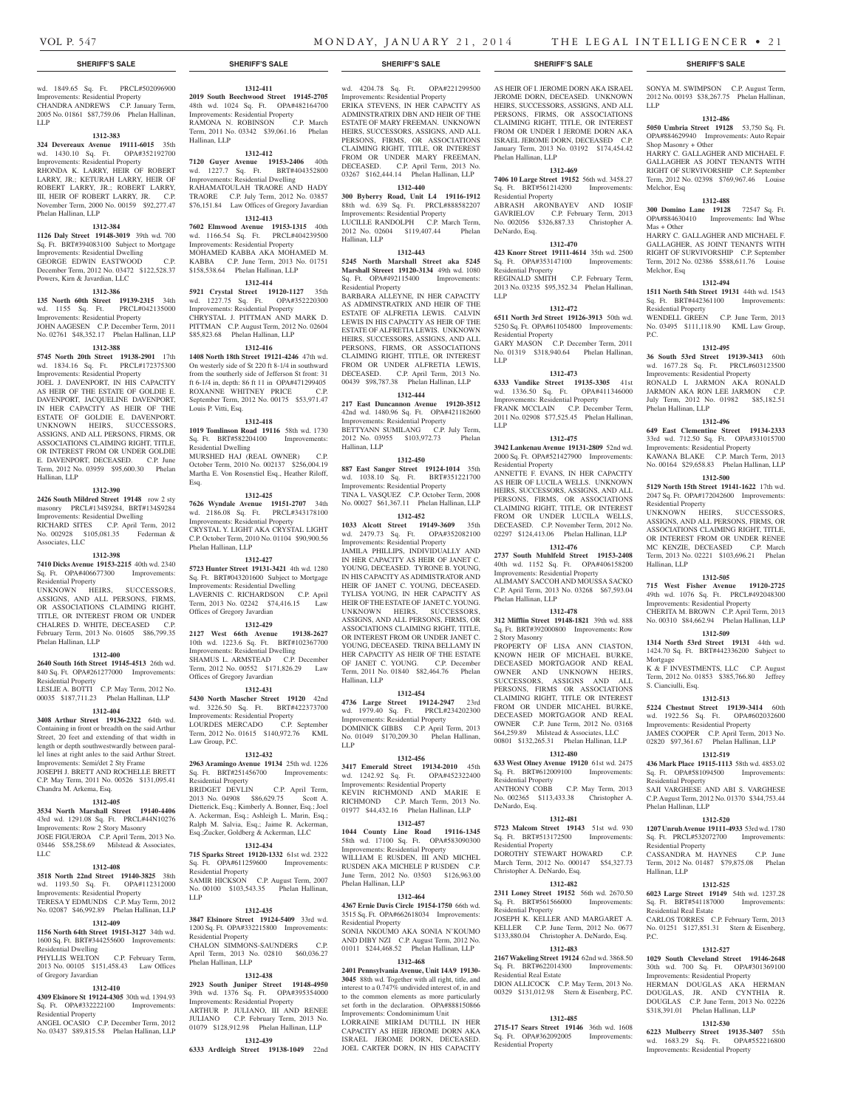wd. 1849.65 Sq. Ft. PRCL#502096900 Improvements: Residential Property CHANDRA ANDREWS C.P. January Term, 2005 No. 01861 \$87,759.06 Phelan Hallinan, LLP

#### **1312-383**

**324 Devereaux Avenue 19111-6015** 35th wd. 1430.10 Sq. Ft. OPA#352192700 Improvements: Residential Property RHONDA K. LARRY, HEIR OF ROBERT LARRY, JR.; KETURAH LARRY, HEIR OF ROBERT LARRY, JR.; ROBERT LARRY, III, HEIR OF ROBERT LARRY, JR. C.P. November Term, 2000 No. 00159 \$92,277.47 Phelan Hallinan, LLP

#### **1312-384**

**1126 Daly Street 19148-3019** 39th wd. 700 Sq. Ft. BRT#394083100 Subject to Mortgage Improvements: Residential Dwelling GEORGE EDWIN EASTWOOD C.P.

December Term, 2012 No. 03472 \$122,528.37 Powers, Kirn & Javardian, LLC **1312-386**

**135 North 60th Street 19139-2315** 34th wd. 1155 Sq. Ft. PRCL#042135000 Improvements: Residential Property JOHN AAGESEN C.P. December Term, 2011 No. 02761 \$48,352.17 Phelan Hallinan, LLP

#### **1312-388**

**5745 North 20th Street 19138-2901** 17th wd. 1834.16 Sq. Ft. PRCL#172375300

Improvements: Residential Property JOEL J. DAVENPORT, IN HIS CAPACITY AS HEIR OF THE ESTATE OF GOLDIE E. DAVENPORT, JACQUELINE DAVENPORT, IN HER CAPACITY AS HEIR OF THE ESTATE OF GOLDIE E. DAVENPORT. UNKNOWN HEIRS, SUCCESSORS, ASSIGNS, AND ALL PERSONS, FIRMS, OR ASSOCIATIONS CLAIMING RIGHT, TITLE, OR INTEREST FROM OR UNDER GOLDIE E. DAVENPORT, DECEASED. C.P. June Term, 2012 No. 03959 \$95,600.30 Phelan Hallinan, LLP

#### **1312-390**

**2426 South Mildred Street 19148** row 2 sty masonry PRCL#134S9284, BRT#134S9284 Improvements: Residential Dwelling RICHARD SITES C.P. April Term, 2012 No. 002928 \$105,081.35 Federman & Associates, LLC

#### **1312-398**

**7410 Dicks Avenue 19153-2215** 40th wd. 2340 Sq. Ft. OPA#406677300 Improvements:

Residential Property UNKNOWN HEIRS, SUCCESSORS, ASSIGNS, AND ALL PERSONS, FIRMS, OR ASSOCIATIONS CLAIMING RIGHT, TITLE, OR INTEREST FROM OR UNDER CHALRES D. WHITE, DECEASED C.P. February Term, 2013 No. 01605 \$86,799.35 Phelan Hallinan, LLP

# **1312-400**

**2640 South 16th Street 19145-4513** 26th wd. 840 Sq. Ft. OPA#261277000 Improvements: Residential Property

LESLIE A. BOTTI C.P. May Term, 2012 No. 00035 \$187,711.23 Phelan Hallinan, LLP

# **1312-404**

**3408 Arthur Street 19136-2322** 64th wd. Containing in front or breadth on the said Arthur Street, 20 feet and extending of that width in length or depth southwestwardly between parallel lines at right anles to the said Arthur Street. Improvements: Semi/det 2 Sty Frame JOSEPH J. BRETT AND ROCHELLE BRETT C.P. May Term, 2011 No. 00526 \$131,095.41 Chandra M. Arkema, Esq.

#### **1312-405**

**3534 North Marshall Street 19140-4406**  43rd wd. 1291.08 Sq. Ft. PRCL#44N10276 Improvements: Row 2 Story Masonry JOSE FIGUEROA C.P. April Term, 2013 No. 03446 \$58,258.69 Milstead & Associates, LLC

#### **1312-408**

**3518 North 22nd Street 19140-3825** 38th wd. 1193.50 Sq. Ft. OPA#112312000 Improvements: Residential Property TERESA Y EDMUNDS C.P. May Term, 2012

# No. 02087 \$46,992.89 Phelan Hallinan, LLP **1312-409 1156 North 64th Street 19151-3127** 34th wd.

1600 Sq. Ft. BRT#344255600 Improvements: Residential Dwelling<br>PHYLLIS WELTON C.P. February Term, 2013 No. 00105 \$151,458.43 Law Offices of Gregory Javardian

# **1312-410**

**4309 Elsinore St 19124-4305** 30th wd. 1394.93 Sq. Ft. OPA#332222100 Improvements: Residential Property

ANGEL OCASIO C.P. December Term, 2012 No. 03437 \$89,815.58 Phelan Hallinan, LLP

**1312-439 6333 Ardleigh Street 19138-1049** 22nd

### **SHERIFF'S SALE SHERIFF'S SALE SHERIFF'S SALE SHERIFF'S SALE SHERIFF'S SALE**

wd. 4204.78 Sq. Ft. OPA#221299500 Improvements: Residential Property ERIKA STEVENS, IN HER CAPACITY AS ADMINSTRATRIX DBN AND HEIR OF THE ESTATE OF MARY FREEMAN. UNKNOWN HEIRS, SUCCESSORS, ASSIGNS, AND ALL PERSONS, FIRMS, OR ASSOCIATIONS CLAIMING RIGHT, TITLE, OR INTEREST FROM OR UNDER MARY FREEMAN, DECEASED. C.P. April Term, 2013 No.

**1312-411 2019 South Beechwood Street 19145-2705**  48th wd. 1024 Sq. Ft. OPA#482164700 Improvements: Residential Property RAMONA N. ROBINSON C.P. March Term, 2011 No. 03342 \$39,061.16 Phelan

**1312-412 7120 Guyer Avenue 19153-2406** 40th wd. 1227.7 Sq. Ft. BRT#404352800 Improvements: Residential Dwelling RAHAMATOULAH TRAORE AND HADY TRAORE C.P. July Term, 2012 No. 03857 \$76,151.84 Law Offices of Gregory Javardian **1312-413 7602 Elmwood Avenue 19153-1315** 40th wd. 1166.54 Sq. Ft. PRCL#404239500 Improvements: Residential Property MOHAMED KABBA AKA MOHAMED M. KABBA C.P. June Term, 2013 No. 01751 \$158,538.64 Phelan Hallinan, LLP **1312-414 5921 Crystal Street 19120-1127** 35th wd. 1227.75 Sq. Ft. OPA#352220300 Improvements: Residential Property CHRYSTAL J. PITTMAN AND MARK D. PITTMAN C.P. August Term, 2012 No. 02604 \$85,823.68 Phelan Hallinan, LLP **1312-416 1408 North 18th Street 19121-4246** 47th wd. On westerly side of St 220 ft 8-1/4 in southward from the southerly side of Jefferson St front: 31 ft 6-1/4 in, depth: 86 ft 11 in OPA#471299405 ROXANNE WHITNEY PRICE C.P. September Term, 2012 No. 00175 \$53,971.47

Hallinan, LLP

Louis P. Vitti, Esq.

Residential Dwelling

Phelan Hallinan, LLP

Offices of Gregory Javardian

Offices of Gregory Javardian

Law Group, P.C.

Residential Property

Residential Property

Residential Property

Phelan Hallinan, LLP

LLP

Esq.

**1312-418 1019 Tomlinson Road 19116** 58th wd. 1730 Sq. Ft. BRT#582204100 Improvements:

MURSHED HAJ (REAL OWNER) C.P. October Term, 2010 No. 002137 \$256,004.19 Martha E. Von Rosenstiel Esq., Heather Riloff,

**1312-425 7626 Wyndale Avenue 19151-2707** 34th wd. 2186.08 Sq. Ft. PRCL#343178100 Improvements: Residential Property CRYSTAL Y. LIGHT AKA CRYSTAL LIGHT C.P. October Term, 2010 No. 01104 \$90,900.56

**1312-427 5723 Hunter Street 19131-3421** 4th wd. 1280 Sq. Ft. BRT#043201600 Subject to Mortgage Improvements: Residential Dwelling LAVERNIS C. RICHARDSON C.P. April Term, 2013 No. 02242 \$74,416.15 Law

**1312-429 2127 West 66th Avenue 19138-2627**  10th wd. 1223.6 Sq. Ft. BRT#102367700 Improvements: Residential Dwelling SHAMUS L. ARMSTEAD C.P. December Term, 2012 No. 00552 \$171,826.29 Law

**1312-431 5430 North Mascher Street 19120** 42nd wd. 3226.50 Sq. Ft. BRT#422373700 Improvements: Residential Property LOURDES MERCADO C.P. September Term, 2012 No. 01615 \$140,972.76 KML

**1312-432 2963 Aramingo Avenue 19134** 25th wd. 1226 Sq. Ft. BRT#251456700 Improvements:

BRIDGET DEVLIN C.P. April Term, 2013 No. 04908 \$86,629.75 Scott A. Dietterick, Esq.; Kimberly A. Bonner, Esq.; Joel A. Ackerman, Esq.; Ashleigh L. Marin, Esq.; Ralph M. Salvia, Esq.; Jaime R. Ackerman, Esq.;Zucker, Goldberg & Ackerman, LLC **1312-434 715 Sparks Street 19120-1332** 61st wd. 2322 Sq. Ft. OPA#611259600 Improvements:

SAMIR HICKSON C.P. August Term, 2007 No. 00100 \$103,543.35 Phelan Hallinan,

**1312-435 3847 Elsinore Street 19124-5409** 33rd wd. 1200 Sq. Ft. OPA#332215800 Improvements:

CHALON SIMMONS-SAUNDERS C.P. April Term, 2013 No. 02810 \$60,036.27

**1312-438 2923 South Juniper Street 19148-4950**  39th wd. 1376 Sq. Ft. OPA#395354000 Improvements: Residential Property ARTHUR P. JULIANO, III AND RENEE JULIANO C.P. February Term, 2013 No. 01079 \$128,912.98 Phelan Hallinan, LLP

# 03267 \$162,444.14 Phelan Hallinan, LLP

**1312-440 300 Byberry Road, Unit L4 19116-1912**  88th wd. 639 Sq. Ft. PRCL#888582207 Improvements: Residential Property LUCILLE RANDOLPH C.P. March Term, 2012 No. 02604 \$119,407.44 Phelan Hallinan, LLP

#### **1312-443**

**5245 North Marshall Street aka 5245 Marshall Streeet 19120-3134** 49th wd. 1080 Sq. Ft. OPA#492115400 Improvements: Residential Property BARBARA ALLEYNE, IN HER CAPACITY AS ADMINSTRATRIX AND HEIR OF THE ESTATE OF ALFRETIA LEWIS. CALVIN LEWIS IN HIS CAPACITY AS HEIR OF THE ESTATE OF ALFRETIA LEWIS. UNKNOWN HEIRS, SUCCESSORS, ASSIGNS, AND ALL PERSONS, FIRMS, OR ASSOCIATIONS

CLAIMING RIGHT, TITLE, OR INTEREST FROM OR UNDER ALFRETIA LEWIS. DECEASED. C.P. April Term, 2013 No. 00439 \$98,787.38 Phelan Hallinan, LLP

# **1312-444**

**217 East Duncannon Avenue 19120-3512**  42nd wd. 1480.96 Sq. Ft. OPA#421182600 Improvements: Residential Property BETTYANN SUMILANG C.P. July Term, 2012 No. 03955 \$103,972.73 Phelan Hallinan, LLP

## **1312-450**

**887 East Sanger Street 19124-1014** 35th wd. 1038.10 Sq. Ft. BRT#351221700 Improvements: Residential Property TINA L. VASQUEZ C.P. October Term, 2008 No. 00027 \$61,367.11 Phelan Hallinan, LLP

#### **1312-452 1033 Alcott Street 19149-3609** 35th

wd. 2479.73 Sq. Ft. OPA#352082100 Improvements: Residential Property JAMILA PHILLIPS, INDIVIDUALLY AND IN HER CAPACITY AS HEIR OF JANET C. YOUNG, DECEASED. TYRONE B. YOUNG, IN HIS CAPACITY AS ADIMISTRATOR AND HEIR OF JANET C. YOUNG, DECEASED. TYLISA YOUNG, IN HER CAPACITY AS HEIR OF THE ESTATE OF JANET C. YOUNG. UNKNOWN HEIRS, SUCCESSORS, ASSIGNS, AND ALL PERSONS, FIRMS, OR ASSOCIATIONS CLAIMING RIGHT, TITLE, OR INTEREST FROM OR UNDER JANET C. YOUNG, DECEASED. TRINA BELLAMY IN HER CAPACITY AS HEIR OF THE ESTATE OF JANET C. YOUNG. C.P. December Term, 2011 No. 01840 \$82,464.76 Phelan Hallinan, LLP

#### **1312-454**

**4736 Large Street 19124-2947** 23rd wd. 1979.40 Sq. Ft. PRCL#234202300 Improvements: Residential Property DOMINICK GIBBS C.P. April Term, 2013 No. 01049 \$170,209.30 Phelan Hallinan, LLP

# **1312-456**

**3417 Emerald Street 19134-2010** 45th wd. 1242.92 Sq. Ft. OPA#452322400 Improvements: Residential Property KEVIN RICHMOND AND MARIE E RICHMOND C.P. March Term, 2013 No. 01977 \$44,432.16 Phelan Hallinan, LLP

#### **1312-457**

**1044 County Line Road 19116-1345**  58th wd. 17100 Sq. Ft. OPA#583090300 Improvements: Residential Property WILLIAM E RUSDEN, III AND MICHEL. RUSDEN AKA MICHELE P RUSDEN C.P. June Term, 2012 No. 03503 \$126,963.00 Phelan Hallinan, LLP

# **1312-464**

**4367 Ernie Davis Circle 19154-1750** 66th wd. 3515 Sq. Ft. OPA#662618034 Improvements: ntial Property SONIA NKOUMO AKA SONIA N'KOUMO

AND DIBY NZI C.P. August Term, 2012 No. 01011 \$244,468.52 Phelan Hallinan, LLP **1312-468**

# **2401 Pennsylvania Avenue, Unit 14A9 19130-**

**3045** 88th wd. Together with all right, title, and interest to a 0.747% undivided interest of, in and to the common elements as more particularly set forth in the declaration. OPA#888150866 Improvements: Condominimum Unit LORRAINE MIRIAM DUTILL IN HER CAPACITY AS HEIR JEROME DORN AKA ISRAEL JEROME DORN, DECEASED. JOEL CARTER DORN, IN HIS CAPACITY

AS HEIR OF I. JEROME DORN AKA ISRAEL JEROME DORN, DECEASED. UNKNOWN HEIRS, SUCCESSORS, ASSIGNS, AND ALL PERSONS, FIRMS, OR ASSOCIATIONS CLAIMING RIGHT, TITLE, OR INTEREST FROM OR UNDER I JEROME DORN AKA ISRAEL JEROME DORN, DECEASED C.P. January Term, 2013 No. 03192 \$174,454.42 Phelan Hallinan, LLP

#### **1312-469 7406 10 Large Street 19152** 56th wd. 3458.27

Sq. Ft. BRT#561214200 Improvements: Residential Property ABRASH ARONBAYEV AND IOSIF GAVRIELOV C.P. February Term, 2013 No. 002056 \$326,887.33 Christopher A. DeNardo, Esq.

### **1312-470**

**423 Knorr Street 19111-4614** 35th wd. 2500 Sq. Ft. OPA#353147100 Improvements: Residential Property REGINALD SMITH C.P. February Term, 2013 No. 03235 \$95,352.34 Phelan Hallinan, LLP

#### **1312-472**

**6511 North 3rd Street 19126-3913** 50th wd. 5250 Sq. Ft. OPA#611054800 Improvements: Residential Property GARY MASON C.P. December Term, 2011

No. 01319 \$318,940.64 Phelan Hallinan, LLP

#### **1312-473**

**6333 Vandike Street 19135-3305** 41st wd. 1336.50 Sq. Ft. OPA#411346000 Improvements: Residential Property FRANK MCCLAIN C.P. December Term, 2011 No. 02908 \$77,525.45 Phelan Hallinan, LLP

# **1312-475**

**3942 Lankenau Avenue 19131-2809** 52nd wd. 2000 Sq. Ft. OPA#521427900 Improvements: Residential Property ANNETTE F. EVANS, IN HER CAPACITY AS HEIR OF LUCILA WELLS. UNKNOWN HEIRS, SUCCESSORS, ASSIGNS, AND ALL PERSONS, FIRMS, OR ASSOCIATIONS CLAIMING RIGHT, TITLE, OR INTEREST FROM OR UNDER LUCILA WELLS, DECEASED. C.P. November Term, 2012 No. 02297 \$124,413.06 Phelan Hallinan, LLP

#### **1312-476**

**2737 South Muhlfeld Street 19153-2408**  40th wd. 1152 Sq. Ft. OPA#406158200 Improvements: Residential Property ALIMAMY SACCOH AND MOUSSA SACKO C.P. April Term, 2013 No. 03268 \$67,593.04 Phelan Hallinan, LLP

# **1312-478**

**312 Mifflin Street 19148-1821** 39th wd. 888 Sq. Ft. BRT#392000800 Improvements: Row 2 Story Masonry PROPERTY OF LISA ANN CIASTON,

KNOWN HEIR OF MICHAEL BURKE, DECEASED MORTGAGOR AND REAL OWNER AND UNKNOWN HEIRS, SUCCESSORS, ASSIGNS AND ALL PERSONS, FIRMS OR ASSOCIATIONS CLAIMING RIGHT, TITLE OR INTEREST FROM OR UNDER MICAHEL BURKE, DECEASED MORTGAGOR AND REAL OWNER C.P. June Term, 2012 No. 03168 \$64,259.89 Milstead & Associates, LLC 00801 \$132,265.31 Phelan Hallinan, LLP

#### **1312-480**

**633 West Olney Avenue 19120** 61st wd. 2475 Sq. Ft. BRT#612009100 Improvements: Residential Property ANTHONY COBB C.P. May Term, 2013 No. 002365 \$113,433.38 Christopher A.

DeNardo, Esq. **1312-481**

**5723 Malcom Street 19143** 51st wd. 930 Sq. Ft. BRT#513172500 Improvements: Residential Property DOROTHY STEWART HOWARD C.P. March Term, 2012 No. 000147 \$54,327.73 Christopher A. DeNardo, Esq.

#### **1312-482**

**2311 Loney Street 19152** 56th wd. 2670.50 Sq. Ft. BRT#561566000 Improvements: Residential Property JOSEPH K. KELLER AND MARGARET A. KELLER C.P. June Term, 2012 No. 0677 \$133,880.04 Christopher A. DeNardo, Esq.

### **1312-483**

**2167 Wakeling Street 19124** 62nd wd. 3868.50 Sq. Ft. BRT#622014300 Residential Real Estate

DION ALLICOCK C.P. May Term, 2013 No. 00329 \$131,012.98 Stern & Eisenberg, P.C.

#### **1312-485**

**2715-17 Sears Street 19146** 36th wd. 1608 Sq. Ft. OPA#362092005 Improvements: Residential Property

#### SONYA M. SWIMPSON C.P. August Term, 2012 No. 00193 \$38,267.75 Phelan Hallinan, LLP

#### **1312-486**

**5050 Umbria Street 19128** 53,750 Sq. Ft. OPA#884629940 Improvements: Auto Repair Shop Masonry + Other

HARRY C. GALLAGHER AND MICHAEL F. GALLAGHER AS JOINT TENANTS WITH RIGHT OF SURVIVORSHIP C.P. September Term, 2012 No. 02398 \$769,967.46 Louise Melchor, Esq

#### **1312-488**

**300 Domino Lane 19128** 72547 Sq. Ft. OPA#884630410 Improvements: Ind Whse  $\text{Mas} + \text{Other}$ 

HARRY C. GALLAGHER AND MICHAEL F. GALLAGHER, AS JOINT TENANTS WITH RIGHT OF SURVIVORSHIP C.P. September Term, 2012 No. 02386 \$588,611.76 Louise Melchor, Esq

### **1312-494**

**1511 North 54th Street 19131** 44th wd. 1543 Sq. Ft. BRT#442361100 Improvements: Residential Property

WENDELL GREEN C.P. June Term, 2013 No. 03495 \$111,118.90 KML Law Group, P.C.

#### **1312-495**

**36 South 53rd Street 19139-3413** 60th wd. 1677.28 Sq. Ft. PRCL#603123500 Improvements: Residential Property

RONALD L JARMON AKA RONALD JARMON AKA RON LEE JARMON C.P. July Term, 2012 No. 01982 \$85,182.51 Phelan Hallinan, LLP

**649 East Clementine Street 19134-2333**  33rd wd. 712.50 Sq. Ft. OPA#331015700 Improvements: Residential Property KAWANA BLAKE C.P. March Term, 2013 No. 00164 \$29,658.83 Phelan Hallinan, LLP **1312-500 5129 North 15th Street 19141-1622** 17th wd. 2047 Sq. Ft. OPA#172042600 Improvements:

UNKNOWN HEIRS, SUCCESSORS, ASSIGNS, AND ALL PERSONS, FIRMS, OR ASSOCIATIONS CLAIMING RIGHT, TITLE, OR INTEREST FROM OR UNDER RENEE MC KENZIE, DECEASED C.P. March Term, 2013 No. 02221 \$103,696.21 Phelan

**1312-505 715 West Fisher Avenue 19120-2725**  49th wd. 1076 Sq. Ft. PRCL#492048300 Improvements: Residential Property CHERITA M. BROWN C.P. April Term, 2013 No. 00310 \$84,662.94 Phelan Hallinan, LLP **1312-509 1314 North 53rd Street 19131** 44th wd. 1424.70 Sq. Ft. BRT#442336200 Subject to

K & F INVESTMENTS, LLC C.P. August Term, 2012 No. 01853 \$385,766.80 Jeffrey

**1312-513 5224 Chestnut Street 19139-3414** 60th wd. 1922.56 Sq. Ft. OPA#602032600 Improvements: Residential Property JAMES COOPER C.P. April Term, 2013 No. 02820 \$97,361.67 Phelan Hallinan, LLP **1312-519 436 Mark Place 19115-1113** 58th wd. 4853.02 Sq. Ft. OPA#581094500 Improvements:

SAJI VARGHESE AND ABI S. VARGHESE C.P. August Term, 2012 No. 01370 \$344,753.44

**1312-520 1207 Unruh Avenue 19111-4933** 53rd wd. 1780 Sq. Ft. PRCL#532072700 Improvements:

CASSANDRA M. HAYNES C.P. June Term, 2012 No. 01487 \$79,875.08 Phelan

**1312-525 6023 Large Street 19149** 54th wd. 1237.28 Sq. Ft. BRT#541187000 Improvements:

CARLOS TORRES C.P. February Term, 2013 No. 01251 \$127,851.31 Stern & Eisenberg,

**1312-527 1029 South Cleveland Street 19146-2648**  30th wd. 700 Sq. Ft. OPA#301369100 Improvements: Residential Property HERMAN DOUGLAS AKA HERMAN DOUGLAS, JR. AND CYNTHIA R. DOUGLAS C.P. June Term, 2013 No. 02226 \$318,391.01 Phelan Hallinan, LLP **1312-530 6223 Mulberry Street 19135-3407** 55th wd. 1683.29 Sq. Ft. OPA#552216800 Improvements: Residential Property

#### **1312-496**

Residential Property

Hallinan, LLP

Mortgage

S. Cianciulli, Esq.

Residential Property

Phelan Hallinan, LLP

Residential Property

Residential Real Estate

Hallinan, LLP

P.C.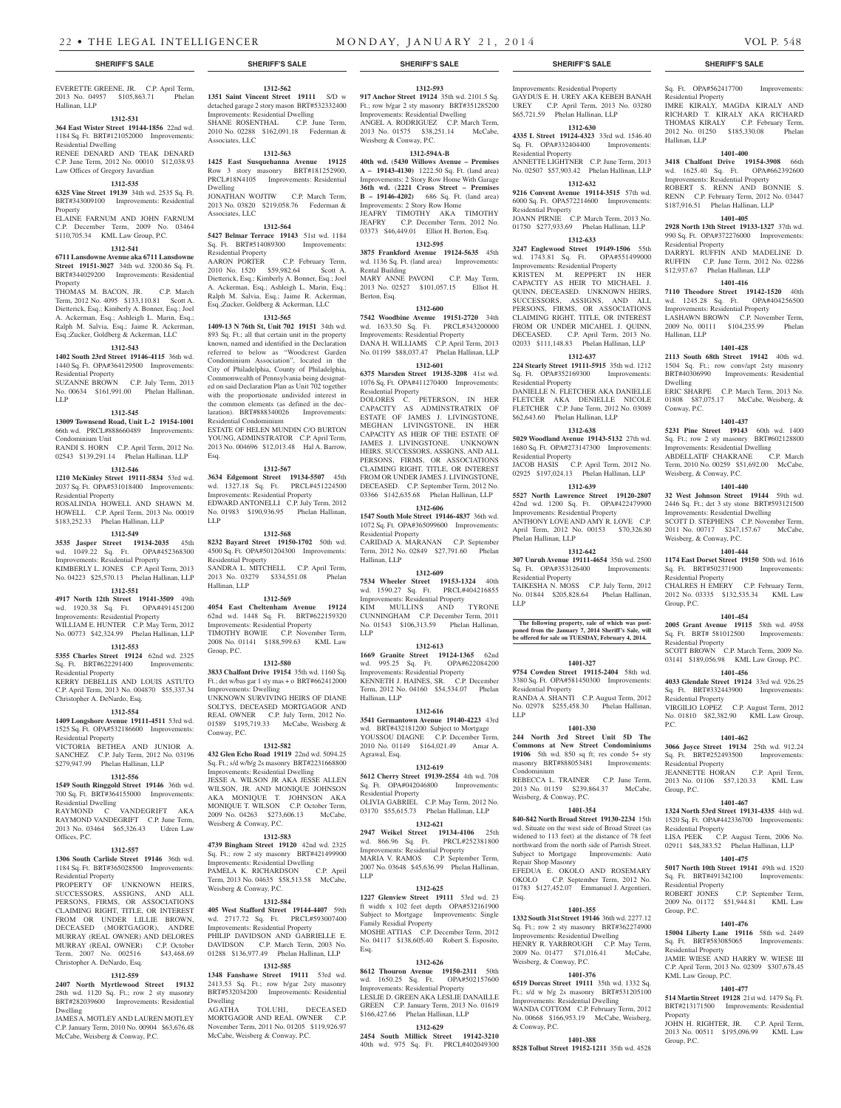EVERETTE GREENE, JR. C.P. April Term, 2013 No. 04957 \$105,863.71 Phelan Hallinan, LLP

#### **1312-531**

**364 East Wister Street 19144-1856** 22nd wd. 1184 Sq. Ft. BRT#121052000 Improvements: Residential Dwelling

RENEE DENARD AND TEAK DENARD C.P. June Term, 2012 No. 00010 \$12,038.93 Law Offices of Gregory Javardian

#### **1312-535**

**6325 Vine Street 19139** 34th wd. 2535 Sq. Ft. BRT#343009100 Improvements: Residential Property ELAINE FARNUM AND JOHN FARNUM

C.P. December Term, 2009 No. 03464 \$110,705.34 KML Law Group, P.C.

#### **1312-541**

**6711 Lansdowne Avenue aka 6711 Lansdowne Street 19151-3027** 34th wd. 3200.86 Sq. Ft. BRT#344029200 Improvements: Residential Property

THOMAS M. BACON, JR. C.P. March Term, 2012 No. 4095 \$133,110.81 Scott A. Dietterick, Esq.; Kimberly A. Bonner, Esq.; Joel A. Ackerman, Esq.; Ashleigh L. Marin, Esq.; Ralph M. Salvia, Esq.; Jaime R. Ackerman, Esq.;Zucker, Goldberg & Ackerman, LLC

## **1312-543**

**1402 South 23rd Street 19146-4115** 36th wd. 1440 Sq. Ft. OPA#364129500 Improvements: Residential Property

SUZANNE BROWN C.P. July Term, 2013 No. 00634 \$161,991.00 Phelan Hallinan, LLP

#### **1312-545**

#### **13009 Townsend Road, Unit L-2 19154-1001**  66th wd. PRCL#888660489 Improvements:

Condominium Unit RANDI S. HORN C.P. April Term, 2012 No. 02543 \$139,291.14 Phelan Hallinan, LLP

#### **1312-546**

**1210 McKinley Street 19111-5834** 53rd wd. 2037 Sq. Ft. OPA#531018400 Improvements: Residential Property ROSALINDA HOWELL AND SHAWN M.

HOWELL C.P. April Term, 2013 No. 00019 \$183,252.33 Phelan Hallinan, LLP

# **1312-549**

**3535 Jasper Street 19134-2035** 45th wd. 1049.22 Sq. Ft. OPA#452368300 Improvements: Residential Property KIMBERLY L. JONES C.P. April Term, 2013 No. 04223 \$25,570.13 Phelan Hallinan, LLP

#### **1312-551**

**4917 North 12th Street 19141-3509** 49th

wd. 1920.38 Sq. Ft. OPA#491451200 Improvements: Residential Property WILLIAM E. HUNTER C.P. May Term, 2012 No. 00773 \$42,324.99 Phelan Hallinan, LLP

#### **1312-553**

**5355 Charles Street 19124** 62nd wd. 2325 Sq. Ft. BRT#622291400 Improvements: Residential Property

KERRY DEBELLIS AND LOUIS ASTUTO C.P. April Term, 2013 No. 004870 \$55,337.34 Christopher A. DeNardo, Esq.

**1312-554 1409 Longshore Avenue 19111-4511** 53rd wd. 1525 Sq. Ft. OPA#532186600 Improvements:

#### Residential Property VICTORIA BETHEA AND JUNIOR A.

SANCHEZ C.P. July Term, 2012 No. 03196 \$279,947.99 Phelan Hallinan, LLP

### **1312-556**

**1549 South Ringgold Street 19146** 36th wd. 700 Sq. Ft. BRT#364155000 Improvements: Residential Dwelling

RAYMOND C VANDEGRIFT AKA RAYMOND VANDEGRIFT C.P. June Term, 2013 No. 03464 \$65,326.43 Udren Law Offices, P.C.

# **1312-557**

**1306 South Carlisle Street 19146** 36th wd. 1184 Sq. Ft. BRT#365028500 Improvements: Residential Property

PROPERTY OF UNKNOWN HEIRS, SUCCESSORS, ASSIGNS, AND ALL PERSONS, FIRMS, OR ASSOCIATIONS CLAIMING RIGHT, TITLE, OR INTEREST FROM OR UNDER LILLIE BROWN, DECEASED (MORTGAGOR), ANDRE MURRAY (REAL OWNER) AND DELORES MURRAY (REAL OWNER) C.P. October Term, 2007 No. 002516 \$43,468.69 Christopher A. DeNardo, Esq.

#### **1312-559**

**2407 North Myrtlewood Street 19132**  28th wd. 1120 Sq. Ft.; row 2 sty masonry BRT#282039600 Improvements: Residential Dwelling

JAMES A. MOTLEY AND LAUREN MOTLEY C.P. January Term, 2010 No. 00904 \$63,676.48 McCabe, Weisberg & Conway, P.C.

### **1312-562 1351 Saint Vincent Street 19111** S/D w detached garage 2 story mason BRT#532332400

Improvements: Residential Dwelling SHANE ROSENTHAL C.P. June Term, 2010 No. 02288 \$162,091.18 Federman & Associates, LLC

# **1312-563**

**1425 East Susquehanna Avenue 19125**  Row 3 story masonry BRT#181252900, PRCL#18N4105 Improvements: Residential Dwelling JONATHAN WOJTIW C.P. March Term, 2013 No. 03820 \$219,058.76 Federman & Associates, LLC

# **1312-564**

**5427 Belmar Terrace 19143** 51st wd. 1184 Sq. Ft. BRT#514089300 Improvements: Residential Property

AARON PORTER C.P. February Term, 2010 No. 1520 \$59,982.64 Scott A. Dietterick, Esq.; Kimberly A. Bonner, Esq.; Joel A. Ackerman, Esq.; Ashleigh L. Marin, Esq.; Ralph M. Salvia, Esq.; Jaime R. Ackerman, Esq.;Zucker, Goldberg & Ackerman, LLC

#### **1312-565**

**1409-13 N 76th St, Unit 702 19151** 34th wd. 893 Sq. Ft.; all that certain unit in the property known, named and identified in the Declaration referred to below as "Woodcrest Garden Condominium Association", located in the City of Philadelphia, County of Philadelphia, Commonwealth of Pennsylvania being designated on said Declaration Plan as Unit 702 together with the proportionate undivided interest in the common elements (as defined in the declaration). BRT#888340026 Improvements: Residential Condominium

ESTATE OF HELEN MUNDIN C/O BURTON YOUNG, ADMINSTRATOR C.P. April Term, 2013 No. 004696 \$12,013.48 Hal A. Barrow, Esq.

#### **1312-567**

**3634 Edgemont Street 19134-5507** 45th wd. 1327.18 Sq. Ft. PRCL#451224500 Improvements: Residential Property EDWARD ANTONELLI C.P. July Term, 2012 No. 01983 \$190,936.95 Phelan Hallinan, LLP

**1312-568**

**8232 Bayard Street 19150-1702** 50th wd. 4500 Sq. Ft. OPA#501204300 Improvements: Residential Property SANDRA L. MITCHELL C.P. April Term, 2013 No. 03279 \$334,551.08 Phelan Hallinan, LLP

#### **1312-569**

**4054 East Cheltenham Avenue 19124**  62nd wd. 1448 Sq. Ft. BRT#622159320 Improvements: Residential Property TIMOTHY BOWIE C.P. November Term, 2008 No. 01141 \$188,599.63 KML Law Group, P.C.

#### **1312-580**

**3833 Chalfont Drive 19154** 35th wd. 1160 Sq. Ft.; det w/bas gar 1 sty mas + o BRT#662412000 Improvements: Dwelling UNKNOWN SURVIVING HEIRS OF DIANE SOLTYS, DECEASED MORTGAGOR AND REAL OWNER C.P. July Term, 2012 No. 01589 \$195,719.33 McCabe, Weisberg & Conway, P.C.

#### **1312-582**

**432 Glen Echo Road 19119** 22nd wd. 5094.25 Sq. Ft.; s/d w/b/g 2s masonry BRT#2231668800 Improvements: Residential Dwelling JESSE A. WILSON JR AKA JESSE ALLEN WILSON, JR. AND MONIQUE JOHNSON AKA MONIQUE T. JOHNSON AKA MONIQUE T. WILSON C.P. October Term, 2009 No. 04263 \$273,606.13 McCabe, Weisberg & Conway, P.C.

# **1312-583**

**4739 Bingham Street 19120** 42nd wd. 2325 Sq. Ft.; row 2 sty masonry BRT#421499900 Improvements: Residential Dwelling<br>PAMELA K. RICHARDSON C.P. April PAMELA K. RICHARDSON Term, 2013 No. 04635 \$58,513.58 McCabe, Weisberg & Conway, P.C.

#### **1312-584**

**405 West Stafford Street 19144-4407** 59th wd. 2717.72 Sq. Ft. PRCL#593007400 Improvements: Residential Property PHILIP DAVIDSON AND GABRIELLE E. DAVIDSON C.P. March Term, 2003 No. 01288 \$136,977.49 Phelan Hallinan, LLP

#### **1312-585**

**1348 Fanshawe Street 19111** 53rd wd. 2413.53 Sq. Ft.; row b/gar 2sty masonry BRT#532034200 Improvements: Residential Dwelling<br>AGATHA TOLUHI, DECEASED MORTGAGOR AND REAL OWNER C.P. November Term, 2011 No. 01205 \$119,926.97 McCabe, Weisberg & Conway, P.C.

**1312-593 917 Anchor Street 19124** 35th wd. 2101.5 Sq. Ft.; row b/gar 2 sty masonry BRT#351285200 Improvements: Residential Dwelling ANGEL A. RODRIGUEZ C.P. March Term, 2013 No. 01575 \$38,251.14 McCabe, Weisberg & Conway, P.C.

# **1312-594A-B**

**40th wd.** (**5430 Willows Avenue – Premises A – 19143-4130)** 1222.50 Sq. Ft. (land area) Improvements: 2 Story Row Home With Garage **36th wd.** (**2221 Cross Street – Premises B – 19146-4202)** 686 Sq. Ft. (land area) Improvements: 2 Story Row Home JEAFRY TIMOTHY AKA TIMOTHY JEAFRY C.P. December Term, 2012 No. 03373 \$46,449.01 Elliot H. Berton, Esq.

#### **1312-595 3875 Frankford Avenue 19124-5635** 45th

wd. 1136 Sq. Ft. (land area) Improvements: Rental Building MARY ANNE PAVONI C.P. May Term, 2013 No. 02527 \$101,057.15 Elliot H. Berton, Esq.

## **1312-600**

**7542 Woodbine Avenue 19151-2720** 34th wd. 1633.50 Sq. Ft. PRCL#343200000 Improvements: Residential Property DANA H. WILLIAMS C.P. April Term, 2013 No. 01199 \$88,037.47 Phelan Hallinan, LLP

# **1312-601**

**6375 Marsden Street 19135-3208** 41st wd. 1076 Sq. Ft. OPA#411270400 Improvements: Residential Property DOLORES C. PETERSON, IN HER CAPACITY AS ADMINSTRATRIX OF ESTATE OF JAMES J. LIVINGSTONE. MEGHAN LIVINGSTONE, IN HER CAPACITY AS HEIR OF THE ESTATE OF JAMES J. LIVINGSTONE. UNKNOWN HEIRS, SUCCESSORS, ASSIGNS, AND ALL

PERSONS, FIRMS, OR ASSOCIATIONS CLAIMING RIGHT, TITLE, OR INTEREST FROM OR UNDER JAMES J. LIVINGSTONE, DECEASED. C.P. September Term, 2012 No. 03366 \$142,635.68 Phelan Hallinan, LLP **1312-606**

# **1547 South Mole Street 19146-4837** 36th wd.

1072 Sq. Ft. OPA#365099600 Improvements: Residential Property CARIDAD A. MARANAN C.P. September Term, 2012 No. 02849 \$27,791.60 Phelan Hallinan, LLP

# **1312-609**

**7534 Wheeler Street 19153-1324** 40th wd. 1590.27 Sq. Ft. PRCL#404216855 Improvements: Residential Property KIM MULLINS AND TYRONE CUNNINGHAM C.P. December Term, 2011 No. 01543 \$106,313.59 Phelan Hallinan, LLP

## **1312-613**

**1669 Granite Street 19124-1365** 62nd wd. 995.25 Sq. Ft. OPA#622084200 Improvements: Residential Property KENNETH J. HAINES, SR. C.P. December Term, 2012 No. 04160 \$54,534.07 Phelan Hallinan, LLP

#### **1312-616**

**3541 Germantown Avenue 19140-4223** 43rd wd. BRT#432181200 Subject to Mortgage YOUSSOU DIAGNE C.P. December Term, 2010 No. 01149 \$164,021.49 Amar A. Agrawal, Esq.

#### **1312-619**

**5612 Cherry Street 19139-2554** 4th wd. 708 Sq. Ft. OPA#042046800 Improvements: Residential Property OLIVIA GABRIEL C.P. May Term, 2012 No. 03170 \$55,615.73 Phelan Hallinan, LLP

**1312-621 2947 Weikel Street 19134-4106** 25th wd. 866.96 Sq. Ft. PRCL#252381800 Improvements: Residential Property MARIA V. RAMOS C.P. September Term,

2007 No. 03648 \$45,636.99 Phelan Hallinan, LLP **1312-625**

**1227 Glenview Street 19111** 53rd wd. 23 ft width x 102 feet depth OPA#532161900 Subject to Mortgage Improvements: Single mily Residial Property MOSHE ATTIAS C.P. December Term, 2012 No. 04117 \$138,605.40 Robert S. Esposito, Esq.

# **1312-626**

**8612 Thouron Avenue 19150-2311** 50th wd. 1650.25 Sq. Ft. OPA#502157600 Improvements: Residential Property LESLIE D. GREEN AKA LESLIE DANAILLE GREEN C.P. January Term, 2013 No. 01619 \$166,427.66 Phelan Hallinan, LLP

#### **1312-629**

**2454 South Millick Street 19142-3210**  40th wd. 975 Sq. Ft. PRCL#402049300

#### **SHERIFF'S SALE SHERIFF'S SALE SHERIFF'S SALE SHERIFF'S SALE SHERIFF'S SALE**

Improvements: Residential Property GAYDUS E. H. UREY AKA KEBEH BANAH UREY C.P. April Term, 2013 No. 03280 \$65,721.59 Phelan Hallinan, LLP

Sq. Ft. OPA#562417700 Improvements:

IMRE KIRALY, MAGDA KIRALY AND RICHARD T. KIRALY AKA RICHARD THOMAS KIRALY C.P. February Term, 2012 No. 01250 \$185,330.08 Phelan

**1401-400 3418 Chalfont Drive 19154-3908** 66th wd. 1625.40 Sq. Ft. OPA#662392600 Improvements: Residential Property ROBERT S. RENN AND BONNIE S. RENN C.P. February Term, 2012 No. 03447 \$187,916.51 Phelan Hallinan, LLP **1401-405 2928 North 13th Street 19133-1327** 37th wd. 990 Sq. Ft. OPA#372276000 Improvements:

DARRYL RUFFIN AND MADELINE D. RUFFIN C.P. June Term, 2012 No. 02286 \$12,937.67 Phelan Hallinan, LLP **1401-416 7110 Theodore Street 19142-1520** 40th wd. 1245.28 Sq. Ft. OPA#404256500 Improvements: Residential Property LASHAWN BROWN C.P. November Term,<br>2009 No. 00111 \$104,235.99 Phelan 2009 No. 00111 \$104,235.99

**1401-428 2113 South 68th Street 19142** 40th wd. 1504 Sq. Ft.; row conv/apt 2sty masonry BRT#40306990 Improvements: Residential

ERIC SHARPE C.P. March Term, 2013 No. 01808 \$87,075.17 McCabe, Weisberg, &

**1401-437 5231 Pine Street 19143** 60th wd. 1400 Sq. Ft.; row 2 sty masonry BRT#602128800 Improvements: Residential Dwelling<br>ABDELLATIF CHAKRANE C.P. March

Term, 2010 No. 00259 \$51,692.00 McCabe,

**1401-440 32 West Johnson Street 19144** 59th wd. 2446 Sq. Ft.; det 3 sty stone BRT#593121500 Improvements: Residential Dwelling SCOTT D. STEPHENS C.P. November Term, 2011 No. 00717 \$247,157.67 McCabe,

**1401-444 1174 East Dorset Street 19150** 50th wd. 1616 Sq. Ft. BRT#502371900 Improvements:

CHALRES H EMERY C.P. February Term, 2012 No. 03335 \$132,535.34 KML Law

**1401-454 2005 Grant Avenue 19115** 58th wd. 4958 Sq. Ft. BRT# 581012500 Improvements:

SCOTT BROWN C.P. March Term, 2009 No. 03141 \$189,056.98 KML Law Group, P.C. **1401-456 4033 Glendale Street 19124** 33rd wd. 926.25 Sq. Ft. BRT#332443900 Improvements:

VIRGILIO LOPEZ C.P. August Term, 2012 No. 01810 \$82,382.90 KML Law Group,

**1401-462 3066 Joyce Street 19134** 25th wd. 912.24 Sq. Ft. BRT#252493500 Improvements:

JEANNETTE HORAN C.P. April Term, 2013 No. 01106 \$57,120.33 KML Law

**1401-467 1324 North 53rd Street 19131-4335** 44th wd. 1520 Sq. Ft. OPA#442336700 Improvements:

02911 \$48,383.52 Phelan Hallinan, LLP **1401-475 5017 North 10th Street 19141** 49th wd. 1520 Sq. Ft. BRT#491342100 Improvements:

2009 No. 01172 \$51,944.81 KML Law

**1401-476 15004 Liberty Lane 19116** 58th wd. 2449<br>Sq. Ft. BRT#583085065 Improvements:

JAMIE WIESE AND HARRY W. WIESE III C.P. April Term, 2013 No. 02309 \$307,678.45

**1401-477 514 Martin Street 19128** 21st wd. 1479 Sq. Ft. BRT#213171500 Improvements: Residential

JOHN H. RIGHTER, JR. C.P. April Term, 2013 No. 00511 \$195,096.99 KML Law

C.P. August Term, 2006 No.

C.P. September Term,

ABDELLATIF CHAKRANE

Weisberg, & Conway, P.C.

Weisberg, & Conway, P.C.

Residential Property

Residential Property

Residential Property

Residential Property

Residential Property<br>LISA PEEK C.P.

Residential Property<br>ROBERT JONES

Sq. Ft. BRT#583085065 Residential Property

KML Law Group, P.C.

Group, P.C.

Property

Group, P.C.

Group, P.C.

P.C.

Group, P.C.

Residential Property

Residential Property

Hallinan, LLP

Dwelling

Conway, P.C.

Hallinan, LLP

**1312-630 4335 L Street 19124-4323** 33rd wd. 1546.40<br>Sq. Ft. OPA#332404400 Improvements: Sq. Ft. OPA#332404400 Residential Property

ANNETTE LIGHTNER C.P. June Term, 2013 No. 02507 \$57,903.42 Phelan Hallinan, LLP **1312-632 9216 Convent Avenue 19114-3515** 57th wd. 6000 Sq. Ft. OPA572214600 Improvements:

JOANN PIRNIE C.P. March Term, 2013 No. 01750 \$277,933.69 Phelan Hallinan, LLP **1312-633 3247 Englewood Street 19149-1506** 55th wd. 1743.81 Sq. Ft. OPA#551499000 Improvements: Residential Property KRISTEN M. REPPERT IN HER CAPACITY AS HEIR TO MICHAEL J. QUINN, DECEASED. UNKNOWN HEIRS, SUCCESSORS, ASSIGNS, AND ALL PERSONS, FIRMS, OR ASSOCIATIONS CLAIMING RIGHT, TITLE, OR INTEREST FROM OR UNDER MICAHEL J. QUINN, DECEASED. C.P. April Term, 2013 No. 02033 \$111,148.83 Phelan Hallinan, LLP **1312-637 224 Stearly Street 19111-5915** 35th wd. 1212 Sq. Ft. OPA#352169300 Improvements:

DANIELLE N. FLETCHER AKA DANIELLE FLETCER AKA DENIELLE NICOLE FLETCHER C.P. June Term, 2012 No. 03089 \$62,643.60 Phelan Hallinan, LLP

**1312-638 5029 Woodland Avenue 19143-5132** 27th wd. 1680 Sq. Ft. OPA#273147300 Improvements:

JACOB HASIS C.P. April Term, 2012 No. 02925 \$197,024.13 Phelan Hallinan, LLP **1312-639 5527 North Lawrence Street 19120-2807**  42nd wd. 1200 Sq. Ft. OPA#422479900 Improvements: Residential Property ANTHONY LOVE AND AMY R. LOVE C.P. April Term, 2012 No. 00153 \$70,326.80

**1312-642 307 Unruh Avenue 19111-4654** 35th wd. 2500 Sq. Ft. OPA#353126400 Improvements:

TAIKESHA N. MOSS C.P. July Term, 2012 No. 01844 \$205,828.64 Phelan Hallinan,

**The following property, sale of which was post-poned from the January 7, 2014 Sheriff's Sale, will be offered for sale on TUESDAY, February 4, 2014.**

**1401-327 9754 Cowden Street 19115-2404** 58th wd. 3380 Sq. Ft. OPA#581450300 Improvements:

RANDA A. SHANTI C.P. August Term, 2012 No. 02978 \$255,458.30 Phelan Hallinan,

**1401-330 244 North 3rd Street Unit 5D The Commons at New Street Condominiums 19106** 5th wd. 850 sq ft; res condo 5+ sty masonry BRT#888053481 Improvements:

REBECCA L. TRAINER C.P. June Term, 2013 No. 01159 \$239,864.37 McCabe,

**1401-354 840-842 North Broad Street 19130-2234** 15th wd. Situate on the west side of Broad Street (as widened to 113 feet) at the distance of 78 feet northward from the north side of Parrish Street. Subject to Mortgage Improvements: Auto

EFEDUA E. OKOLO AND ROSEMARY OKOLO C.P. September Term, 2012 No. 01783 \$127,452.07 Emmanuel J. Argentieri,

**1401-355 1332 South 31st Street 19146** 36th wd. 2277.12 Sq. Ft.; row 2 sty masonry BRT#362274900 Improvements: Residential Dwelling HENRY R. YARBROUGH C.P. May Term, 2009 No. 01477 \$71,016.41 McCabe

**1401-376 6519 Dorcas Street 19111** 35th wd. 1332 Sq. Ft.; s/d w b/g 2s masonry BRT#531205100 Improvements: Residential Dwelling WANDA COTTOM C.P. February Term, 2012 No. 00668 \$166,953.19 McCabe, Weisberg,

**1401-388 8528 Tolbut Street 19152-1211** 35th wd. 4528

Residential Property

Residential Property

Residential Property

Phelan Hallinan, LLP

Residential Property

Residential Property

Condominium

Weisberg, & Conway, P.C.

Repair Shop Masonry

Weisberg, & Conway, P.C.

& Conway, P.C.

Esq.

LLP

LLP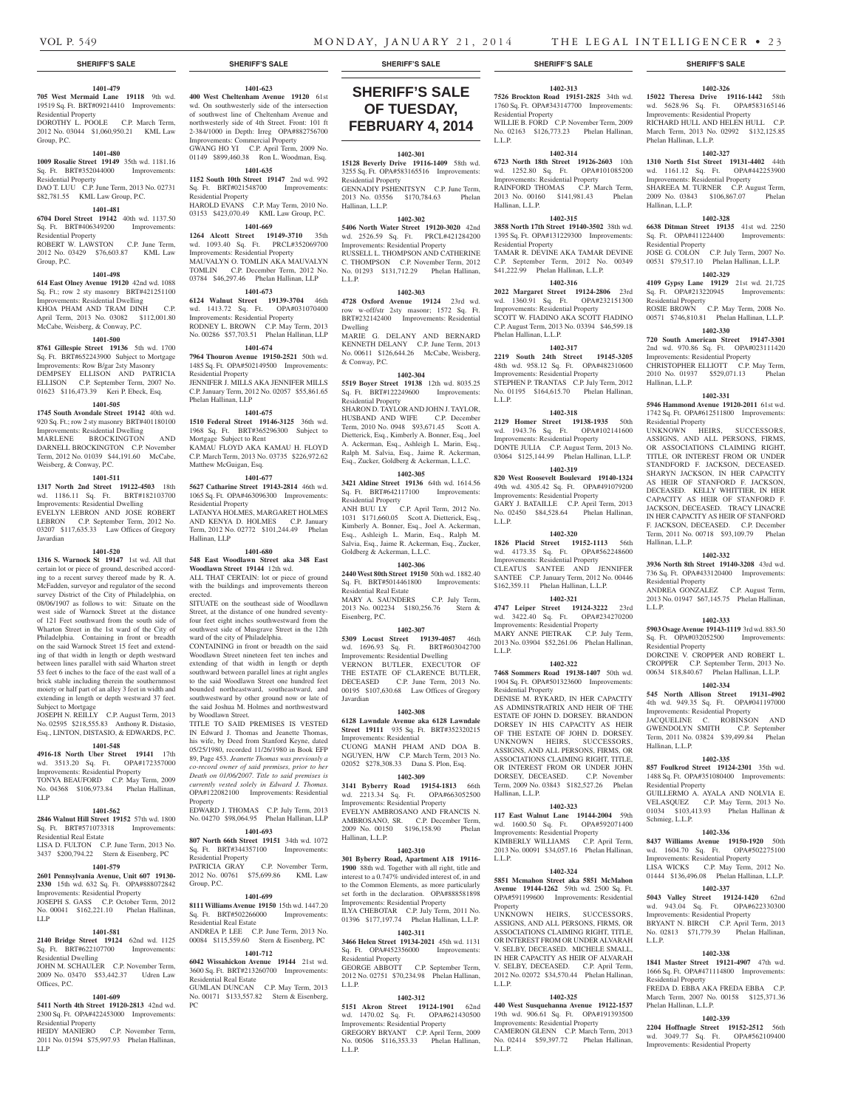Phelan Hallinan, L.L.P.

Hallinan, L.L.P.

Residential Property

Residential Property

Hallinan, L.L.P.

Residential Property

Hallinan, L.L.P.

Residential Property

Residential Property

Hallinan, L.L.P.

Residential Property

wd. 1604.70 Sq. Ft. Improvements: Residential Property LISA WICKS C.P. May Term, 2012 No. 01444 \$136,496.08 Phelan Hallinan, L.L.P. **1402-337 5043 Valley Street 19124-1420** 62nd wd. 943.04 Sq. Ft. OPA#622330300 Improvements: Residential Property BRYANT N. BIRCH C.P. April Term, 2013 No. 02813 \$71,779.39 Phelan Hallinan,

Schmieg, L.L.P.

L.L.P.

Residential Property

Phelan Hallinan, L.L.P.

L.L.P.

**1402-326 15022 Theresa Drive 19116-1442** 58th wd. 5628.96 Sq. Ft. OPA#583165146 Improvements: Residential Property RICHARD HULL AND HELEN HULL C.P. March Term, 2013 No. 02992 \$132,125.85

**1402-327 1310 North 51st Street 19131-4402** 44th wd. 1161.12 Sq. Ft. OPA#442253900 Improvements: Residential Property SHAREEA M. TURNER C.P. August Term, 2009 No. 03843 \$106,867.07 Phelan

**1402-328 6638 Ditman Street 19135** 41st wd. 2250 Sq. Ft. OPA#411224400 Improvements:

JOSE G. COLON C.P. July Term, 2007 No. 00531 \$79,517.10 Phelan Hallinan, L.L.P. **1402-329 4109 Gypsy Lane 19129** 21st wd. 21,725 Sq. Ft. OPA#213220945 Improvements:

ROSIE BROWN C.P. May Term, 2008 No. 00571 \$746,810.81 Phelan Hallinan, L.L.P. **1402-330 720 South American Street 19147-3301**  2nd wd. 970.86 Sq. Ft. OPA#023111420 Improvements: Residential Property CHRISTOPHER ELLIOTT C.P. May Term, 2010 No. 01937 \$529,071.13 Phelan

**1402-331 5946 Hammond Avenue 19120-2011** 61st wd. 1742 Sq. Ft. OPA#612511800 Improvements:

UNKNOWN HEIRS, SUCCESSORS, ASSIGNS, AND ALL PERSONS, FIRMS, OR ASSOCIATIONS CLAIMING RIGHT, TITLE, OR INTEREST FROM OR UNDER STANDFORD F. JACKSON, DECEASED. SHARYN JACKSON, IN HER CAPACITY AS HEIR OF STANFORD F. JACKSON DECEASED. KELLY WHITTIER, IN HER CAPACITY AS HEIR OF STANFORD F. JACKSON, DECEASED. TRACY LINACRE IN HER CAPACITY AS HEIR OF STANFORD F. JACKSON, DECEASED. C.P. December Term, 2011 No. 00718 \$93,109.79 Phelan

**1402-332 3936 North 8th Street 19140-3208** 43rd wd. 736 Sq. Ft. OPA#433120400 Improvements:

ANDREA GONZALEZ C.P. August Term, 2013 No. 01947 \$67,145.75 Phelan Hallinan,

**1402-333 5903 Osage Avenue 19143-1119** 3rd wd. 883.50 Sq. Ft. OPA#032052500 Improvements:

DORCINE V. CROPPER AND ROBERT L. CROPPER C.P. September Term, 2013 No. 00634 \$18,840.67 Phelan Hallinan, L.L.P. **1402-334 545 North Allison Street 19131-4902**  4th wd. 949.35 Sq. Ft. OPA#041197000 Improvements: Residential Property JACQUELINE C. ROBINSON AND GWENDOLYN SMITH C.P. September Term, 2011 No. 03824 \$39,499.84 Phelan

**1402-335 857 Foulkrod Street 19124-2301** 35th wd. 1488 Sq. Ft. OPA#351080400 Improvements:

GUILLERMO A. AYALA AND NOLVIA E. VELASQUEZ C.P. May Term, 2013 No. 01034 \$103,413.93 Phelan Hallinan &

**1402-336 8437 Williams Avenue 19150-1920** 50th<br>wd. 1604.70 Sq. Ft. OPA#502275100

**1402-338 1841 Master Street 19121-4907** 47th wd. 1666 Sq. Ft. OPA#471114800 Improvements:

FREDA D. EBBA AKA FREDA EBBA C.P. March Term, 2007 No. 00158 \$125,371.36

**1402-339 2204 Hoffnagle Street 19152-2512** 56th wd. 3049.77 Sq. Ft. OPA#562109400 Improvements: Residential Property

# **SHERIFF'S SALE SHERIFF'S SALE SHERIFF'S SALE SHERIFF'S SALE SHERIFF'S SALE**

#### **1401-479 705 West Mermaid Lane 19118** 9th wd.

19519 Sq. Ft. BRT#09214410 Improvements: Residential Property DOROTHY L. POOLE C.P. March Term,

2012 No. 03044 \$1,060,950.21 KML Law Group, P.C.

## **1401-480**

**1009 Rosalie Street 19149** 35th wd. 1181.16 Sq. Ft. BRT#352044000 Improvements: Residential Property DAO T. LUU C.P. June Term, 2013 No. 02731

# \$82,781.55 KML Law Group, P.C.

Group, P.C.

**1401-481 6704 Dorel Street 19142** 40th wd. 1137.50 Sq. Ft. BRT#406349200

#### Residential Property ROBERT W. LAWSTON C.P. June Term, 2012 No. 03429 \$76,603.87 KML Law

#### **1401-498**

**614 East Olney Avenue 19120** 42nd wd. 1088 Sq. Ft.; row 2 sty masonry BRT#421251100 Improvements: Residential Dwelling KHOA PHAM AND TRAM DINH C.P. April Term, 2013 No. 03082 \$112,001.80 McCabe, Weisberg, & Conway, P.C.

# **1401-500**

**8761 Gillespie Street 19136** 5th wd. 1700 Sq. Ft. BRT#652243900 Subject to Mortgage Improvements: Row B/gar 2sty Masonry DEMPSEY ELLISON AND PATRICIA ELLISON C.P. September Term, 2007 No. 01623 \$116,473.39 Keri P. Ebeck, Esq.

## **1401-505**

**1745 South Avondale Street 19142** 40th wd. 920 Sq. Ft.; row 2 sty masonry BRT#401180100 Improvements: Residential Dwelling MARLENE BROCKINGTON AND DARNELL BROCKINGTON C.P. November Term, 2012 No. 01039 \$44,191.60 McCabe, Weisberg, & Conway, P.C.

#### **1401-511**

**1317 North 2nd Street 19122-4503** 18th wd. 1186.11 Sq. Ft. BRT#182103700 Improvements: Residential Dwelling EVELYN LEBRON AND JOSE ROBERT LEBRON C.P. September Term, 2012 No. 03207 \$117,635.33 Law Offices of Gregory Javardian

#### **1401-520**

**1316 S. Warnock St 19147** 1st wd. All that certain lot or piece of ground, described according to a recent survey thereof made by R. A. McFadden, surveyor and regulator of the second survey District of the City of Philadelphia, on 08/06/1907 as follows to wit: Situate on the west side of Warnock Street at the distance of 121 Feet southward from the south side of Wharton Street in the 1st ward of the City of Philadelphia. Containing in front or breadth on the said Warnock Street 15 feet and extending of that width in length or depth westward between lines parallel with said Wharton street 53 feet 6 inches to the face of the east wall of a brick stable including therein the southernmost moiety or half part of an alley 3 feet in width and extending in length or depth westward 37 feet. Subject to Mortgage

JOSEPH N. REILLY C.P. August Term, 2013 No. 02595 \$218,555.83 Anthony R. Distasio, Esq., LINTON, DISTASIO, & EDWARDS, P.C.

# **1401-548**

**4916-18 North Uber Street 19141** 17th wd. 3513.20 Sq. Ft. OPA#172357000 Improvements: Residential Property TONYA BEAUFORD C.P. May Term, 2009 No. 04368 \$106,973.84 Phelan Hallinan, LLP

#### **1401-562**

**2846 Walnut Hill Street 19152** 57th wd. 1800 Sq. Ft. BRT#571073318 Improvements:

Residential Real Estate LISA D. FULTON C.P. June Term, 2013 No. 3437 \$200,794.22 Stern & Eisenberg, PC

#### **1401-579**

**2601 Pennsylvania Avenue, Unit 607 19130- 2330** 15th wd. 632 Sq. Ft. OPA#888072842 Improvements: Residential Property

JOSEPH S. GASS C.P. October Term, 2012 No. 00041 \$162,221.10 Phelan Hallinan, LLP

# **1401-581**

**2140 Bridge Street 19124** 62nd wd. 1125 Sq. Ft. BRT#622107700 Improvements: Residential Dwelling JOHN M. SCHAULER C.P. November Term,

# 2009 No. 03470 \$53,442.37 Udren Law Offices, P.C. **1401-609**

**5411 North 4th Street 19120-2813** 42nd wd. 2300 Sq. Ft. OPA#422453000 Improvements:

Residential Property<br>HEIDY MANIERO C.P. November Term,

2011 No. 01594 \$75,997.93 Phelan Hallinan, LLP

# **1401-623**

**400 West Cheltenham Avenue 19120** 61st wd. On southwesterly side of the intersection of southwest line of Cheltenham Avenue and northwesterly side of 4th Street. Front: 101 ft 2-384/1000 in Depth: Irreg OPA#882756700 Improvements: Commercial Property GWANG HO YI C.P. April Term, 2009 No. 01149 \$899,460.38 Ron L. Woodman, Esq.

**1401-635 1152 South 10th Street 19147** 2nd wd. 992

Sq. Ft. BRT#021548700 Improvements: Residential Property HAROLD EVANS C.P. May Term, 2010 No. 03153 \$423,070.49 KML Law Group, P.C.

#### **1401-669**

**1264 Alcott Street 19149-3710** 35th wd. 1093.40 Sq. Ft. PRCL#352069700 Improvements: Residential Property MAUVALYN O. TOMLIN AKA MAUVALYN TOMLIN C.P. December Term, 2012 No. 03784 \$46,297.46 Phelan Hallinan, LLP

## **1401-673**

**6124 Walnut Street 19139-3704** 46th wd. 1413.72 Sq. Ft. OPA#031070400 Improvements: Residential Property RODNEY L. BROWN C.P. May Term, 2013 No. 00286 \$57,703.51 Phelan Hallinan, LLP

# **1401-674**

**7964 Thouron Avenue 19150-2521** 50th wd. 1485 Sq. Ft. OPA#502149500 Improvements: Residential Property JENNIFER J. MILLS AKA JENNIFER MILLS C.P. January Term, 2012 No. 02057 \$55,861.65 Phelan Hallinan, LLP

#### **1401-675**

**1510 Federal Street 19146-3125** 36th wd. 1968 Sq. Ft. BRT#365296300 Subject to Mortgage Subject to Rent KAMAU FLOYD AKA KAMAU H. FLOYD C.P. March Term, 2013 No. 03735 \$226,972.62 Matthew McGuigan, Esq.

#### **1401-677**

**5627 Catharine Street 19143-2814** 46th wd. 1065 Sq. Ft. OPA#463096300 Improvements: Residential Property LATANYA HOLMES, MARGARET HOLMES

AND KENYA D. HOLMES C.P. January Term, 2012 No. 02772 \$101,244.49 Phelan Hallinan, LLP **1401-680**

**548 East Woodlawn Street aka 348 East Woodlawn Street 19144** 12th wd. ALL THAT CERTAIN: lot or piece of ground with the buildings and improvements thereon

erected. SITUATE on the southeast side of Woodlawn Street, at the distance of one hundred seventyfour feet eight inches southwestward from the southwest side of Musgrave Street in the 12th ward of the city of Philadelphia.

CONTAINING in front or breadth on the said Woodlawn Street nineteen feet ten inches and extending of that width in length or depth southward between parallel lines at right angles to the said Woodlawn Street one hundred feet bounded northeastward, southeastward, and southwestward by other ground now or late of the said Joshua M. Holmes and northwestward by Woodlawn Street.

TITLE TO SAID PREMISES IS VESTED IN Edward J. Thomas and Jeanette Thomas, his wife, by Deed from Stanford Keyne, dated 05/25/1980, recorded 11/26/1980 in Book EFP 89, Page 453. *Jeanette Thomas was previously a co-record owner of said premises, prior to her Death on 01/06/2007. Title to said premises is currently vested solely in Edward J. Thomas.* OPA#122082100 Improvements: Residential Property

EDWARD J. THOMAS C.P. July Term, 2013 No. 04270 \$98,064.95 Phelan Hallinan, LLP

#### **1401-693**

**807 North 66th Street 19151** 34th wd. 1072 Sq. Ft. BRT#344357100 Improvements: Residential Property PATRICIA GRAY C.P. November Term, 2012 No. 00761 \$75,699.86 KML Law

Group, P.C.

# **1401-699**

**8111 Williams Avenue 19150** 15th wd. 1447.20 Sq. Ft. BRT#502266000 Improvements: ial Real Estate

ANDREA P. LEE C.P. June Term, 2013 No. 00084 \$115,559.60 Stern & Eisenberg, PC **1401-712**

**6042 Wissahickon Avenue 19144** 21st wd. 3600 Sq. Ft. BRT#213260700 Improvements: Residential Real Estate GUMLAN DUNCAN C.P. May Term, 2013 No. 00171 \$133,557.82 Stern & Eisenberg, PC

# **SHERIFF'S SALE OF TUESDAY, February 4, 2014**

#### **1402-301**

**15128 Beverly Drive 19116-1409** 58th wd. 3255 Sq. Ft. OPA#583165516 Improvements: Residential Property GENNADIY PSHENITSYN C.P. June Term, 2013 No. 03556 \$170,784.63 Phelan Hallinan, L.L.P.

#### **1402-302**

**5406 North Water Street 19120-3020** 42nd wd. 2526.59 Sq. Ft. PRCL#421284200 Improvements: Residential Property RUSSELL L. THOMPSON AND CATHERINE C. THOMPSON C.P. November Term, 2012 No. 01293 \$131,712.29 Phelan Hallinan, L.L.P.

#### **1402-303**

**4728 Oxford Avenue 19124** 23rd wd. row w-off/str 2sty masonr; 1572 Sq. Ft. BRT#232142400 Improvements: Residential Dwelling MARIE G. DELANY AND BERNARD

KENNETH DELANY C.P. June Term, 2013 No. 00611 \$126,644.26 McCabe, Weisberg, & Conway, P.C.

#### **1402-304**

**5519 Boyer Street 19138** 12th wd. 8035.25 Sq. Ft. BRT#122249600 Improvements: Residential Property SHARON D. TAYLOR AND JOHN J. TAYLOR, HUSBAND AND WIFE C.P. December Term, 2010 No. 0948 \$93,671.45 Scott A. Dietterick, Esq., Kimberly A. Bonner, Esq., Joel A. Ackerman, Esq., Ashleigh L. Marin, Esq., Ralph M. Salvia, Esq., Jaime R. Ackerman, Esq., Zucker, Goldberg & Ackerman, L.L.C.

#### **1402-305**

**3421 Aldine Street 19136** 64th wd. 1614.56<br>Sq. Ft. BRT#642117100 Improvements: Sq. Ft. BRT#642117100 Residential Property

ANH BUU LY C.P. April Term, 2012 No. 1031 \$171,660.05 Scott A. Dietterick, Esq., Kimberly A. Bonner, Esq., Joel A. Ackerman, Esq., Ashleigh L. Marin, Esq., Ralph M. Salvia, Esq., Jaime R. Ackerman, Esq., Zucker, Goldberg & Ackerman, L.L.C.

## **1402-306**

**2440 West 80th Street 19150** 50th wd. 1882.40 Sq. Ft. BRT#5014461800 Improvements: Residential Real Estate MARY A. SAUNDERS C.P. July Term,

2013 No. 002234 \$180,256.76 Stern & Eisenberg, P.C.

#### **1402-307**

**5309 Locust Street 19139-4057** 46th wd. 1696.93 Sq. Ft. BRT#603042700 Improvements: Residential Dwelling VERNON BUTLER, EXECUTOR OF THE ESTATE OF CLARENCE BUTLER, DECEASED C.P. June Term, 2013 No. 00195 \$107,630.68 Law Offices of Gregory Javardian

#### **1402-308**

**6128 Lawndale Avenue aka 6128 Lawndale Street 19111** 935 Sq. Ft. BRT#352320215 Improvements: Residential CUONG MANH PHAM AND DOA B.

NGUYEN, H/W C.P. March Term, 2013 No. 02052 \$278,308.33 Dana S. Plon, Esq.

# **1402-309**

**3141 Byberry Road 19154-1813** 66th wd. 2213.34 Sq. Ft. Improvements: Residential Property EVELYN AMBROSANO AND FRANCIS N. AMBROSANO, SR. C.P. December Term, 2009 No. 00150 \$196,158.90 Phelan Hallinan, L.L.P.

#### **1402-310**

**301 Byberry Road, Apartment A18 19116- 1900** 88th wd. Together with all right, title and interest to a 0.747% undivided interest of, in and to the Common Elements, as more particularly set forth in the declaration. OPA#888581898 Improvements: Residential Property ILYA CHEBOTAR C.P. July Term, 2011 No. 01396 \$177,197.74 Phelan Hallinan, L.L.P.

#### **1402-311**

**3466 Helen Street 19134-2021** 45th wd. 1131 Sq. Ft. OPA#452356000 Improvements: Residential Property GEORGE ABBOTT C.P. September Term,

2012 No. 02751 \$70,234.98 Phelan Hallinan, L.L.P.

#### **1402-312**

**5151 Akron Street 19124-1901** 62nd wd. 1470.02 Sq. Ft. OPA#621430500 Improvements: Residential Property GREGORY BRYANT C.P. April Term, 2009 No. 00506 \$116,353.33 Phelan Hallinan, L.L.P.

#### **1402-313 7526 Brockton Road 19151-2825** 34th wd.

1760 Sq. Ft. OPA#343147700 Improvements: Residential Property WILLIE B. FORD C.P. November Term, 2009 No. 02163 \$126,773.23 Phelan Hallinan, L.L.P.

#### **1402-314**

**6723 North 18th Street 19126-2603** 10th wd. 1252.80 Sq. Ft. OPA#101085200 Improvements: Residential Property RAINFORD THOMAS C.P. March Term, 2013 No. 00160 \$141,981.43 Phelan Hallinan, L.L.P.

**1402-315 3858 North 17th Street 19140-3502** 38th wd. 1395 Sq. Ft. OPA#131229300 Improvements:

TAMAR R. DEVINE AKA TAMAR DEVINE C.P. September Term, 2012 No. 00349 \$41,222.99 Phelan Hallinan, L.L.P. **1402-316 2022 Margaret Street 19124-2806** 23rd wd. 1360.91 Sq. Ft. OPA#232151300 Improvements: Residential Property SCOTT W. FIADINO AKA SCOTT FIADINO C.P. August Term, 2013 No. 03394 \$46,599.18

**1402-317 2219 South 24th Street 19145-3205**  48th wd. 958.12 Sq. Ft. OPA#482310600 Improvements: Residential Property STEPHEN P. TRANTAS C.P. July Term, 2012 No. 01195 \$164,615.70 Phelan Hallinan,

**1402-318 2129 Homer Street 19138-1935** 50th wd. 1943.76 Sq. Ft. OPA#102141600 Improvements: Residential Property DONTE JULIA C.P. August Term, 2013 No. 03064 \$125,144.99 Phelan Hallinan, L.L.P. **1402-319 820 West Roosevelt Boulevard 19140-1324**  49th wd. 4305.42 Sq. Ft. OPA#491079200 Improvements: Residential Property GARY J. BATAILLE C.P. April Term, 2013 No. 02450 \$84,528.64 Phelan Hallinan,

**1402-320 1826 Placid Street 19152-1113** 56th wd. 4173.35 Sq. Ft. OPA#562248600 Improvements: Residential Property CLEATUS SANTEE AND JENNIFER SANTEE C.P. January Term, 2012 No. 00446 \$162,359.11 Phelan Hallinan, L.L.P. **1402-321 4747 Leiper Street 19124-3222** 23rd wd. 3422.40 Sq. Ft. OPA#234270200 Improvements: Residential Property MARY ANNE PIETRAK C.P. July Term, 2013 No. 03904 \$52,261.06 Phelan Hallinan,

**1402-322 7468 Sommers Road 19138-1407** 50th wd. 1904 Sq. Ft. OPA#501323600 Improvements:

DENISE M. RYKARD, IN HER CAPACITY AS ADMINSTRATRIX AND HEIR OF THE ESTATE OF JOHN D. DORSEY. BRANDON DORSEY IN HIS CAPACITY AS HEIR OF THE ESTATE OF JOHN D. DORSEY. UNKNOWN HEIRS, SUCCESSORS, ASSIGNS, AND ALL PERSONS, FIRMS, OR ASSOCIATIONS CLAIMING RIGHT, TITLE, OR INTEREST FROM OR UNDER JOHN DORSEY, DECEASED. C.P. November

Term, 2009 No. 03843 \$182,527.26 Phelan

**1402-323 117 East Walnut Lane 19144-2004** 59th wd. 1600.50 Sq. Ft. OPA#592071400 Improvements: Residential Property KIMBERLY WILLIAMS C.P. April Term, 2013 No. 00091 \$34,057.16 Phelan Hallinan,

**1402-324 5851 Mcmahon Street aka 5851 McMahon Avenue 19144-1262** 59th wd. 2500 Sq. Ft. OPA#591199600 Improvements: Residential

UNKNOWN HEIRS, SUCCESSORS, ASSIGNS, AND ALL PERSONS, FIRMS, OR ASSOCIATIONS CLAIMING RIGHT, TITLE, OR INTEREST FROM OR UNDER ALVARAH V. SELBY, DECEASED. MICHELE SMALL, IN HER CAPACITY AS HEIR OF ALVARAH V. SELBY, DECEASED. C.P. April Term, 2012 No. 02072 \$34,570.44 Phelan Hallinan,

**1402-325 440 West Susquehanna Avenue 19122-1537**  19th wd. 906.61 Sq. Ft. OPA#191393500 Improvements: Residential Property CAMERON GLENN C.P. March Term, 2013 No. 02414 \$59,397.72 Phelan Hallinan,

Residential Property

Phelan Hallinan, L.L.P.

L.L.P.

L.L.P.

L.L.P.

Residential Property

DORSEY, DECEASED.

Hallinan, L.L.P.

L.L.P.

Property

L.L.P.

L.L.P.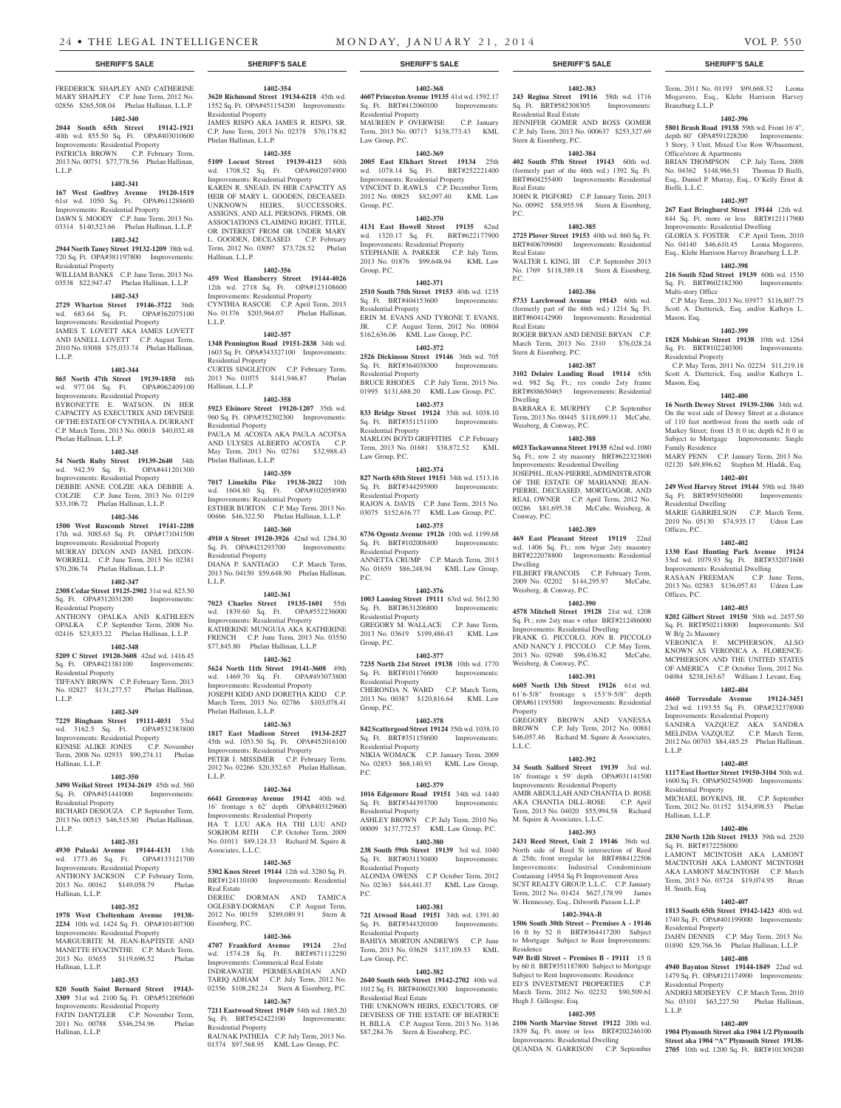**1402-368 4607 Princeton Avenue 19135** 41st wd. 1592.17 Sq. Ft. BRT#412060100 Improvements:

MAUREEN P. OVERWISE C.P. January Term, 2013 No. 00717 \$138,773.43 KML

**1402-369 2005 East Elkhart Street 19134** 25th wd. 1078.14 Sq. Ft. BRT#252221400 Improvements: Residential Property VINCENT D. RAWLS C.P. December Term, 2012 No. 00825 \$82,097.40 KML Law

**1402-370 4131 East Howell Street 19135** 62nd wd. 1320.17 Sq. Ft. BRT#622177900 Improvements: Residential Property STEPHANIE A. PARKER C.P. July Term, 2013 No. 01876 \$99,648.94 KML Law

**1402-371 2510 South 75th Street 19153** 40th wd. 1235 Sq. Ft. BRT#404153600 Improvements:

ERIN M. EVANS AND TYRONE T. EVANS,<br>JR. C.P. August Term. 2012 No. 00804 C.P. August Term, 2012 No. 00804

BRUCE RHODES C.P. July Term, 2013 No. 01995 \$131,688.20 KML Law Group, P.C. **1402-373 833 Bridge Street 19124** 35th wd. 1038.10 Sq. Ft. BRT#351151100 Improvements:

MARLON BOYD GRIFFITHS C.P. February Term, 2013 No. 01681 \$38,872.52 KML

**1402-374 827 North 65th Street 19151** 34th wd. 1513.16 Sq. Ft. BRT#344295900 Improvements:

RAJON A. DAVIS C.P. June Term, 2013 No. 03075 \$152,616.77 KML Law Group, P.C. **1402-375 6736 Ogontz Avenue 19126** 10th wd. 1199.68 Sq. Ft. BRT#102008400 Improvements:

ANNETTA CRUMP C.P. March Term, 2013 No. 01659 \$86,248.94 KML Law Group,

**1402-376 1003 Lansing Street 19111** 63rd wd. 5612.50 Sq. Ft. BRT#631206800 Improvements:

GREGORY M. WALLACE C.P. June Term, 2013 No. 03619 \$199,486.43 KML Law

**1402-377 7235 North 21st Street 19138** 10th wd. 1770 Sq. Ft. BRT#101176600 Improvements:

CHERONDA N. WARD C.P. March Term, 2013 No. 00387 \$120,816.64 KML Law

**1402-378 842 Scattergood Street 19124** 35th wd. 1038.10 Sq. Ft. BRT#351158600 Improvements:

NIKIA WOMACK C.P. January Term, 2009 No. 02853 \$68,140.93 KML Law Group,

**1402-379 1016 Edgemore Road 19151** 34th wd. 1440 Sq. Ft. BRT#344393700 Improvements:

ASHLEY BROWN C.P. July Term, 2010 No. 00009 \$137,772.57 KML Law Group, P.C. **1402-380 238 South 59th Street 19139** 3rd wd. 1040 Sq. Ft. BRT#031130400 Improvements:

ALONDA OWENS C.P. October Term, 2012 No. 02363 \$44,441.37 KML Law Group,

**1402-381 721 Atwood Road 19151** 34th wd. 1391.40 Sq. Ft. BRT#344320100 Improvements:

BAHIYA MORTON ANDREWS C.P. June Term, 2013 No. 03629 \$137,109.53 KML

**1402-382 2640 South 66th Street 19142-2702** 40th wd. 1012 Sq. Ft. BRT#406021300 Improvements:

THE UNKNOWN HEIRS, EXECUTORS, OF DEVISESS OF THE ESTATE OF BEATRICE H. BILLA C.P. August Term, 2013 No. 3146 \$87,284.76 Stern & Eisenberg, P.C.

\$162,636.06 KML Law Group, P.C. **1402-372 2526 Dickinson Street 19146** 36th wd. 705 Sq. Ft. BRT#364038300 Improvements:

Residential Property

Law Group, P.C.

Group, P.C.

Group, P.C.

Residential Property

Residential Property

Residential Property

Law Group, P.C.

Residential Property

Residential Property

Residential Property

Residential Property

Residential Property

Residential Property

Residential Property

Residential Property

Residential Real Estate

Law Group, P.C.

Group, P.C.

Group, P.C.

P.C.

P.C.

P.C.

#### FREDERICK SHAPLEY AND CATHERINE MARY SHAPLEY C.P. June Term, 2012 No. 02856 \$265,508.04 Phelan Hallinan, L.L.P.

# **1402-340**

**2044 South 65th Street 19142-1921**  40th wd. 855.50 Sq. Ft. OPA#403010600

Improvements: Residential Property

PATRICIA BROWN C.P. February Term, 2013 No. 00751 \$77,778.56 Phelan Hallinan, L.L.P.

#### **1402-341**

**167 West Godfrey Avenue 19120-1519**  61st wd. 1050 Sq. Ft. OPA#611288600 Improvements: Residential Property DAWN S. MOODY C.P. June Term, 2013 No. 03314 \$140,523.66 Phelan Hallinan, L.L.P.

#### **1402-342**

**2944 North Taney Street 19132-1209** 38th wd. 720 Sq. Ft. OPA#381197800 Improvements: Residential Property

# WILLIAM BANKS C.P. June Term, 2013 No. 03538 \$22,947.47 Phelan Hallinan, L.L.P.

**1402-343 2729 Wharton Street 19146-3722** 36th wd. 683.64 Sq. Ft. OPA#362075100 Improvements: Residential Property JAMES T. LOVETT AKA JAMES LOVETT AND JANELL LOVETT C.P. August Term, 2010 No. 03088 \$75,033.74 Phelan Hallinan,

#### **1402-344**

L.L.P.

**865 North 47th Street 19139-1850** 6th wd. 977.04 Sq. Ft. OPA#062409100 Improvements: Residential Property BYRONETTE E. WATSON, IN HER CAPACITY AS EXECUTRIX AND DEVISEE OF THE ESTATE OF CYNTHIA A. DURRANT C.P. March Term, 2013 No. 00018 \$40,032.48 Phelan Hallinan, L.L.P.

## **1402-345**

**54 North Ruby Street 19139-2640** 34th wd. 942.59 Sq. Ft. OPA#441201300 Improvements: Residential Property DEBBIE ANNE COLZIE AKA DEBBIE A. COLZIE C.P. June Term, 2013 No. 01219 \$33,106.72 Phelan Hallinan, L.L.P.

# **1402-346**

**1500 West Ruscomb Street 19141-2208**  17th wd. 3085.63 Sq. Ft. OPA#171041500 Improvements: Residential Property MURRAY DIXON AND JANEL DIXON-WORRELL C.P. June Term, 2013 No. 02381 \$70,206.74 Phelan Hallinan, L.L.P.

#### **1402-347**

**2308 Cedar Street 19125-2902** 31st wd. 823.50 Sq. Ft. OPA#312031200 Improvements: Residential Property

#### ANTHONY OPALKA AND KATHLEEN OPALKA C.P. September Term, 2008 No. 02416 \$23,833.22 Phelan Hallinan, L.L.P.

# **1402-348**

**5209 C Street 19120-3608** 42nd wd. 1416.45 Sq. Ft. OPA#421381100 Improvements: Residential Property

TIFFANY BROWN C.P. February Term, 2013 No. 02827 \$131,277.57 Phelan Hallinan, L.L.P.

#### **1402-349**

**7229 Bingham Street 19111-4031** 53rd wd. 3162.5 Sq. Ft. OPA#532383800 Improvements: Residential Property KENISE ALIKE JONES C.P. November Term, 2008 No. 02933 \$90,274.11 Phelan Hallinan, L.L.P.

#### **1402-350**

**3490 Weikel Street 19134-2619** 45th wd. 560 Sq. Ft. OPA#451441000 Improvements: Residential Property RICHARD DESOUZA C.P. September Term,

# 2013 No. 00515 \$46,515.80 Phelan Hallinan, L.L.P.

# **1402-351**

**4930 Pulaski Avenue 19144-4131** 13th wd. 1773.46 Sq. Ft. OPA#133121700 Improvements: Residential Property ANTHONY JACKSON C.P. February Term, 2013 No. 00162 \$149,058.79 Phelan Hallinan, L.L.P.

#### **1402-352**

**1978 West Cheltenham Avenue 19138- 2234** 10th wd. 1424 Sq. Ft. OPA#101407300 Improvements: Residential Property MARGUERITE M. JEAN-BAPTISTE AND MANETTE HYACINTHE C.P. March Term, 2013 No. 03655 \$119,696.52 Phelan Hallinan, L.L.P.

#### **1402-353**

**820 South Saint Bernard Street 19143- 3309** 51st wd. 2100 Sq. Ft. OPA#512005600 Improvements: Residential Property FATIN DANTZLER C.P. November Term, 2011 No. 00788 \$346,254.96 Phelan Hallinan, L.L.P.

# **1402-354**

**3620 Richmond Street 19134-6218** 45th wd. 1552 Sq. Ft. OPA#451154200 Improvements: Residential Property JAMES RISPO AKA JAMES R. RISPO, SR. C.P. June Term, 2013 No. 02378 \$70,178.82 Phelan Hallinan, L.L.P.

#### **1402-355**

**5109 Locust Street 19139-4123** 60th wd. 1708.52 Sq. Ft. OPA#602074900 Improvements: Residential Property KAREN R. SNEAD, IN HER CAPACITY AS HEIR OF MARY L. GOODEN, DECEASED. UNKNOWN HEIRS, SUCCESSORS, ASSIGNS, AND ALL PERSONS, FIRMS, OR

ASSOCIATIONS CLAIMING RIGHT, TITLE, OR INTEREST FROM OR UNDER MARY L. GOODEN, DECEASED. C.P. February Term, 2012 No. 03097 \$73,728.52 Phelan Hallinan, L.L.P.

# **1402-356**

**459 West Hansberry Street 19144-4026**  12th wd. 2718 Sq. Ft. OPA#123108600 Improvements: Residential Property CYNTHIA RASCOE C.P. April Term, 2013 No. 01376 \$203,964.07 Phelan Hallinan, L.L.P.

#### **1402-357**

**1348 Pennington Road 19151-2838** 34th wd. 1603 Sq. Ft. OPA#343327100 Improvements: Residential Property CURTIS SINGLETON C.P. February Term, 2013 No. 01075 \$141,946.87 Phelan Hallinan, L.L.P.

## **1402-358**

**5923 Elsinore Street 19120-1207** 35th wd. 960 Sq. Ft. OPA#352302300 Improvements: Residential Property PAULA M. ACOSTA AKA PAULA ACOTSA AND ULYSES ALBERTO ACOSTA C.P. May Term, 2013 No. 02761 \$32,988.43 Phelan Hallinan, L.L.P.

#### **1402-359**

**7017 Limekiln Pike 19138-2022** 10th wd. 1604.80 Sq. Ft. OPA#102058900 Improvements: Residential Property ESTHER BURTON C.P. May Term, 2013 No. 00466 \$46,322.50 Phelan Hallinan, L.L.P.

#### **1402-360**

**4910 A Street 19120-3926** 42nd wd. 1284.30 Sq. Ft. OPA#421293700 Improvements: Residential Property DIANA P. SANTIAGO C.P. March Term, 2013 No. 04150 \$59,648.90 Phelan Hallinan, L.L.P.

### **1402-361**

**7023 Charles Street 19135-1601** 55th wd. 1839.60 Sq. Ft. OPA#552236000 Improvements: Residential Property KATHERINE MUNGUIA AKA KATHERINE FRENCH C.P. June Term, 2013 No. 03550 \$77,845.80 Phelan Hallinan, L.L.P.

# **1402-362**

**5624 North 11th Street 19141-3608** 49th wd. 1469.70 Sq. Ft. OPA#493073800 Improvements: Residential Property JOSEPH KIDD AND DORETHA KIDD C.P. March Term, 2013 No. 02786 \$103,078.41 Phelan Hallinan, L.L.P.

#### **1402-363**

L.L.P.

**1817 East Madison Street 19134-2527**  45th wd. 1053.50 Sq. Ft. OPA#452016100 Improvements: Residential Property PETER I. MISSIMER C.P. February Term, 2012 No. 02266 \$20,352.65 Phelan Hallinan,

#### **1402-364**

**6641 Greenway Avenue 19142** 40th wd. 16' frontage x 62' depth OPA#403129600 Improvements: Residential Property HA T. LUU AKA HA THI LUU AND SOKHOM RITH C.P. October Term, 2009 No. 01011 \$89,124.33 Richard M. Squire & Associates, L.L.C.

#### **1402-365**

**5302 Knox Street 19144** 12th wd. 3280 Sq. Ft. BRT#124110100 Improvements: Residential Real Estate DERIEC DORMAN AND TAMICA OGLESBY-DORMAN C.P. August Term, 2012 No. 00159 \$289,089.91 Stern & Eisenberg, P.C.

#### **1402-366**

**4707 Frankford Avenue 19124** 23rd wd. 1574.28 Sq. Ft. BRT#871112250 Improvements: Commerical Real Estate INDRAWATIE PERMESARDIAN AND TARIQ ADHAM C.P. July Term, 2012 No. 02356 \$108,282.24 Stern & Eisenberg, P.C.

**1402-367 7211 Eastwood Street 19149** 54th wd. 1865.20<br>Sq. Ft. BRT#542422100 Improvements: Sq. Ft. BRT#542422100 Residential Property

RAUNAK PATHEJA C.P. July Term, 2013 No. 01374 \$97,568.95 KML Law Group, P.C.

**1402-383 243 Regina Street 19116** 58th wd. 1716 Sq. Ft. BRT#582308305 Improvements: Residential Real Estate JENNIFER GOMER AND ROSS GOMER C.P. July Term, 2013 No. 000637 \$253,327.69 Stern & Eisenberg, P.C.

#### **1402-384**

**402 South 57th Street 19143** 60th wd. (formerly part of the 46th wd.) 1392 Sq. Ft. BRT#604255400 Improvements: Residential Real Estate JOHN R. PIGFORD C.P. January Term, 2013 No. 00992 \$58,955.98 Stern & Eisenberg,

# **1402-385**

P.C.

**2725 Plover Street 19153** 40th wd. 860 Sq. Ft. BRT#406709600 Improvements: Residential Real Estate

WALTER L KING, III C.P. September 2013 No. 1769 \$118,389.18 Stern & Eisenberg, P.C.

## **1402-386**

**5733 Larchwood Avenue 19143** 60th wd. (formerly part of the 46th wd.) 1214 Sq. Ft. BRT#604142900 Improvements: Residential Real Estate ROGER BRYAN AND DENISE BRYAN C.P. March Term, 2013 No. 2310 \$76,028.24

# Stern & Eisenberg, P.C.

# **1402-387**

**3102 Delaire Landing Road 19114** 65th wd. 982 Sq. Ft.; res condo 2sty frame BRT#888650465 Improvements: Residential Dwelling BARBARA E. MURPHY C.P. September

Term, 2013 No. 00445 \$118,699.11 McCabe, Weisberg, & Conway, P.C. **1402-388**

**6023 Tackawanna Street 19135** 62nd wd. 1080 Sq. Ft.; row 2 sty masonry BRT#622323800 Improvements: Residential Dwelling JOSEPH L. JEAN-PIERRE, ADMINISTRATOR OF THE ESTATE OF MARIANNE JEAN-PIERRE, DECEASED, MORTGAGOR, AND REAL OWNER C.P. April Term, 2012 No. 00286 \$81,695.38 McCabe, Weisberg, & Conway, P.C.

# **1402-389**

**469 East Pleasant Street 19119** 22nd wd. 1406 Sq. Ft.; row b/gar 2sty masonry BRT#222078800 Improvements: Residential Dwelling FILBERT FRANCOIS C.P. February Term,

2009 No. 02202 \$144,295.97 McCabe, Weisberg, & Conway, P.C.

# **1402-390**

**4578 Mitchell Street 19128** 21st wd. 1208 Sq. Ft.; row 2sty mas + other BRT#212486000 Improvements: Residential Dwelling FRANK G. PICCOLO, JON B. PICCOLO

AND NANCY J. PICCOLO C.P. May Term, 2013 No. 02940 \$96,436.82 McCabe, Weisberg, & Conway, P.C.

# **1402-391**

**6605 North 13th Street 19126** 61st wd. 61'6-5/8" frontage x 153'9-5/8" depth OPA#611193500 Improvements: Residential Property

GREGORY BROWN AND VANESSA BROWN C.P. July Term, 2012 No. 00881 \$46,057.46 Richard M. Squire & Associates, L.L.C.

# **1402-392**

**34 South Salford Street 19139** 3rd wd. 16' frontage x 59' depth OPA#031141500 Improvements: Residential Property AMIR ABDULLAH AND CHANTIA D. ROSE

AKA CHANTIA DILL-ROSE C.P. April Term, 2013 No. 04020 \$55,994.58 Richard M. Squire & Associates, L.L.C. **1402-393**

**2431 Reed Street, Unit 2 19146** 36th wd. North side of Reed St intersection of Reed & 25th; front irregular lot BRT#884122506 Improvements: Industrial Condominium Containing 14954 Sq Ft Improvement Area SCST REALTY GROUP, L.L.C. C.P. January Term, 2012 No. 01424 \$627,178.99 James W. Hennessey, Esq., Dilworth Paxson L.L.P.

#### **1402-394A-B**

**1506 South 30th Street – Premises A - 19146**  16 ft by 52 ft BRT#364417200 Subject to Mortgage Subject to Rent Improvements: Residence

**949 Brill Street – Premises B - 19111** 15 ft by 60 ft BRT#351187800 Subject to Mortgage Subject to Rent Improvements: Residence ED'S INVESTMENT PROPERTIES C.P. March Term, 2012 No. 02232 \$90,509.61 Hugh J. Gillespie, Esq.

#### **1402-395 2106 North Marvine Street 19122** 20th wd.

1839 Sq. Ft. more or less BRT#202246100 Improvements: Residential Dwelling QUANDA N. GARRISON C.P. September

#### **SHERIFF'S SALE SHERIFF'S SALE SHERIFF'S SALE SHERIFF'S SALE SHERIFF'S SALE**

Term, 2011 No. 01193 \$99,668.32 Leona Mogavero, Esq., Klehr Harrison Harvey

**1402-396 5801 Brush Road 19138** 59th wd. Front 16'4", depth 80' OPA#591228200 Improvements: 3 Story, 3 Unit, Mixed Use Row W/basement,

BRIAN THOMPSON C.P. July Term, 2008 No. 04362 \$148,986.51 Thomas D Bielli, Esq., Daniel P. Murray, Esq., O'Kelly Ernst &

**1402-397 267 East Bringhurst Street 19144** 12th wd. 844 Sq. Ft. more or less BRT#121117900 Improvements: Residential Dwelling GLORIA S. FOSTER C.P. April Term, 2010 No. 04140 \$46,610.45 Leona Mogavero, Esq., Klehr Harrison Harvey Branzburg L.L.P. **1402-398 216 South 52nd Street 19139** 60th wd. 1530 Sq. Ft. BRT#602182300 Improvements:

 C.P. May Term, 2013 No. 03977 \$116,807.75 Scott A. Dietterick, Esq. and/or Kathryn L.

**1402-399 1828 Mohican Street 19138** 10th wd. 1264 Sq. Ft. BRT#102240300 Improvements:

 C.P. May Term, 2011 No. 02234 \$11,219.18 Scott A. Dietterick, Esq. and/or Kathryn L.

**1402-400 16 North Dewey Street 19139-2306** 34th wd. On the west side of Dewey Street at a distance of 110 feet northwest from the north side of Markey Street; front 15 ft 0 in; depth 62 ft 0 in Subject to Mortgage Improvements: Single

MARY PENN C.P. January Term, 2013 No. 02120 \$49,896.62 Stephen M. Hladik, Esq. **1402-401 249 West Harvey Street 19144** 59th wd. 3840 Sq. Ft. BRT#593056000 Improvements:

MARIE GABRIELSON C.P. March Term, 2010 No. 05130 \$74,935.17 Udren Law

**1402-402 1330 East Hunting Park Avenue 19124**  33rd wd. 1079.93 Sq. Ft. BRT#332071600 Improvements: Residential Dwelling RASAAN FREEMAN C.P. June Term, 2013 No. 02583 \$136,057.81 Udren Law

**1402-403 8202 Gilbert Street 19150** 50th wd. 2457.50 Sq. Ft. BRT#502118800 Improvements: S/d

VERONICA F. MCPHERSON, ALSO KNOWN AS VERONICA A. FLORENCE-MCPHERSON AND THE UNITED STATES OF AMERICA C.P. October Term, 2012 No. 04084 \$238,163.67 William J. Levant, Esq. **1402-404 4660 Torresdale Avenue 19124-3451**  23rd wd. 1193.55 Sq. Ft. OPA#232378900 Improvements: Residential Property SANDRA VAZQUEZ AKA SANDRA MELINDA VAZQUEZ C.P. March Term, 2012 No. 00703 \$84,485.25 Phelan Hallinan,

**1402-405 1117 East Hortter Street 19150-3104** 50th wd. 1600 Sq. Ft. OPA#502345900 Improvements:

MICHAEL BOYKINS, JR. C.P. September Term, 2012 No. 01152 \$154,898.53 Phelan

**1402-406 2830 North 12th Street 19133** 39th wd. 2520

LAMONT MCINTOSH AKA LAMONT MACINTOSH AKA LAMONT MCINTOSH AKA LAMONT MACINTOSH C.P. March Term, 2013 No. 03724 \$19,074.95 Brian

**1402-407 1813 South 65th Street 19142-1423** 40th wd. 1740 Sq. Ft. OPA#401199000 Improvements:

DAHN DENNIS C.P. May Term, 2013 No. 01890 \$29,766.36 Phelan Hallinan, L.L.P. **1402-408 4940 Baynton Street 19144-1849** 22nd wd. 1479 Sq. Ft. OPA#121174900 Improvements:

ANDREI MOISEYEV C.P. March Term, 2010 No. 03101 \$63,227.50 Phelan Hallinan,

**1402-409 1904 Plymouth Street aka 1904 1/2 Plymouth Street aka 1904 "A" Plymouth Street 19138- 2705** 10th wd. 1200 Sq. Ft. BRT#101309200

Branzburg L.L.P.

Bielli, L.L.C.

Multi-story Office

Residential Property

Family Residence

Residential Dwelling

Offices, P.C.

Offices, P.C.

L.L.P.

Residential Property

Sq. Ft. BRT#372258000

Hallinan, L.L.P.

H. Smith, Esq.

Residential Property

Residential Property

L.L.P.

W B/g 2s Masonry

Mason, Esq.

Mason, Esq.

Office/store & Apartments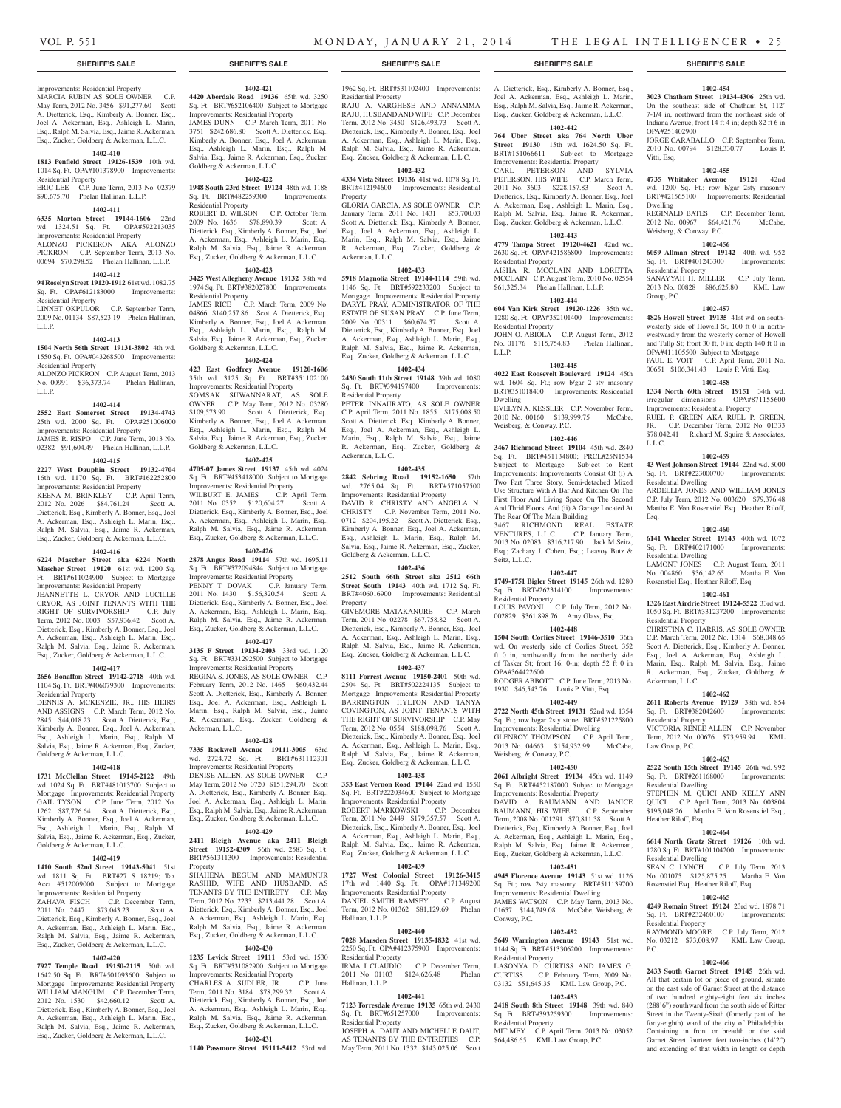### **SHERIFF'S SALE SHERIFF'S SALE SHERIFF'S SALE SHERIFF'S SALE SHERIFF'S SALE**

# Improvements: Residential Property

MARCIA RUBIN AS SOLE OWNER C.P. May Term, 2012 No. 3456 \$91,277.60 Scott A. Dietterick, Esq., Kimberly A. Bonner, Esq., Joel A. Ackerman, Esq., Ashleigh L. Marin, Esq., Ralph M. Salvia, Esq., Jaime R. Ackerman, Esq., Zucker, Goldberg & Ackerman, L.L.C.

# **1402-410**

**1813 Penfield Street 19126-1539** 10th wd. 1014 Sq. Ft. OPA#101378900 Improvements: Residential Property ERIC LEE C.P. June Term, 2013 No. 02379

# \$90,675.70 Phelan Hallinan, L.L.P.

# **1402-411**

**6335 Morton Street 19144-1606** 22nd wd. 1324.51 Sq. Ft. OPA#592213035 Improvements: Residential Property ALONZO PICKERON AKA ALONZO PICKRON C.P. September Term, 2013 No.

# 00694 \$70,298.52 Phelan Hallinan, L.L.P.

**1402-412**

#### **94 Roselyn Street 19120-1912** 61st wd. 1082.75 Sq. Ft. OPA#612183000 Improvements:

Residential Property LINNET OKPULOR C.P. September Term,

2009 No. 01134 \$87,523.19 Phelan Hallinan, L.L.P.

#### **1402-413**

**1504 North 56th Street 19131-3802** 4th wd. 1550 Sq. Ft. OPA#043268500 Improvements: Residential Property ALONZO PICKRON C.P. August Term, 2013

# No. 00991 \$36,373.74 Phelan Hallinan, L.L.P.

# **1402-414**

**2552 East Somerset Street 19134-4743**  25th wd. 2000 Sq. Ft. OPA#251006000 Improvements: Residential Property JAMES R. RISPO C.P. June Term, 2013 No.

# 02382 \$91,604.49 Phelan Hallinan, L.L.P.

**1402-415 2227 West Dauphin Street 19132-4704**  16th wd. 1170 Sq. Ft. BRT#162252800

Improvements: Residential Property KEENA M. BRINKLEY C.P. April Term, 2012 No. 2026 \$84,761.24 Scott A. Dietterick, Esq., Kimberly A. Bonner, Esq., Joel A. Ackerman, Esq., Ashleigh L. Marin, Esq., Ralph M. Salvia, Esq., Jaime R. Ackerman, Esq., Zucker, Goldberg & Ackerman, L.L.C.

#### **1402-416**

**6224 Mascher Street aka 6224 North Mascher Street 19120** 61st wd. 1200 Sq. Ft. BRT#611024900 Subject to Mortgage Improvements: Residential Property JEANNETTE L. CRYOR AND LUCILLE CRYOR, AS JOINT TENANTS WITH THE RIGHT OF SURVIVORSHIP C.P. July Term, 2012 No. 0003 \$57,936.42 Scott A. Dietterick, Esq., Kimberly A. Bonner, Esq., Joel A. Ackerman, Esq., Ashleigh L. Marin, Esq., Ralph M. Salvia, Esq., Jaime R. Ackerman, Esq., Zucker, Goldberg & Ackerman, L.L.C.

### **1402-417**

**2656 Bonaffon Street 19142-2718** 40th wd. 1104 Sq. Ft. BRT#406079300 Improvements: Residential Property

DENNIS A. MCKENZIE, JR., HIS HEIRS AND ASSIGNS C.P. March Term, 2012 No. 2845 \$44,018.23 Scott A. Dietterick, Esq., Kimberly A. Bonner, Esq., Joel A. Ackerman, Esq., Ashleigh L. Marin, Esq., Ralph M. Salvia, Esq., Jaime R. Ackerman, Esq., Zucker, Goldberg & Ackerman, L.L.C.

#### **1402-418**

**1731 McClellan Street 19145-2122** 49th wd. 1024 Sq. Ft. BRT#481013700 Subject to Mortgage Improvements: Residential Property GAIL TYSON C.P. June Term, 2012 No. 1262 \$87,726.64 Scott A. Dietterick, Esq., Kimberly A. Bonner, Esq., Joel A. Ackerman, Esq., Ashleigh L. Marin, Esq., Ralph M. Salvia, Esq., Jaime R. Ackerman, Esq., Zucker, Goldberg & Ackerman, L.L.C.

#### **1402-419**

**1410 South 52nd Street 19143-5041** 51st wd. 1811 Sq. Ft. BRT#27 S 18219; Tax Acct #512009000 Subject to Mortgage Improvements: Residential Property

ZAHAVA FISCH C.P. December Term, 2011 No. 2447 \$73,043.23 Scott A. Dietterick, Esq., Kimberly A. Bonner, Esq., Joel A. Ackerman, Esq., Ashleigh L. Marin, Esq., Ralph M. Salvia, Esq., Jaime R. Ackerman, Esq., Zucker, Goldberg & Ackerman, L.L.C.

# **1402-420**

**7927 Temple Road 19150-2115** 50th wd. 1642.50 Sq. Ft. BRT#501093600 Subject to Mortgage Improvements: Residential Property WILLIAM MANGUM C.P. December Term,<br>2012 No. 1530 \$42,660.12 Scott A. 2012 No. 1530 \$42,660.12 Dietterick, Esq., Kimberly A. Bonner, Esq., Joel A. Ackerman, Esq., Ashleigh L. Marin, Esq., Ralph M. Salvia, Esq., Jaime R. Ackerman, Esq., Zucker, Goldberg & Ackerman, L.L.C.

# **1402-421**

**4420 Aberdale Road 19136** 65th wd. 3250 Sq. Ft. BRT#652106400 Subject to Mortgage Improvements: Residential Property JAMES DUNN C.P. March Term, 2011 No.

3751 \$242,686.80 Scott A. Dietterick, Esq., Kimberly A. Bonner, Esq., Joel A. Ackerman, Esq., Ashleigh L. Marin, Esq., Ralph M. Salvia, Esq., Jaime R. Ackerman, Esq., Zucker, Goldberg & Ackerman, L.L.C.

#### **1402-422**

**1948 South 23rd Street 19124** 48th wd. 1188 Sq. Ft. BRT#482259300 Improvements:

Residential Property ROBERT D. WILSON C.P. October Term, 2009 No. 1636 \$78,890.39 Scott A. Dietterick, Esq., Kimberly A. Bonner, Esq., Joel A. Ackerman, Esq., Ashleigh L. Marin, Esq., Ralph M. Salvia, Esq., Jaime R. Ackerman, Esq., Zucker, Goldberg & Ackerman, L.L.C.

### **1402-423**

**3425 West Allegheny Avenue 19132** 38th wd. 1974 Sq. Ft. BRT#382027800 Improvements: Residential Property

JAMES RICE C.P. March Term, 2009 No. 04866 \$140,257.86 Scott A. Dietterick, Esq., Kimberly A. Bonner, Esq., Joel A. Ackerman, Esq., Ashleigh L. Marin, Esq., Ralph M. Salvia, Esq., Jaime R. Ackerman, Esq., Zucker, Goldberg & Ackerman, L.L.C.

#### **1402-424**

**423 East Godfrey Avenue 19120-1606**  35th wd. 3125 Sq. Ft. BRT#351102100 Improvements: Residential Property SOMSAK SUWANNARAT, AS SOLE

OWNER C.P. May Term, 2012 No. 03280 \$109,573.90 Scott A. Dietterick, Esq., Kimberly A. Bonner, Esq., Joel A. Ackerman, Esq., Ashleigh L. Marin, Esq., Ralph M. Salvia, Esq., Jaime R. Ackerman, Esq., Zucker, Goldberg & Ackerman, L.L.C.

# **1402-425**

**4705-07 James Street 19137** 45th wd. 4024 Sq. Ft. BRT#453418000 Subject to Mortgage Improvements: Residential Property WILBURT E. JAMES C.P. April Term, 2011 No. 0352 \$120,604.27 Scott A. Dietterick, Esq., Kimberly A. Bonner, Esq., Joel A. Ackerman, Esq., Ashleigh L. Marin, Esq., Ralph M. Salvia, Esq., Jaime R. Ackerman, Esq., Zucker, Goldberg & Ackerman, L.L.C.

## **1402-426**

**2878 Angus Road 19114** 57th wd. 1695.11 Sq. Ft. BRT#572094844 Subject to Mortgage Improvements: Residential Property PENNY T. DOVAK C.P. January Term, 2011 No. 1430 \$156,320.54 Scott A. Dietterick, Esq., Kimberly A. Bonner, Esq., Joel A. Ackerman, Esq., Ashleigh L. Marin, Esq., Ralph M. Salvia, Esq., Jaime R. Ackerman, Esq., Zucker, Goldberg & Ackerman, L.L.C.

## **1402-427**

**3135 F Street 19134-2403** 33rd wd. 1120 Sq. Ft. BRT#331292500 Subject to Mortgage Improvements: Residential Property REGINA S. JONES, AS SOLE OWNER C.P. February Term, 2012 No. 1465 \$60,432.44 Scott A. Dietterick, Esq., Kimberly A. Bonner, Esq., Joel A. Ackerman, Esq., Ashleigh L. Marin, Esq., Ralph M. Salvia, Esq., Jaime R. Ackerman, Esq., Zucker, Goldberg & Ackerman, L.L.C.

#### **1402-428**

**7335 Rockwell Avenue 19111-3005** 63rd wd. 2724.72 Sq. Ft. BRT#631112301 Improvements: Residential Property DENISE ALLEN, AS SOLE OWNER C.P.

May Term, 2012 No. 0720 \$151,294.70 Scott A. Dietterick, Esq., Kimberly A. Bonner, Esq., Joel A. Ackerman, Esq., Ashleigh L. Marin, Esq., Ralph M. Salvia, Esq., Jaime R. Ackerman, Esq., Zucker, Goldberg & Ackerman, L.L.C.

#### **1402-429**

**2411 Bleigh Avenue aka 2411 Bleigh Street 19152-4309** 56th wd. 2583 Sq. Ft. BRT#561311300 Improvements: Residential Property

SHAHENA BEGUM AND MAMUNUR RASHID, WIFE AND HUSBAND, AS TENANTS BY THE ENTIRETY C.P. May Term, 2012 No. 2233 \$213,441.28 Scott A. Dietterick, Esq., Kimberly A. Bonner, Esq., Joel A. Ackerman, Esq., Ashleigh L. Marin, Esq., Ralph M. Salvia, Esq., Jaime R. Ackerman, Esq., Zucker, Goldberg & Ackerman, L.L.C.

#### **1402-430**

**1235 Levick Street 19111** 53rd wd. 1530 Sq. Ft. BRT#531082900 Subject to Mortgage Improvements: Residential Property<br>CHARLES A. SUDLER, JR. C.P. June  $CHARLES A$  SUDLER  $IR$ . Term, 2011 No. 3184 \$78,299.32 Scott A. Dietterick, Esq., Kimberly A. Bonner, Esq., Joel A. Ackerman, Esq., Ashleigh L. Marin, Esq., Ralph M. Salvia, Esq., Jaime R. Ackerman, Esq., Zucker, Goldberg & Ackerman, L.L.C.

#### **1402-431**

**1140 Passmore Street 19111-5412** 53rd wd.

# 1962 Sq. Ft. BRT#531102400 Improvements:

Residential Property RAJU A. VARGHESE AND ANNAMMA RAJU, HUSBAND AND WIFE C.P. December Term, 2012 No. 3450 \$126,493.73 Scott A. Dietterick, Esq., Kimberly A. Bonner, Esq., Joel A. Ackerman, Esq., Ashleigh L. Marin, Esq., Ralph M. Salvia, Esq., Jaime R. Ackerman, Esq., Zucker, Goldberg & Ackerman, L.L.C.

#### **1402-432**

**4334 Vista Street 19136** 41st wd. 1078 Sq. Ft. BRT#412194600 Improvements: Residential Property

GLORIA GARCIA, AS SOLE OWNER C.P. January Term, 2011 No. 1431 \$53,700.03 Scott A. Dietterick, Esq., Kimberly A. Bonner, Esq., Joel A. Ackerman, Esq., Ashleigh L. Marin, Esq., Ralph M. Salvia, Esq., Jaime R. Ackerman, Esq., Zucker, Goldberg & Ackerman, L.L.C.

#### **1402-433**

**5918 Magnolia Street 19144-1114** 59th wd. 1146 Sq. Ft. BRT#592233200 Subject to Mortgage Improvements: Residential Property DARYL PRAY, ADMINISTRATOR OF THE ESTATE OF SUSAN PRAY C.P. June Term, 2009 No. 00311 \$60,674.37 Scott A. Dietterick, Esq., Kimberly A. Bonner, Esq., Joel A. Ackerman, Esq., Ashleigh L. Marin, Esq., Ralph M. Salvia, Esq., Jaime R. Ackerman, Esq., Zucker, Goldberg & Ackerman, L.L.C.

#### **1402-434**

**2430 South 11th Street 19148** 39th wd. 1080 Sq. Ft. BRT#394197400 Improvements: Residential Property PETER INNAURATO, AS SOLE OWNER C.P. April Term, 2011 No. 1855 \$175,008.50 Scott A. Dietterick, Esq., Kimberly A. Bonner, Esq., Joel A. Ackerman, Esq., Ashleigh L. Marin, Esq., Ralph M. Salvia, Esq., Jaime R. Ackerman, Esq., Zucker, Goldberg & Ackerman, L.L.C.

#### **1402-435**

**2842 Sebring Road 19152-1650** 57th wd. 2765.04 Sq. Ft. BRT#571057500 Improvements: Residential Property DAVID R. CHRISTY AND ANGELA N. CHRISTY C.P. November Term, 2011 No. 0712 \$204,195.22 Scott A. Dietterick, Esq., Kimberly A. Bonner, Esq., Joel A. Ackerman, Esq., Ashleigh L. Marin, Esq., Ralph M. Salvia, Esq., Jaime R. Ackerman, Esq., Zucker, Goldberg & Ackerman, L.L.C.

#### **1402-436**

**2512 South 66th Street aka 2512 66th Street South 19143** 40th wd. 1712 Sq. Ft. BRT#406016900 Improvements: Residential Property

GIVEMORE MATAKANURE C.P. March Term, 2011 No. 02278 \$67,758.82 Scott A. Dietterick, Esq., Kimberly A. Bonner, Esq., Joel A. Ackerman, Esq., Ashleigh L. Marin, Esq., Ralph M. Salvia, Esq., Jaime R. Ackerman, Esq., Zucker, Goldberg & Ackerman, L.L.C.

#### **1402-437**

**8111 Forrest Avenue 19150-2401** 50th wd. 2504 Sq. Ft. BRT#502224135 Subject to Mortgage Improvements: Residential Property BARRINGTON HYLTON AND TANYA COVINGTON, AS JOINT TENANTS WITH THE RIGHT OF SURVIVORSHIP C.P. May Term, 2012 No. 0554 \$188,098.76 Scott A. Dietterick, Esq., Kimberly A. Bonner, Esq., Joel A. Ackerman, Esq., Ashleigh L. Marin, Esq., Ralph M. Salvia, Esq., Jaime R. Ackerman, Esq., Zucker, Goldberg & Ackerman, L.L.C.

#### **1402-438**

**353 East Vernon Road 19144** 22nd wd. 1550 Sq. Ft. BRT#222034600 Subject to Mortgage Improvements: Residential Property ROBERT MARKOWSKI C.P. December Term, 2011 No. 2449 \$179,357.57 Scott A. Dietterick, Esq., Kimberly A. Bonner, Esq., Joel A. Ackerman, Esq., Ashleigh L. Marin, Esq., Ralph M. Salvia, Esq., Jaime R. Ackerman, Esq., Zucker, Goldberg & Ackerman, L.L.C.

## **1402-439**

**1727 West Colonial Street 19126-3415**  17th wd. 1440 Sq. Ft. OPA#171349200

Improvements: Residential Property<br>
DANIEL SMITH RAMSEY C.P. August DANIEL SMITH RAMSEY Term, 2012 No. 01362 \$81,129.69 Phelan Hallinan, L.L.P.

#### **1402-440**

**7028 Marsden Street 19135-1832** 41st wd. 2250 Sq. Ft. OPA#412375900 Improvements: Residential Property

IRMA I CLAUDIO C.P. December Term, 2011 No. 01103 \$124,626.48 Phelan Hallinan, L.L.P. **1402-441**

### **7123 Torresdale Avenue 19135** 65th wd. 2430

Sq. Ft. BRT#651257000 Improvements: Residential Property JOSEPH A. DAUT AND MICHELLE DAUT,

AS TENANTS BY THE ENTIRETIES C.P. May Term, 2011 No. 1332 \$143,025.06 Scott

**1402-454 3023 Chatham Street 19134-4306** 25th wd. On the southeast side of Chatham St, 112' 7-1/4 in, northward from the northeast side of Indiana Avenue; front 14 ft 4 in; depth 82 ft 6 in

JORGE CARABALLO C.P. September Term, 2010 No. 00794 \$128,330.77 Louis P.

**1402-455 4735 Whitaker Avenue 19120** 42nd wd. 1200 Sq. Ft.; row b/gar 2sty masonry BRT#421565100 Improvements: Residential

REGINALD BATES C.P. December Term, 2012 No. 00967 \$64,421.76 McCabe,

**1402-456 6059 Allman Street 19142** 40th wd. 952 Sq. Ft. BRT#401243300 Improvements:

SANAYYAH H. MILLER C.P. July Term, 2013 No. 00828 \$86,625.80 KML Law

**1402-457 4826 Howell Street 19135** 41st wd. on southwesterly side of Howell St, 100 ft 0 in northwestwardly from the westerly corner of Howell and Tullp St; front 30 ft, 0 in; depth 140 ft 0 in OPA#411105500 Subject to Mortgage PAUL E. VOIT C.P. April Term, 2011 No. 00651 \$106,341.43 Louis P. Vitti, Esq. **1402-458 1334 North 60th Street 19151** 34th wd.<br>
irregular dimensions OPA#871155600 irregular dimensions OPA#871155600 Improvements: Residential Property RUEL P. GREEN AKA RUEL P. GREEN, JR. C.P. December Term, 2012 No. 01333 \$78,042.41 Richard M. Squire & Associates,

**1402-459 43 West Johnson Street 19144** 22nd wd. 5000 Sq. Ft. BRT#223000700 Improvements:

ARDELLIA JONES AND WILLIAM JONES C.P. July Term, 2012 No. 003620 \$79,376.48 Martha E. Von Rosenstiel Esq., Heather Riloff,

**1402-460 6141 Wheeler Street 19143** 40th wd. 1072 Sq. Ft. BRT#402171000 Improvements:

LAMONT JONES C.P. August Term, 2011 No. 004860 \$36,142.65 Martha E. Von Rosenstiel Esq., Heather Riloff, Esq. **1402-461 1326 East Airdrie Street 19124-5522** 33rd wd. 1050 Sq. Ft. BRT#331237200 Improvements:

CHRISTINA C. HARRIS, AS SOLE OWNER C.P. March Term, 2012 No. 1314 \$68,048.65 Scott A. Dietterick, Esq., Kimberly A. Bonner, Esq., Joel A. Ackerman, Esq., Ashleigh L. Marin, Esq., Ralph M. Salvia, Esq., Jaime R. Ackerman, Esq., Zucker, Goldberg &

**1402-462 2611 Roberts Avenue 19129** 38th wd. 854 Sq. Ft. BRT#382042600 Improvements:

VICTORIA RENEE ALLEN C.P. November Term, 2012 No. 00676 \$73,959.94 KML

**1402-463 2522 South 15th Street 19145** 26th wd. 992 Sq. Ft. BRT#261168000 Improvements:

STEPHEN M. QUICI AND KELLY ANN QUICI C.P. April Term, 2013 No. 003804 \$195,048.26 Martha E. Von Rosenstiel Esq.,

**1402-464 6614 North Gratz Street 19126** 10th wd. 1280 Sq. Ft. BRT#101104200 Improvements:

SEAN C. LYNCH C.P. July Term, 2013 No. 001075 \$125,875.25 Martha E. Von Rosenstiel Esq., Heather Riloff, Esq. **1402-465 4249 Romain Street 19124** 23rd wd. 1878.71 Sq. Ft. BRT#232460100 Improvements:

RAYMOND MOORE C.P. July Term, 2012 No. 03212 \$73,008.97 KML Law Group,

**1402-466 2433 South Garnet Street 19145** 26th wd. All that certain lot or piece of ground, situate on the east side of Garnet Street at the distance of two hundred eighty-eight feet six inches (288'6") southward from the south side of Ritter Street in the Twenty-Sixth (fomerly part of the forty-eighth) ward of the city of Philadelphia. Containing in front or breadth on the said Garnet Street fourteen feet two-inches (14'2") and extending of that width in length or depth

OPA#251402900

Vitti, Esq.

Dwelling

Weisberg, & Conway, P.C.

Residential Property

Group, P.C.

L.L.C.

Esq.

Residential Dwelling

Residential Dwelling

Residential Property

Ackerman, L.L.C.

Residential Property

Law Group, P.C.

Residential Dwelling

Heather Riloff, Esq.

Residential Dwelling

ential Property

P.C.

A. Dietterick, Esq., Kimberly A. Bonner, Esq., Joel A. Ackerman, Esq., Ashleigh L. Marin, Esq., Ralph M. Salvia, Esq., Jaime R. Ackerman, Esq., Zucker, Goldberg & Ackerman, L.L.C.

# **1402-442**

**764 Uber Street aka 764 North Uber Street 19130** 15th wd. 1624.50 Sq. Ft. BRT#151066611 Subject to Mortgage Improvements: Residential Property CARL PETERSON AND SYLVIA PETERSON, HIS WIFE C.P. March Term, 2011 No. 3603 \$228,157.83 Scott A. Dietterick, Esq., Kimberly A. Bonner, Esq., Joel A. Ackerman, Esq., Ashleigh L. Marin, Esq., Ralph M. Salvia, Esq., Jaime R. Ackerman, Esq., Zucker, Goldberg & Ackerman, L.L.C.

# **1402-443**

**4779 Tampa Street 19120-4621** 42nd wd. 2630 Sq. Ft. OPA#421586800 Improvements: Residential Property AISHA R. MCCLAIN AND LORETTA MCCLAIN C.P. August Term, 2010 No. 02554 \$61,325.34 Phelan Hallinan, L.L.P.

# **1402-444**

**604 Van Kirk Street 19120-1226** 35th wd. 1280 Sq. Ft. OPA#352101400 Improvements: Residential Property JOHN O. ABIOLA C.P. August Term, 2012 No. 01176 \$115,754.83 Phelan Hallinan,

#### **1402-445**

L.L.P.

**4022 East Roosevelt Boulevard 19124** 45th wd. 1604 Sq. Ft.; row b/gar 2 sty masonry BRT#351018400 Improvements: Residential Dwelling EVELYN A. KESSLER C.P. November Term,

2010 No. 00160 \$139,999.75 McCabe,

**1402-446 3467 Richmond Street 19104** 45th wd. 2840 Sq. Ft. BRT#451134800; PRCL#25N1534 Subject to Mortgage Subject to Rent Improvements: Improvements Consist Of (i) A Two Part Three Story, Semi-detached Mixed Use Structure With A Bar And Kitchen On The First Floor And Living Space On The Second And Thrid Floors, And (ii) A Garage Located At

3467 RICHMOND REAL ESTATE VENTURES, L.L.C. C.P. January Term, 2013 No. 02083 \$316,217.90 Jack M Seitz, Esq.; Zachary J. Cohen, Esq.; Leavoy Butz &

**1402-447 1749-1751 Bigler Street 19145** 26th wd. 1280 Sq. Ft. BRT#262314100 Improvements:

LOUIS PAVONI C.P. July Term, 2012 No. 002829 \$361,898.76 Amy Glass, Esq. **1402-448 1504 South Corlies Street 19146-3510** 36th wd. On westerly side of Corlies Street, 352 ft 0 in, northwardly from the northerly side of Tasker St; front 16; 0-in; depth 52 ft 0 in

RODGER ABBOTT C.P. June Term, 2013 No. 1930 \$46,543.76 Louis P. Vitti, Esq. **1402-449 2722 North 45th Street 19131** 52nd wd. 1354 Sq. Ft.; row b/gar 2sty stone BRT#521225800 Improvements: Residential Dwelling GLENROY THOMPSON C.P. April Term, 2013 No. 04663 \$154,932.99 McCabe,

**1402-450 2061 Albright Street 19134** 45th wd. 1149 Sq. Ft. BRT#452187000 Subject to Mortgage Improvements: Residential Property DAVID A. BAUMANN AND JANICE BAUMANN, HIS WIFE C.P. September Term, 2008 No. 001291 \$70,811.38 Scott A. Dietterick, Esq., Kimberly A. Bonner, Esq., Joel A. Ackerman, Esq., Ashleigh L. Marin, Esq., Ralph M. Salvia, Esq., Jaime R. Ackerman, Esq., Zucker, Goldberg & Ackerman, L.L.C. **1402-451 4945 Florence Avenue 19143** 51st wd. 1126 Sq. Ft.; row 2sty masonry BRT#511139700 Improvements: Residential Dwelling JAMES WATSON C.P. May Term, 2013 No. 01657 \$144,749.08 McCabe, Weisberg, &

**1402-452 5649 Warrington Avenue 19143** 51st wd. 1144 Sq. Ft. BRT#513306200 Improvements:

LASONYA D. CURTISS AND JAMES G. CURTISS C.P. February Term, 2009 No. 03132 \$51,645.35 KML Law Group, P.C. **1402-453 2418 South 8th Street 19148** 39th wd. 840 Sq. Ft. BRT#393259300 Improvements:

MIT MEY C.P. April Term, 2013 No. 03052 \$64,486.65 KML Law Group, P.C.

Weisberg, & Conway, P.C.

The Rear Of The Main Building

Seitz, L.L.C.

Residential Property

OPA#364422600

Weisberg, & Conway, P.C.

Conway, P.C.

Residential Property

Residential Property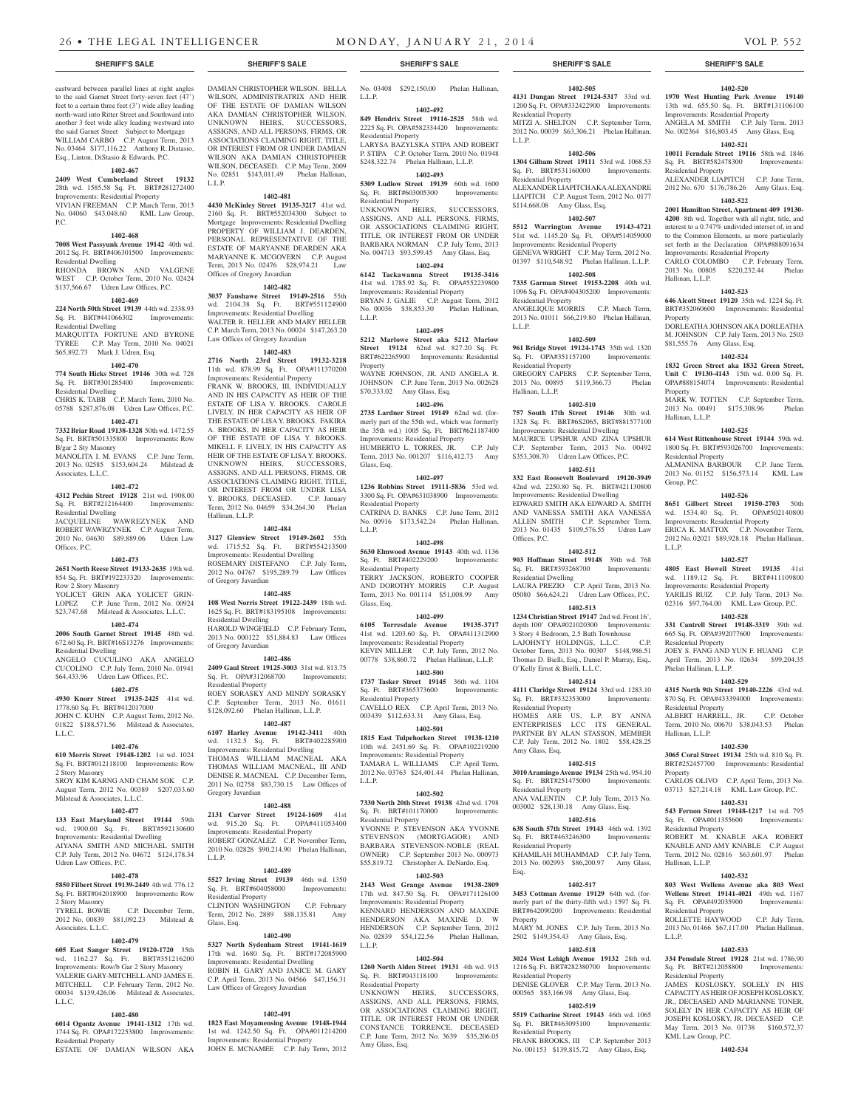eastward between parallel lines at right angles to the said Garnet Street forty-seven feet (47') feet to a certain three feet (3') wide alley leading north-ward into Ritter Street and Southward into another 3 feet wide alley leading westward into the said Garnet Street Subject to Mortgage WILLIAM CARBO C.P. August Term, 2013 No. 03464 \$177,116.22 Anthony R. Distasio, Esq., Linton, DiStasio & Edwards, P.C.

#### **1402-467**

**2409 West Cumberland Street 19132**  28th wd. 1585.58 Sq. Ft. BRT#281272400 Improvements: Residential Property VIVIAN FREEMAN C.P. March Term, 2013 No. 04060 \$43,048.60 KML Law Group, P.C.

#### **1402-468**

**7008 West Passyunk Avenue 19142** 40th wd. 2012 Sq. Ft. BRT#406301500 Improvements: Residential Dwelling RHONDA BROWN AND VALGENE

WEST C.P. October Term, 2010 No. 02424 \$137,566.67 Udren Law Offices, P.C.

# **1402-469**

**224 North 50th Street 19139** 44th wd. 2338.93 Sq. Ft. BRT#441066302 Improvements: Residential Dwelling MARQUITTA FORTUNE AND BYRONE

TYREE C.P. May Term, 2010 No. 04021 \$65,892.73 Mark J. Udren, Esq. **1402-470**

#### **774 South Hicks Street 19146** 30th wd. 728

Sq. Ft. BRT#301285400 Improvements: Residential Dwelling CHRIS K. TABB C.P. March Term, 2010 No.

05788 \$287,876.08 Udren Law Offices, P.C. **1402-471**

**7332 Briar Road 19138-1328** 50th wd. 1472.55 Sq. Ft. BRT#501335800 Improvements: Row B/gar 2 Sty Masonry MANOLITA I. M. EVANS C.P. June Term,

2013 No. 02585 \$153,604.24 Milstead & Associates, L.L.C. **1402-472**

**4312 Pechin Street 19128** 21st wd. 1908.00 Sq. Ft. BRT#212164400 Improvements: Residential Dwelling

JACQUELINE WAWREZYNEK AND ROBERT WAWRZYNEK C.P. August Term, 2010 No. 04630 \$89,889.06 Udren Law Offices, P.C.

#### **1402-473**

**2651 North Reese Street 19133-2635** 19th wd. 854 Sq. Ft. BRT#192233320 Improvements: Row 2 Story Masonry YOLICET GRIN AKA YOLICET GRIN-

# LOPEZ C.P. June Term, 2012 No. 00924

\$23,747.68 Milstead & Associates, L.L.C. Residential Dwelling

#### **2006 South Garnet Street 19145** 48th wd. 672.60 Sq. Ft. BRT#16S13276 Improvements: Residential Dwelling

**1402-474**

ANGELO CUCULINO AKA ANGELO CUCOLINO C.P. July Term, 2010 No. 01941 \$64,433.96 Udren Law Offices, P.C.

# **1402-475**

**4930 Knorr Street 19135-2425** 41st wd. 1778.60 Sq. Ft. BRT#412017000 JOHN C. KUHN C.P. August Term, 2012 No. 01822 \$188,571.56 Milstead & Associates, L.L.C.

# **1402-476**

**610 Morris Street 19148-1202** 1st wd. 1024 Sq. Ft. BRT#012118100 Improvements: Row 2 Story Masonry

SROY KIM KARNG AND CHAM SOK C.P. August Term, 2012 No. 00389 \$207,033.60 Milstead & Associates, L.L.C.

### **1402-477**

**133 East Maryland Street 19144** 59th wd. 1900.00 Sq. Ft. BRT#592130600 Improvements: Residential Dwelling AIYANA SMITH AND MICHAEL SMITH C.P. July Term, 2012 No. 04672 \$124,178.34 Udren Law Offices, P.C.

# **1402-478**

**5850 Filbert Street 19139-2449** 4th wd. 776.12 Sq. Ft. BRT#042018900 Improvements: Row 2 Story Masonry C.P. December Term, 2012 No. 00839 \$81,092.23 Milstead &

# Associates, L.L.C. **1402-479**

**605 East Sanger Street 19120-1720** 35th wd. 1162.27 Sq. Ft. BRT#351216200 Improvements: Row/b Gar 2 Story Masonry VALERIE GARY-MITCHELL AND JAMES E. MITCHELL C.P. February Term, 2012 No. 00034 \$139,426.06 Milstead & Associates, L.L.C.

# **1402-480**

**6014 Ogontz Avenue 19141-1312** 17th wd. 1744 Sq. Ft. OPA#172253800 Improvements: Residential Property ESTATE OF DAMIAN WILSON AKA

DAMIAN CHRISTOPHER WILSON. BELLA WILSON, ADMINISTRATRIX AND HEIR OF THE ESTATE OF DAMIAN WILSON AKA DAMIAN CHRISTOPHER WILSON. UNKNOWN HEIRS, SUCCESSORS, ASSIGNS, AND ALL PERSONS, FIRMS, OR ASSOCIATIONS CLAIMING RIGHT, TITLE, OR INTEREST FROM OR UNDER DAMIAN WILSON AKA DAMIAN CHRISTOPHER WILSON, DECEASED. C.P. May Term, 2009 No. 02851 \$143,011.49 Phelan Hallinan, L.L.P.

# **1402-481**

**4430 McKinley Street 19135-3217** 41st wd. 2160 Sq. Ft. BRT#552034300 Subject to Mortgage Improvements: Residential Dwelling PROPERTY OF WILLIAM J. DEARDEN, PERSONAL REPRESENTATIVE OF THE ESTATE OF MARYANNE DEARDEN AKA MARYANNE K. MCGOVERN C.P. August Term, 2013 No. 02476 \$28,974.21 Law Offices of Gregory Javardian

# **1402-482**

**3037 Fanshawe Street 19149-2516** 55th wd. 2104.38 Sq. Ft. BRT#551124900 Improvements: Residential Dwelling WALTER R. HELLER AND MARY HELLER C.P. March Term, 2013 No. 00024 \$147,263.20 Law Offices of Gregory Javardian

# **1402-483**

**2716 North 23rd Street 19132-3218**  11th wd. 878.99 Sq. Ft. OPA#111370200 Improvements: Residential Property

FRANK W. BROOKS, III, INDIVIDUALLY AND IN HIS CAPACITY AS HEIR OF THE ESTATE OF LISA Y. BROOKS. CAROLE LIVELY, IN HER CAPACITY AS HEIR OF THE ESTATE OF LISA Y. BROOKS. FAKIRA A. BROOKS, IN HER CAPACITY AS HEIR OF THE ESTATE OF LISA Y. BROOKS. MIKELL F. LIVELY, IN HIS CAPACITY AS HEIR OF THE ESTATE OF LISA Y. BROOKS. UNKNOWN HEIRS, SUCCESSORS, ASSIGNS, AND ALL PERSONS, FIRMS, OR ASSOCIATIONS CLAIMING RIGHT, TITLE, OR INTEREST FROM OR UNDER LISA Y. BROOKS, DECEASED. C.P. January Term, 2012 No. 04659 \$34,264.30 Phelan Hallinan, L.L.P.

# **1402-484**

**3127 Glenview Street 19149-2602** 55th wd. 1715.52 Sq. Ft. BRT#554213500 Improvements: Residential Dwelling ROSEMARY DISTEFANO C.P. July Term, 2012 No. 04767 \$195,289.79 Law Offices of Gregory Javardian

#### **1402-485**

**108 West Norris Street 19122-2439** 18th wd. 1625 Sq. Ft. BRT#183195108 Improvements: HAROLD WINGFIELD C.P. February Term, 2013 No. 000122 \$51,884.83 Law Offices of Gregory Javardian

# **1402-486**

**2409 Gaul Street 19125-3003** 31st wd. 813.75 Sq. Ft. OPA#312068700 Improvements: Residential Property ROEY SORASKY AND MINDY SORASKY C.P. September Term, 2013 No. 01611 \$128,092.60 Phelan Hallinan, L.L.P.

#### **1402-487**

**6107 Harley Avenue 19142-3411** 40th wd. 1132.5 Sq. Ft. BRT#402285900 Improvements: Residential Dwelling THOMAS WILLIAM MACNEAL AKA THOMAS WILLIAM MACNEAL, III AND DENISE R. MACNEAL C.P. December Term, 2011 No. 02758 \$83,730.15 Law Offices of Gregory Javardian

#### **1402-488**

**2131 Carver Street 19124-1609** 41st wd. 915.20 Sq. Ft. OPA#411053400 Improvements: Residential Property ROBERT GONZALEZ C.P. November Term, 2010 No. 02828 \$90,214.90 Phelan Hallinan, L.L.P.

# **1402-489**

**5527 Irving Street 19139** 46th wd. 1350 Sq. Ft. BRT#604058000 Residential Property CLINTON WASHINGTON C.P. February Term, 2012 No. 2889 \$88,135.81 Amy Glass, Esq.

# **1402-490**

**5327 North Sydenham Street 19141-1619**  17th wd. 1680 Sq. Ft. BRT#172085900 Improvements: Residential Dwelling ROBIN H. GARY AND JANICE M. GARY C.P. April Term, 2013 No. 04566 \$47,156.31 Law Offices of Gregory Javardian

#### **1402-491**

**1823 East Moyamensing Avenue 19148-1944**  1st wd. 1242.50 Sq. Ft. OPA#011214200 Improvements: Residential Property JOHN E. MCNAMEE C.P. July Term, 2012

**SHERIFF'S SALE SHERIFF'S SALE SHERIFF'S SALE SHERIFF'S SALE SHERIFF'S SALE**

L.L.P.

Residential Property

Residential Property

L.L.P.

Property

Glass, Esq.

L.L.P.

Glass, Esq.

Residential Property

Residential Property

L.L.P.

L.L.P.

Residential Property

Amy Glass, Esq.

Residential Property

Sq. Ft. BRT#402229200 Residential Property

No. 03408 \$292,150.00 Phelan Hallinan,

**1402-492 849 Hendrix Street 19116-2525** 58th wd. 2225 Sq. Ft. OPA#582334420 Improvements:

LARYSA BAZYLSKA STIPA AND ROBERT P. STIPA C.P. October Term, 2010 No. 01948 \$248,322.74 Phelan Hallinan, L.L.P. **1402-493 5309 Ludlow Street 19139** 60th wd. 1600 Sq. Ft. BRT#603005300 Improvements:

UNKNOWN HEIRS, SUCCESSORS, ASSIGNS, AND ALL PERSONS, FIRMS, OR ASSOCIATIONS CLAIMING RIGHT. TITLE, OR INTEREST FROM OR UNDER BARBARA NORMAN C.P. July Term, 2013 No. 004713 \$93,599.45 Amy Glass, Esq. **1402-494 6142 Tackawanna Street 19135-3416**  41st wd. 1785.92 Sq. Ft. OPA#552239800 Improvements: Residential Property BRYAN J. GALIE C.P. August Term, 2012 No. 00036 \$38,853.30 Phelan Hallinan,

**1402-495 5212 Marlowe Street aka 5212 Marlow Street 19124** 62nd wd. 827.20 Sq. Ft. BRT#622265900 Improvements: Residential

WAYNE JOHNSON, JR. AND ANGELA R. JOHNSON C.P. June Term, 2013 No. 002628

**1402-496 2735 Lardner Street 19149** 62nd wd. (formerly part of the 55th wd., which was formerly the 35th wd.) 1005 Sq. Ft. BRT#621187400 Improvements: Residential Property HUMBERTO L. TORRES, JR. C.P. July Term, 2013 No. 001207 \$116,412.73 Amy

**1402-497 1236 Robbins Street 19111-5836** 53rd wd. 3300 Sq. Ft. OPA#631038900 Improvements:

CATRINA D. BANKS C.P. June Term, 2012 No. 00916 \$173,542.24 Phelan Hallinan,

**1402-498 5630 Elmwood Avenue 19143** 40th wd. 1136<br>Sq. Ft. BRT#402229200 Improvements:

TERRY JACKSON, ROBERTO COOPER AND DOROTHY MORRIS C.P. August Term, 2013 No. 001114 \$51,008.99 Amy

**1402-499 6105 Torresdale Avenue 19135-3717**  41st wd. 1203.60 Sq. Ft. OPA#411312900 Improvements: Residential Property KEVIN MILLER C.P. July Term, 2012 No. 00778 \$38,860.72 Phelan Hallinan, L.L.P. **1402-500 1737 Tasker Street 19145** 36th wd. 1104 Sq. Ft. BRT#365373600 Improvements:

CAVELLO REX C.P. April Term, 2013 No. 003439 \$112,633.31 Amy Glass, Esq. **1402-501 1815 East Tulpehocken Street 19138-1210**  10th wd. 2451.69 Sq. Ft. OPA#102219200 Improvements: Residential Property TAMARA L. WILLIAMS C.P. April Term, 2012 No. 03763 \$24,401.44 Phelan Hallinan,

**1402-502 7330 North 20th Street 19138** 42nd wd. 1798 Sq. Ft. BRT#101170000 Improvements:

YVONNE P. STEVENSON AKA YVONNE STEVENSON (MORTGAGOR) AND BARBARA STEVENSON-NOBLE (REAL OWNER) C.P. September 2013 No. 000973 \$55,819.72 Christopher A. DeNardo, Esq. **1402-503 2143 West Grange Avenue 19138-2809**  17th wd. 847.50 Sq. Ft. OPA#171126100 Improvements: Residential Property KENNARD HENDERSON AND MAXINE HENDERSON AKA MAXINE D. W HENDERSON C.P. September Term, 2012 No. 02839 \$54,122.56 Phelan Hallinan,

**1402-504 1260 North Alden Street 19131** 4th wd. 915 Sq. Ft. BRT#043118100 Improvements:

UNKNOWN HEIRS, SUCCESSORS, ASSIGNS, AND ALL PERSONS, FIRMS, OR ASSOCIATIONS CLAIMING RIGHT, TITLE, OR INTEREST FROM OR UNDER CONSTANCE TORRENCE, DECEASED C.P. June Term, 2012 No. 3639 \$35,206.05

\$70,333.02 Amy Glass, Esq.

**4131 Dungan Street 19124-5317** 33rd wd. 1200 Sq. Ft. OPA#332422900 Improvements: Residential Property MITZI A. SHELTON C.P. September Term, 2012 No. 00039 \$63,306.21 Phelan Hallinan, L.L.P.

**1402-505**

# **1402-506**

**1304 Gilham Street 19111** 53rd wd. 1068.53 Sq. Ft. BRT#531160000 Improvements: Residential Property ALEXANDER LIAPITCH AKA ALEXANDRE

LIAPITCH C.P. August Term, 2012 No. 0177 \$114,668.08 Amy Glass, Esq. **1402-507**

**5512 Warrington Avenue 19143-4721**  51st wd. 1145.20 Sq. Ft. OPA#514059000 Improvements: Residential Property GENEVA WRIGHT C.P. May Term, 2012 No. 01397 \$110,548.92 Phelan Hallinan, L.L.P.

#### **1402-508 7335 Garman Street 19153-2208** 40th wd.

1096 Sq. Ft. OPA#404305200 Improvements: Residential Property ANGELIQUE MORRIS C.P. March Term, 2013 No. 01011 \$66,219.80 Phelan Hallinan, L.L.P.

## **1402-509**

**961 Bridge Street 19124-1743** 35th wd. 1320 Sq. Ft. OPA#351157100 Improvements: Residential Property GREGORY CAPERS C.P. September Term, 2013 No. 00895 \$119,366.73 Phelan Hallinan, L.L.P.

#### **1402-510**

**757 South 17th Street 19146** 30th wd. 1328 Sq. Ft. BRT#6S2065, BRT#881577100 Improvements: Residential Dwelling MAURICE UPSHUR AND ZINA UPSHUR C.P. September Term, 2013 No. 00492 \$353,308.70 Udren Law Offices, P.C.

# **1402-511**

**332 East Roosevelt Boulevard 19120-3949**  42nd wd. 2250.80 Sq. Ft. BRT#421130800 Improvements: Residential Dwelling EDWARD SMITH AKA EDWARD A. SMITH AND VANESSA SMITH AKA VANESSA ALLEN SMITH C.P. September Term, 2013 No. 01435 \$109,576.55 Udren Law Offices, P.C.

#### **1402-512 903 Hoffman Street 19148** 39th wd. 768

Sq. Ft. BRT#393268700 Improvements: Residential Dwelling LAURA PREZIO C.P. April Term, 2013 No. 05080 \$66,624.21 Udren Law Offices, P.C.

#### **1402-513 1234 Christian Street 19147** 2nd wd. Front 16',

depth 100' OPA#021020300 Improvements: 3 Story 4 Bedroom, 2.5 Bath Townhouse LAJOHNTY HOLDINGS, L.L.C. C.P.

October Term, 2013 No. 00307 \$148,986.51 Thomas D. Bielli, Esq., Daniel P. Murray, Esq., O'Kelly Ernst & Bielli, L.L.C. **1402-514**

# **4111 Claridge Street 19124** 33rd wd. 1283.10

Sq. Ft. BRT#332353000 Improvements: Residential Property HOMES ARE US, L.P. BY ANNA ENTERPRISES LCC ITS GENERAL PARTNER BY ALAN STASSON, MEMBER C.P. July Term, 2012 No. 1802 \$58,428.25 Amy Glass, Esq.

# **1402-515**

**3010 Aramingo Avenue 19134** 25th wd. 954.10 Sq. Ft. BRT#251475000 Improvements: Residential Property ANA VALENTIN C.P. July Term, 2013 No. 003002 \$28,130.18 Amy Glass, Esq.

# **1402-516**

**638 South 57th Street 19143** 46th wd. 1392<br> **Sq. Ft. BRT#463246300** Improvements: Sq. Ft. BRT#463246300 Residential Property

KHAMILAH MUHAMMAD C.P. July Term, 2013 No. 002993 \$86,200.97 Amy Glass, Esq.

# **1402-517**

**3453 Cottman Avenue 19129** 64th wd. (formerly part of the thirty-fifth wd.) 1597 Sq. Ft. BRT#642090200 Improvements: Residential Property MARY M. JONES C.P. July Term, 2013 No.

2502 \$149,354.43 Amy Glass, Esq. **1402-518**

# **3024 West Lehigh Avenue 19132** 28th wd.

1216 Sq. Ft. BRT#282380700 Improvements: Residential Property DENISE GLOVER C.P. May Term, 2013 No. 000565 \$83,166.98 Amy Glass, Esq.

# **1402-519**

**5519 Catharine Street 19143** 46th wd. 1065<br>
Sq. Ft. BRT#463093100 Improvements Sq. Ft. BRT#463093100 Residential Property

FRANK BROOKS, III C.P. September 2013 No. 001153 \$139,815.72 Amy Glass, Esq.

#### **1402-520 1970 West Hunting Park Avenue 19140**  13th wd. 655.50 Sq. Ft. BRT#131106100

ALEXANDER LIAPITCH C.P. June Term, 2012 No. 670 \$176,786.26 Amy Glass, Esq. **1402-522 2001 Hamilton Street, Apartment 409 19130- 4200** 8th wd. Together with all right, title, and interest to a 0.747% undivided interset of, in and to the Common Elements, as more particularly set forth in the Declaration OPA#888091634 Improvements: Residential Property CARLO COLOMBO C.P. February Term, 2013 No. 00805 \$220,232.44 Phelan

**1402-523 646 Alcott Street 19120** 35th wd. 1224 Sq. Ft. BRT#352060600 Improvements: Residential

DORLEATHA JOHNSON AKA DORLEATHA M. JOHNSON C.P. July Term, 2013 No. 2503

**1402-524 1832 Green Street aka 1832 Green Street, Unit C 19130-4143** 15th wd. 0.00 Sq. Ft. OPA#888154074 Improvements: Residential

MARK W. TOTTEN C.P. September Term,<br>2013 No. 00491 \$175.308.96 Phelan 2013 No. 00491 \$175,308.96

**1402-525 614 West Rittenhouse Street 19144** 59th wd. 1800 Sq. Ft. BRT#593026700 Improvements:

ALMANINA BARBOUR C.P. June Term, 2013 No. 01152 \$156,573.14 KML Law

**1402-526 8651 Gilbert Street 19150-2703** 50th wd. 1534.40 Sq. Ft. OPA#502140800 Improvements: Residential Property ERICA K. MATTOX C.P. November Term, 2012 No. 02021 \$89,928.18 Phelan Hallinan,

**1402-527 4805 East Howell Street 19135** 41st wd. 1189.12 Sq. Ft. BRT#411109800 Improvements: Residential Property YARILIS RUIZ C.P. July Term, 2013 No. 02316 \$97,764.00 KML Law Group, P.C. **1402-528 331 Cantrell Street 19148-3319** 39th wd. 665 Sq. Ft. OPA#392077600 Improvements:

JOEY S. FANG AND YUN F. HUANG C.P. April Term, 2013 No. 02634 \$99,204.35

**1402-529 4315 North 9th Street 19140-2226** 43rd wd. 870 Sq. Ft. OPA#433394000 Improvements:

ALBERT HARRELL, JR. C.P. October Term, 2010 No. 00670 \$38,043.53 Phelan

**1402-530 3065 Coral Street 19134** 25th wd. 810 Sq. Ft. BRT#252457700 Improvements: Residential

CARLOS OLIVO C.P. April Term, 2013 No. 03713 \$27,214.18 KML Law Group, P.C. **1402-531 543 Fernon Street 19148-1217** 1st wd. 795 Sq. Ft. OPA#011355600 Improvements:

ROBERT M. KNABLE AKA ROBERT KNABLE AND AMY KNABLE C.P. August Term, 2012 No. 02816 \$63,601.97 Phelan

**1402-532 803 West Wellens Avenue aka 803 West Wellens Street 19141-4021** 49th wd. 1167 Sq. Ft. OPA#492035900 Improvements:

ROLLETTE HAYWOOD C.P. July Term, 2013 No. 01466 \$67,117.00 Phelan Hallinan,

**1402-533 334 Pensdale Street 19128** 21st wd. 1786.90 Sq. Ft. BRT#212058800 Improvements:

JAMES KOSLOSKY, SOLELY IN HIS CAPACITY AS HEIR OF JOSEPH KOSLOSKY, JR., DECEASED AND MARIANNE TONER, SOLELY IN HER CAPACITY AS HEIR OF JOSEPH KOSLOSKY, JR. DECEASED C.P. May Term, 2013 No. 01738 \$160,572.37

**1402-534**

\$81,555.76 Amy Glass, Esq.

Improvements: Residential Property ANGELA M. SMITH C.P. July Term, 2013 No. 002364 \$16,803.45 Amy Glass, Esq. **1402-521 10011 Ferndale Street 19116** 58th wd. 1846 Sq. Ft. BRT#582478300 Improvements:

Residential Property

Hallinan, L.L.P.

Property

Property

Hallinan, L.L.P.

Residential Property

Residential Property

Phelan Hallinan, L.L.P.

Residential Property

Residential Property

Hallinan, L.L.P.

Residential Property

Residential Property

KML Law Group, P.C.

L.L.P.

Hallinan, L.L.P.

Property

Group, P.C.

L.L.P.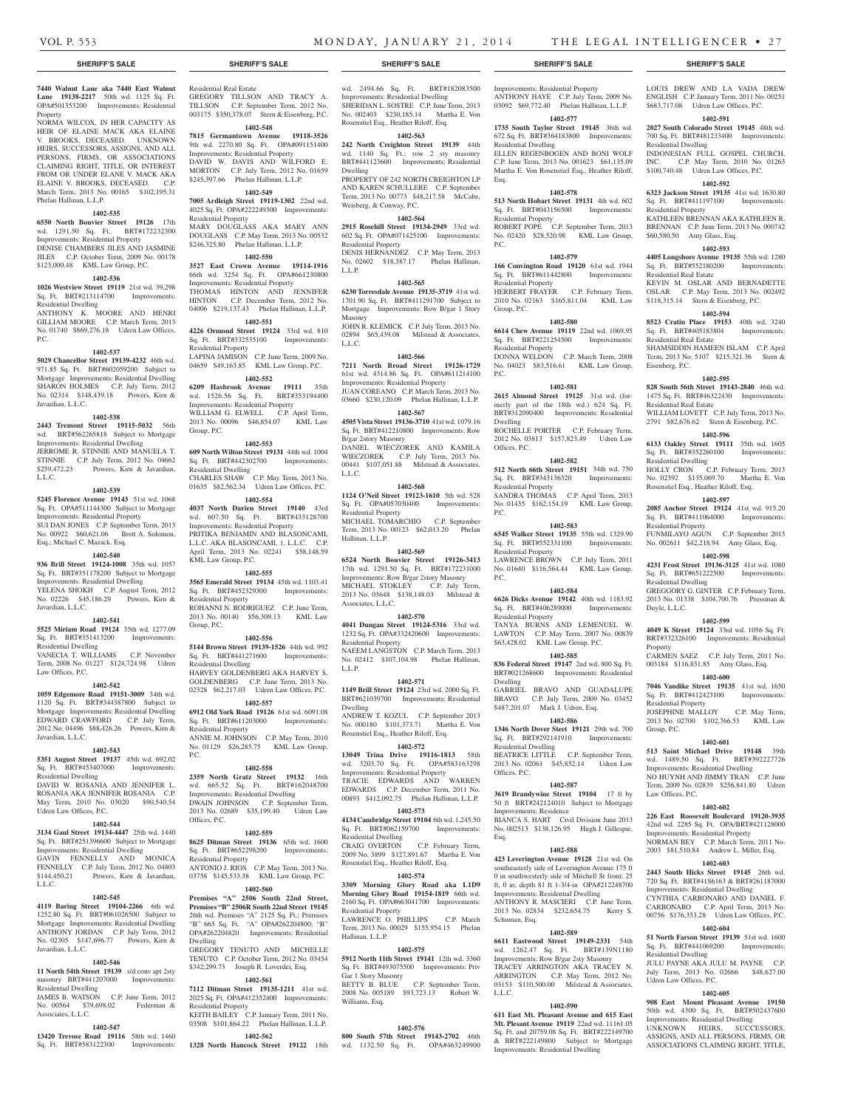Improvements: Residential Property ANTHONY HAYE C.P. July Term, 2009 No. 03092 \$69,772.40 Phelan Hallinan, L.L.P. **1402-577 1735 South Taylor Street 19145** 36th wd. 672 Sq. Ft. BRT#364183800 Improvements:

ELLEN REGENBOGEN AND BONI WOLF C.P. June Term, 2013 No. 001623 \$61,135.09 Martha E. Von Rosenstiel Esq., Heather Riloff,

LOUIS DREW AND LA VADA DREW ENGLISH C.P. January Term, 2011 No. 00251 \$683,717.08 Udren Law Offices, P.C. **1402-591 2027 South Colorado Street 19145** 48th wd. 700 Sq. Ft. BRT#481233400 Improvements:

INDONESIAN FULL GOSPEL CHURCH, INC. C.P. May Term, 2010 No. 01263 \$100,740.48 Udren Law Offices, P.C. **1402-592 6323 Jackson Street 19135** 41st wd. 1630.80 Sq. Ft. BRT#411197100 Improvements:

KATHLEEN BRENNAN AKA KATHLEEN R. BRENNAN C.P. June Term, 2013 No. 000742

**1402-593 4405 Longshore Avenue 19135** 55th wd. 1280

KEVIN M. OSLAR AND BERNADETTE OSLAR C.P. May Term, 2013 No. 002492 \$118,315.14 Stern & Eisenberg, P.C. **1402-594 8523 Cratin Place 19153** 40th wd. 3240 Sq. Ft. BRT#405183804 Improvements:

SHAMSIDDIN HAMEEN ISLAM C.P. April Term, 2013 No. 5107 \$215,321.36 Stern &

**1402-595 828 South 56th Street 19143-2840** 46th wd. 1475 Sq. Ft. BRT#46322430 Improvements:

WILLIAM LOVETT C.P. July Term, 2013 No. 2791 \$82,676.62 Stern & Eisenberg, P.C. **1402-596 6133 Oakley Street 19111** 35th wd. 1605 Sq. Ft. BRT#352260100 Improvements:

HOLLY CRON C.P. February Term, 2013 No. 02392 \$135,069.70 Martha E. Von Rosenstiel Esq., Heather Riloff, Esq. **1402-597 2085 Anchor Street 19124** 41st wd. 915.20 Sq. Ft. BRT#411064000 Improvements:

FUNMILAYO AGUN C.P. September 2013 No. 002611 \$42,218.94 Amy Glass, Esq. **1402-598 4231 Frost Street 19136-3125** 41st wd. 1080 Sq. Ft. BRT#651222500 Improvements:

GREGGORY G. GINTER C.P. February Term, 2013 No. 01338 \$104,700.76 Pressman &

**1402-599 4049 K Street 19124** 33rd wd. 1056 Sq. Ft. BRT#332326100 Improvements: Residential

CARMEN SAEZ C.P. July Term, 2011 No. 003184 \$116,831.85 Amy Glass, Esq. **1402-600 7046 Vandike Street 19135** 41st wd. 1650 Sq. Ft. BRT#412423100 Improvements:

JOSEPHINE MALLOY C.P. May Term, 2013 No. 02700 \$102,766.53 KML Law

**1402-601 513 Saint Michael Drive 19148** 39th wd. 1489.50 Sq. Ft. BRT#392227726 Improvements: Residential Dwelling NO HUYNH AND JIMMY TRAN C.P. June Term, 2009 No. 02839 \$256,841.80 Udren

**1402-602 226 East Roosevelt Boulevard 19120-3935**  42nd wd. 2285 Sq. Ft. OPA/BRT#421128000 Improvements: Residential Property NORMAN BEY C.P. March Term, 2011 No. 2003 \$81,510.84 Andrew L. Miller, Esq. **1402-603 2443 South Hicks Street 19145** 26th wd. 720 Sq. Ft. BRT#41S6163 & BRT#261187000 Improvements: Residential Dwelling CYNTHIA CARBONARO AND DANIEL F. CARBONARO C.P. April Term, 2013 No. 00756 \$176,353.28 Udren Law Offices, P.C. **1402-604 51 North Farson Street 19139** 51st wd. 1600 Sq. Ft. BRT#441069200 Improvements:

JULU PAYNE AKA JULU M. PAYNE C.P. July Term, 2013 No. 02666 \$48,627.00

**1402-605 908 East Mount Pleasant Avenue 19150**  50th wd. 4300 Sq. Ft. BRT#502437600 Improvements: Residential Dwelling UNKNOWN HEIRS, SUCCESSORS, ASSIGNS, AND ALL PERSONS, FIRMS, OR ASSOCIATIONS CLAIMING RIGHT, TITLE,

Residential Dwelling

Residential Property

\$60,580.50 Amy Glass, Esq.

Sq. Ft. BRT#552180200 Residential Real Estate

Residential Real Estate

Residential Real Estate

Residential Dwelling

Residential Property

Residential Dwelling

Residential Property

Group, P.C.

Law Offices, P.C.

Residential Dwelling

Udren Law Offices, P.C.

Doyle, L.L.C.

**Property** 

Eisenberg, P.C.

**1402-578 513 North Hobart Street 19131** 4th wd. 602 Sq. Ft. BRT#043156500 Improvements:

ROBERT POPE C.P. September Term, 2013 No. 02420 \$28,520.98 KML Law Group,

**1402-579 166 Convington Road 19120** 61st wd. 1944 Sq. Ft. BRT#611442800 Improvements:

HERBERT FRAYER C.P. February Term, 2010 No. 02163 \$165,811.04 KML Law

**1402-580 6614 Chew Avenue 19119** 22nd wd. 1069.95 Sq. Ft. BRT#221254500 Improvements:

DONNA WELDON C.P. March Term, 2008 No. 04023 \$83,516.61 KML Law Group,

**1402-581 2615 Almond Street 19125** 31st wd. (formerly part of the 18th wd.) 624 Sq. Ft. BRT#312090400 Improvements: Residential

ROCHELLE PORTER C.P. February Term, 2012 No. 03813 \$157,823.49 Udren Law

**1402-582 512 North 66th Street 19151** 34th wd. 750 Sq. Ft. BRT#343136320 Improvements:

SANDRA THOMAS C.P. April Term, 2013 No. 01435 \$162,154.19 KML Law Group,

**1402-583 6545 Walker Street 19135** 55th wd. 1329.90 Sq. Ft. BRT#552331100 Improvements:

LAWRENCE BROWN C.P. July Term, 2011 No. 01640 \$116,564.44 KML Law Group,

**1402-584 6626 Dicks Avenue 19142** 40th wd. 1183.92 Sq. Ft. BRT#406289000 Improvements:

TANYA BURNS AND LEMENUEL W. LAWTON C.P. May Term, 2007 No. 00839 \$63,428.02 KML Law Group, P.C. **1402-585 836 Federal Street 19147** 2nd wd. 800 Sq. Ft. BRT#021268600 Improvements: Residential

GABRIEL BRAVO AND GUADALUPE BRAVO C.P. July Term, 2009 No. 03452 \$487,201.07 Mark J. Udren, Esq. **1402-586 1346 North Dover Steet 19121** 29th wd. 700 Sq. Ft. BRT#292141910 Improvements:

BEATRICE LITTLE C.P. September Term,<br>2013 No. 02061 \$45.852.14 Udren Law

**1402-587 3619 Brandywine Street 19104** 17 ft by 50 ft BRT#242124010 Subject to Mortgage

BIANCA S. HART Civil Division June 2013 No. 002513 \$138,126.95 Hugh J. Gillespie,

**1402-588 423 Leverington Avenue 19128** 21st wd. On southeasterly side of Leverington Avenue 175 ft 0 in southwesterly side of Mitchell St front; 25 ft, 0 in; depth 81 ft 1-3/4-in OPA#212248700 Improvements: Residential Dwelling ANTHONY R. MASCIERI C.P. June Term, 2013 No. 02834 \$232,654.75 Kerry S.

**1402-589 6611 Eastwood Street 19149-2331** 54th wd. 1262.47 Sq. Ft. BRT#139N1180 Improvements: Row B/gar 2sty Masonry TRACEY ARRINGTON AKA TRACEY N. ARRINGTON C.P. May Term, 2012 No. 03153 \$110,500.00 Milstead & Associates,

**1402-590 611 East Mt. Pleasant Avenue and 615 East Mt. Plesant Avenue 19119** 22nd wd. 11161.05 Sq. Ft. and 20759.08 Sq. Ft. BRT#222149700 & BRT#222149800 Subject to Mortgage Improvements: Residential Dwelling

Residential Dwelling

Residential Property

Residential Property

Residential Property

Group, P.C.

P.C.

Dwelling

Offices, P.C.

P.C.

P.C.

Dwelling

Residential Property

Residential Property

Residential Property

Residential Dwelling

Offices, P.C.

Esq.

L.L.C.

2013 No. 02061 \$45,852.14

Improvements: Residence

Schuman, Esq.

Esq.

P.C.

#### **SHERIFF'S SALE SHERIFF'S SALE SHERIFF'S SALE SHERIFF'S SALE SHERIFF'S SALE**

**7440 Walnut Lane aka 7440 East Walnut Lane 19138-2217** 50th wd. 1125 Sq. Ft. OPA#501353200 Improvements: Residential Property

#### NORMA WILCOX, IN HER CAPACITY AS HEIR OF ELAINE MACK AKA ELAINE V. BROOKS, DECEASED. UNKNOWN HEIRS, SUCCESSORS, ASSIGNS, AND ALL PERSONS, FIRMS, OR ASSOCIATIONS CLAIMING RIGHT, TITLE, OR INTEREST FROM OR UNDER ELANE V. MACK AKA ELAINE V. BROOKS, DECEASED. C.P. March Term, 2013 No. 00165 \$102,195.31 Phelan Hallinan, L.L.P.

#### **1402-535**

**6550 North Bouvier Street 19126** 17th wd. 1291.50 Sq. Ft. BRT#172232300 Improvements: Residential Property DENISE CHAMBERS JILES AND JASMINE

JILES C.P. October Term, 2009 No. 00178 \$123,000.48 KML Law Group, P.C.

#### **1402-536**

**1026 Westview Street 19119** 21st wd. 39,298 Sq. Ft. BRT#213114700 Improvements: Residential Dwelling ANTHONY K. MOORE AND HENRI

GILLIAM MOORE C.P. March Term, 2013 No. 01740 \$869,276.18 Udren Law Offices, P.C.

#### **1402-537**

**5029 Chancellor Street 19139-4232** 46th wd. 971.85 Sq. Ft. BRT#602059200 Subject to Mortgage Improvements: Residential Dwelling SHARON HOLMES C.P. July Term, 2012 No. 02314 \$148,439.18 Powers, Kirn & Javardian, L.L.C.

#### **1402-538**

**2443 Tremont Street 19115-5032** 56th wd. BRT#562265818 Subject to Mortgage Improvements: Residential Dwelling JERROME R. STINNIE AND MANUELA T. STINNIE C.P. July Term, 2012 No. 04662 \$259,472.23 Powers, Kirn & Javardian, L.L.C.

#### **1402-539**

**5245 Florence Avenue 19143** 51st wd. 1068 Sq. Ft. OPA#511144300 Subject to Mortgage Improvements: Residential Property SUI DAN JONES C.P. September Term, 2013 No. 00922 \$60,621.06 Brett A. Solomon, Esq.; Michael C. Mazack. Esq.

# **1402-540**

**936 Brill Street 19124-1008** 35th wd. 1057 Sq. Ft. BRT#351178200 Subject to Mortgage Improvements: Residential Dwelling YELENA SHOKH C.P. August Term, 2012 No. 02226 \$45,186.29 Powers, Kirn & Javardian, L.L.C.

#### **1402-541**

**5525 Miriam Road 19124** 35th wd. 1277.09 Sq. Ft. BRT#351413200 Improvements: Residential Dwelling VANECIA T. WILLIAMS C.P. November

Term, 2008 No. 01227 \$124,724.98 Udren Law Offices, P.C.

## **1402-542**

**1059 Edgemore Road 19151-3009** 34th wd. 1120 Sq. Ft. BRT#344387800 Subject to Mortgage Improvements: Residential Dwelling EDWARD CRAWFORD C.P. July Term, 2012 No. 04496 \$88,426.26 Powers, Kirn & Javardian, L.L.C.

#### **1402-543**

**5351 August Street 19137** 45th wd. 692.02 Sq. Ft. BRT#453407000 Improvements: Residential Dwelling DAVID W. ROSANIA AND JENNIFER L. ROSANIA AKA JENNIFER ROSANIA C.P.

# May Term, 2010 No. 03020 \$90,540.54 Udren Law Offices, P.C.

# **1402-544**

**3134 Gaul Street 19134-4447** 25th wd. 1440 Sq. Ft. BRT#251396600 Subject to Mortgage Improvements: Residential Dwelling GAVIN FENNELLY AND MONICA FENNELLY C.P. July Term, 2012 No. 04803 \$144,450.21 Powers, Kirn & Javardian, L.L.C.

#### **1402-545**

**4119 Baring Street 19104-2266** 6th wd. 1252.80 Sq. Ft. BRT#061026500 Subject to<br>Mortgage Improvements: Residential Dwelling **Improvements: Residential Dwelling** ANTHONY JORDAN C.P. July Term, 2012 No. 02305 \$147,696.77 Powers, Kirn & Javardian, L.L.C.

#### **1402-546 11 North 54th Street 19139** s/d conv apt 2sty

masonry BRT#441207000 Improvements: Residential Dwelling JAMES B. WATSON C.P. June Term, 2012

No. 00564 \$79,698.02 Federman & Associates, L.L.C. **1402-547**

**13420 Trevose Road 19116** 58th wd. 1460 Sq. Ft. BRT#583122300 Improvements:

#### Residential Real Estate GREGORY TILLSON AND TRACY A.

TILLSON C.P. September Term, 2012 No. 003175 \$350,378.07 Stern & Eisenberg, P.C. **1402-548**

# **7815 Germantown Avenue 19118-3526**

9th wd. 2270.80 Sq. Ft. OPA#091151400 Improvements: Residential Property DAVID W. DAVIS AND WILFORD E. MORTON C.P. July Term, 2012 No. 01659 \$245,397.66 Phelan Hallinan, L.L.P.

# **1402-549**

**7005 Ardleigh Street 19119-1302** 22nd wd. 4025 Sq. Ft. OPA#222249300 Improvements: Residential Property MARY DOUGLASS AKA MARY ANN DOUGLASS C.P. May Term, 2013 No. 00532 \$246,325.80 Phelan Hallinan, L.L.P.

# **1402-550**

**3527 East Crown Avenue 19114-1916**  66th wd. 3254 Sq. Ft. OPA#661230800 Improvements: Residential Property THOMAS HINTON AND JENNIFER HINTON C.P. December Term, 2012 No. 04006 \$219,137.43 Phelan Hallinan, L.L.P.

#### **1402-551**

**4226 Ormond Street 19124** 33rd wd. 810 Sq. Ft. BRT#332535100 Improvements: Residential Property LAPINA JAMISON C.P. June Term, 2009 No. 04659 \$49,163.85 KML Law Group, P.C.

**1402-552 6209 Hasbrook Avenue 19111** 35th wd. 1526.56 Sq. Ft. BRT#353194400 Improvements: Residential Property WILLIAM G. ELWELL C.P. April Term,

2013 No. 00096 \$46,854.07 KML Law Group, P.C. **1402-553**

**609 North Wilton Street 19131** 44th wd. 1004 Sq. Ft. BRT#442302700 Improvements: Residential Dwelling CHARLES SHAW C.P. May Term, 2013 No. 01635 \$82,562.34 Udren Law Offices, P.C.

### **1402-554**

**4037 North Darien Street 19140** 43rd wd. 607.50 Sq. Ft. BRT#433128700 Improvements: Residential Property PRITIKA BENJAMIN AND BLASONCAMI, L.L.C. AKA BLASONCAMI, 1, L.L.C. C.P. April Term, 2013 No. 02241 \$58,148.59 KML Law Group, P.C.

### **1402-555**

Group, P.C.

P.C.

**3565 Emerald Street 19134** 45th wd. 1103.41 Sq. Ft. BRT#452329300 Improvements: Residential Property ROHANNI N. RODRIGUEZ C.P. June Term,

2013 No. 00140 \$56,309.13 KML Law

# **1402-556**

**5144 Brown Street 19139-1526** 44th wd. 992 Sq. Ft. BRT#441271600 Improvements: Residential Dwelling HARVEY GOLDENBERG AKA HARVEY S. GOLDENBERG C.P. June Term, 2013 No. 02328 \$62,217.03 Udren Law Offices, P.C.

**1402-557**

**6912 Old York Road 19126** 61st wd. 6091.08 Sq. Ft. BRT#611203000 Improvements: Residential Property ANNIE M. JOHNSON C.P. May Term, 2010 No. 01129 \$26,285.75 KML Law Group,

#### **1402-558**

**2359 North Gratz Street 19132** 16th wd. 665.52 Sq. Ft. BRT#162048700 Improvements: Residential Dwelling DWAIN JOHNSON C.P. September Term, 2013 No. 02689 \$35,199.40 Udren Law Offices, P.C.

#### **1402-559**

**8625 Ditman Street 19136** 65th wd. 1600 Sq. Ft. BRT#652298200 Improvements: Residential Property ANTONIO J. RIOS C.P. May Term, 2013 No. 03758 \$145,533.38 KML Law Group, P.C.

# **1402-560**

**Premises "A" 2506 South 22nd Street, Premises "B" 2506R South 22nd Street 19145**  26th wd. Premises "A" 2125 Sq. Ft.; Premises "B" 665 Sq. Ft. "A" OPA#262204800; "B" OPA#262204820 Improvements: Residential Dwelling

GREGORY TENUTO AND MICHELLE TENUTO C.P. October Term, 2012 No. 03454 \$342,299.73 Joseph R. Loverdei, Esq.

# **1402-561**

**7112 Ditman Street 19135-1211** 41st wd. 2025 Sq. Ft. OPA#412352400 Improvements: Residential Property KEITH BAILEY C.P. January Term, 2011 No. 03508 \$101,864.22 Phelan Hallinan, L.L.P.

**1402-562**

**1328 North Hancock Street 19122** 18th

wd. 2494.66 Sq. Ft. BRT#182083500

Improvements: Residential Dwelling SHERIDAN L. SOSTRE C.P. June Term, 2013 No. 002403 \$230,185.14 Martha E. Von Rosenstiel Esq., Heather Riloff, Esq.

# **1402-563**

**242 North Creighton Street 19139** 44th wd. 1140 Sq. Ft.; row 2 sty masonry BRT#441123600 Improvements: Residential Dwelling

PROPERTY OF 242 NORTH CREIGHTON LP AND KAREN SCHULLERE C.P. September Term, 2013 No. 00773 \$48,217.58 McCabe, Weisberg, & Conway, P.C.

#### **1402-564**

**2915 Rosehill Street 19134-2949** 33rd wd. 602 Sq. Ft. OPA#071425100 Improvements: Residential Property DENIS HERNANDEZ C.P. May Term, 2013 No. 02602 \$18,387.17 Phelan Hallinan, L.L.P.

# **1402-565**

**6230 Torresdale Avenue 19135-3719** 41st wd. 1701.90 Sq. Ft. BRT#411291700 Subject to Mortgage Improvements: Row B/gar 1 Story Masonry JOHN R. KLEMICK C.P. July Term, 2013 No.

02894 \$65,439.08 Milstead & Associates, L.L.C.

# **1402-566**

**7211 North Broad Street 19126-1729**  61st wd. 4314.86 Sq. Ft. OPA#611214100 Improvements: Residential Property JUAN COREANO C.P. March Term, 2013 No. 03660 \$230,120.09 Phelan Hallinan, L.L.P.

# **1402-567**

**4505 Vista Street 19136-3710** 41st wd. 1079.16 Sq. Ft. BRT#412210800 Improvements: Row B/gar 2story Masonry DANIEL WIECZOREK AND KAMILA WIECZOREK C.P. July Term, 2013 No. 00441 \$107,051.88 Milstead & Associates, L.L.C.

#### **1402-568**

**1124 O'Neil Street 19123-1610** 5th wd. 528 Sq. Ft. OPA#057030400 Improvements: Residential Property MICHAEL TOMARCHIO C.P. September Term, 2013 No. 00123 \$62,013.20 Phelan Hallinan, L.L.P.

# **1402-569**

**6524 North Bouvier Street 19126-3413**  17th wd. 1291.50 Sq. Ft. BRT#172231000 Improvements: Row B/gar 2story Masonry MICHAEL STOKLEY C.P. July Term, 2013 No. 03648 \$138,148.03 Milstead & Associates, L.L.C.

#### **1402-570**

**4041 Dungan Street 19124-5316** 33rd wd. 1232 Sq. Ft. OPA#332420600 Improvements: Residential Property NAEEM LANGSTON C.P. March Term, 2013 No. 02412 \$107,104.98 Phelan Hallinan, L.L.P.

#### **1402-571**

**1149 Brill Street 19124** 23rd wd. 2000 Sq. Ft. BRT#621039700 Improvements: Residential Dwelling ANDREW T. KOZUL C.P. September 2013

No. 000180 \$101,373.71 Martha E. Von Rosenstiel Esq., Heather Riloff, Esq. **1402-572**

#### **13049 Trina Drive 19116-1813** 58th wd. 3203.70 Sq. Ft. OPA#583163298 Improvements: Residential Property TRACIE EDWARDS AND WARREN EDWARDS C.P. December Term, 2011 No. 00893 \$412,092.75 Phelan Hallinan, L.L.P.

#### **1402-573**

**4134 Cambridge Street 19104** 6th wd. 1,245.50 Sq. Ft. BRT#062159700 Improvements: Residential Dwelling<br>CRAIG OVERTON C.P. February Term, 2009 No. 3899 \$127,891.67 Martha E. Von Rosenstiel Esq., Heather Riloff, Esq.

# **1402-574**

**3309 Morning Glory Road aka L1D9 Morning Glory Road 19154-1819** 66th wd. 2160 Sq. Ft. OPA#663041700 Improvements: Residential Property LAWRENCE O. PHILLIPS C.P. March Term, 2013 No. 00029 \$155,954.15 Phelan

# **1402-575**

Hallinan, L.L.P.

**5912 North 11th Street 19141** 12th wd. 3360 Sq. Ft. BRT#493075500 Improvements: Priv Gar 1 Story Masonry BETTY B. BLUE C.P. September Term, 2008 No. 005189 \$93,723.13 Robert W. Williams, Esq.

## **1402-576**

**800 South 57th Street 19143-2702** 46th wd. 1132.50 Sq. Ft. OPA#463249900